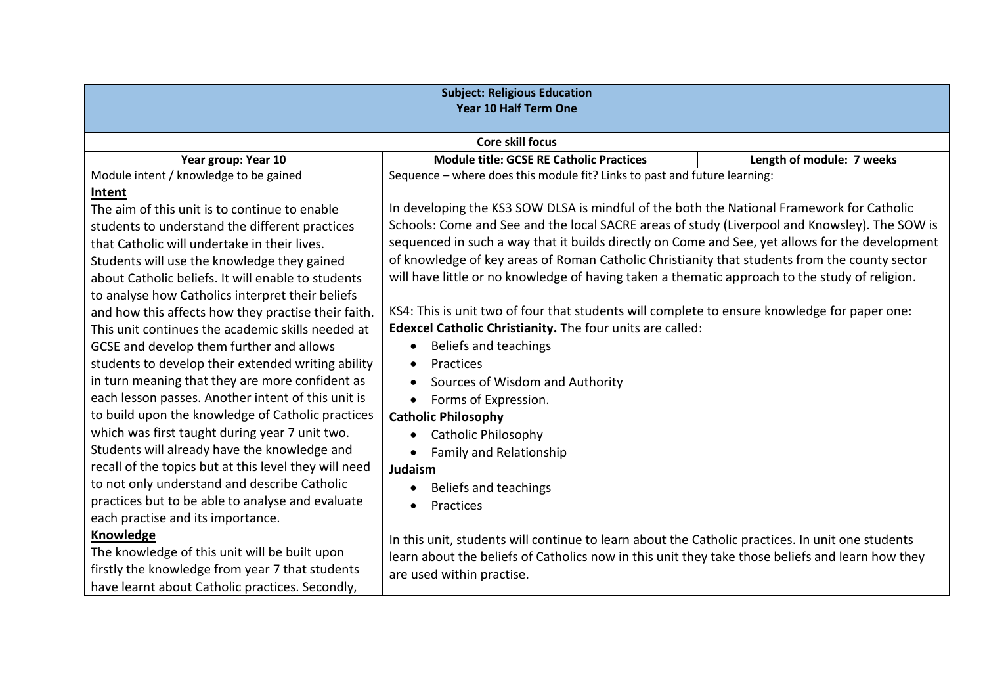| <b>Subject: Religious Education</b><br><b>Year 10 Half Term One</b> |                                                                                                  |                           |
|---------------------------------------------------------------------|--------------------------------------------------------------------------------------------------|---------------------------|
| <b>Core skill focus</b>                                             |                                                                                                  |                           |
| Year group: Year 10                                                 | <b>Module title: GCSE RE Catholic Practices</b>                                                  | Length of module: 7 weeks |
| Module intent / knowledge to be gained                              | Sequence - where does this module fit? Links to past and future learning:                        |                           |
| Intent                                                              |                                                                                                  |                           |
| The aim of this unit is to continue to enable                       | In developing the KS3 SOW DLSA is mindful of the both the National Framework for Catholic        |                           |
| students to understand the different practices                      | Schools: Come and See and the local SACRE areas of study (Liverpool and Knowsley). The SOW is    |                           |
| that Catholic will undertake in their lives.                        | sequenced in such a way that it builds directly on Come and See, yet allows for the development  |                           |
| Students will use the knowledge they gained                         | of knowledge of key areas of Roman Catholic Christianity that students from the county sector    |                           |
| about Catholic beliefs. It will enable to students                  | will have little or no knowledge of having taken a thematic approach to the study of religion.   |                           |
| to analyse how Catholics interpret their beliefs                    |                                                                                                  |                           |
| and how this affects how they practise their faith.                 | KS4: This is unit two of four that students will complete to ensure knowledge for paper one:     |                           |
| This unit continues the academic skills needed at                   | Edexcel Catholic Christianity. The four units are called:                                        |                           |
| GCSE and develop them further and allows                            | Beliefs and teachings                                                                            |                           |
| students to develop their extended writing ability                  | Practices                                                                                        |                           |
| in turn meaning that they are more confident as                     | Sources of Wisdom and Authority                                                                  |                           |
| each lesson passes. Another intent of this unit is                  | Forms of Expression.                                                                             |                           |
| to build upon the knowledge of Catholic practices                   | <b>Catholic Philosophy</b>                                                                       |                           |
| which was first taught during year 7 unit two.                      | <b>Catholic Philosophy</b>                                                                       |                           |
| Students will already have the knowledge and                        | <b>Family and Relationship</b>                                                                   |                           |
| recall of the topics but at this level they will need               | Judaism                                                                                          |                           |
| to not only understand and describe Catholic                        | Beliefs and teachings<br>$\bullet$                                                               |                           |
| practices but to be able to analyse and evaluate                    | Practices                                                                                        |                           |
| each practise and its importance.                                   |                                                                                                  |                           |
| Knowledge                                                           | In this unit, students will continue to learn about the Catholic practices. In unit one students |                           |
| The knowledge of this unit will be built upon                       | learn about the beliefs of Catholics now in this unit they take those beliefs and learn how they |                           |
| firstly the knowledge from year 7 that students                     | are used within practise.                                                                        |                           |
| have learnt about Catholic practices. Secondly,                     |                                                                                                  |                           |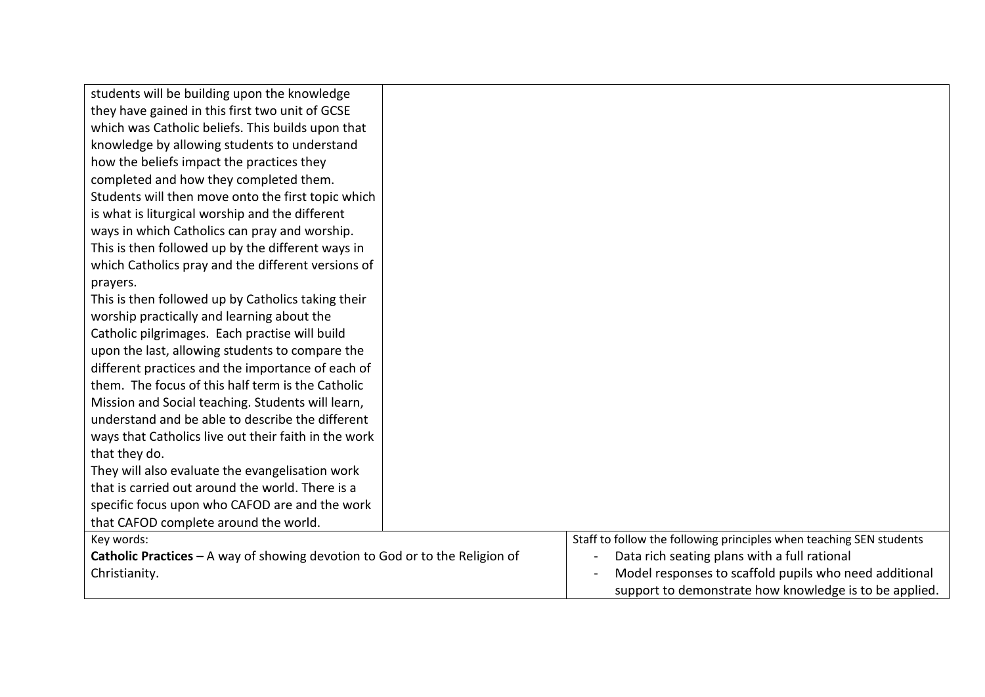| students will be building upon the knowledge                                  |                                                                     |
|-------------------------------------------------------------------------------|---------------------------------------------------------------------|
| they have gained in this first two unit of GCSE                               |                                                                     |
| which was Catholic beliefs. This builds upon that                             |                                                                     |
| knowledge by allowing students to understand                                  |                                                                     |
| how the beliefs impact the practices they                                     |                                                                     |
| completed and how they completed them.                                        |                                                                     |
| Students will then move onto the first topic which                            |                                                                     |
| is what is liturgical worship and the different                               |                                                                     |
| ways in which Catholics can pray and worship.                                 |                                                                     |
| This is then followed up by the different ways in                             |                                                                     |
| which Catholics pray and the different versions of                            |                                                                     |
| prayers.                                                                      |                                                                     |
| This is then followed up by Catholics taking their                            |                                                                     |
| worship practically and learning about the                                    |                                                                     |
| Catholic pilgrimages. Each practise will build                                |                                                                     |
| upon the last, allowing students to compare the                               |                                                                     |
| different practices and the importance of each of                             |                                                                     |
| them. The focus of this half term is the Catholic                             |                                                                     |
| Mission and Social teaching. Students will learn,                             |                                                                     |
| understand and be able to describe the different                              |                                                                     |
| ways that Catholics live out their faith in the work                          |                                                                     |
| that they do.                                                                 |                                                                     |
| They will also evaluate the evangelisation work                               |                                                                     |
| that is carried out around the world. There is a                              |                                                                     |
| specific focus upon who CAFOD are and the work                                |                                                                     |
| that CAFOD complete around the world.                                         |                                                                     |
| Key words:                                                                    | Staff to follow the following principles when teaching SEN students |
| Catholic Practices $-$ A way of showing devotion to God or to the Religion of | Data rich seating plans with a full rational                        |
| Christianity.                                                                 | Model responses to scaffold pupils who need additional              |
|                                                                               | support to demonstrate how knowledge is to be applied.              |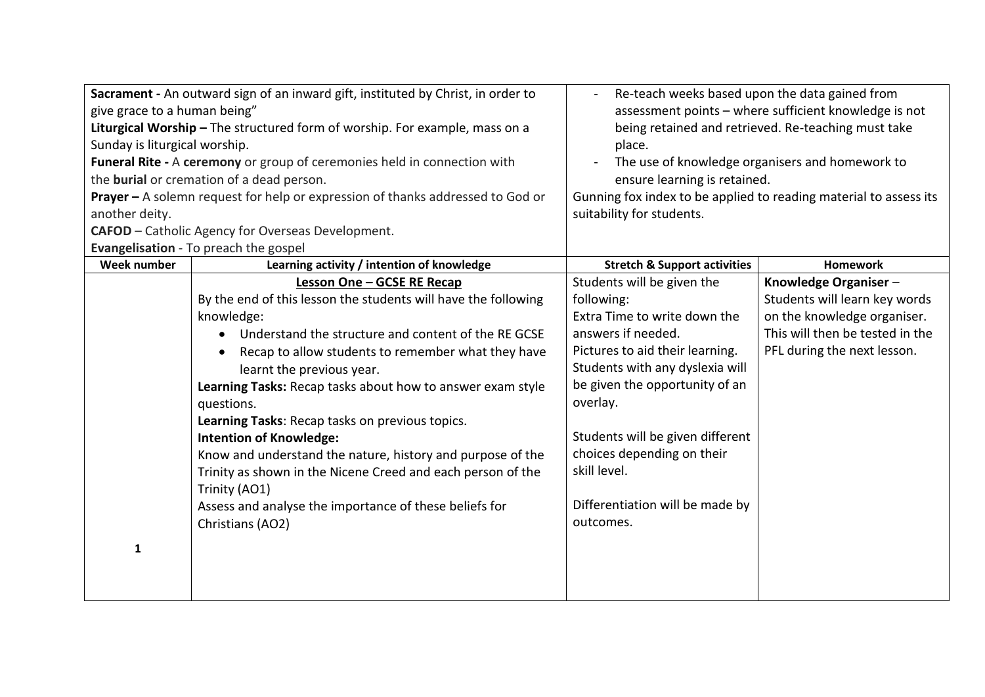| give grace to a human being"<br>Sunday is liturgical worship.<br>another deity. | Sacrament - An outward sign of an inward gift, instituted by Christ, in order to<br>Liturgical Worship - The structured form of worship. For example, mass on a<br>Funeral Rite - A ceremony or group of ceremonies held in connection with<br>the burial or cremation of a dead person.<br>Prayer - A solemn request for help or expression of thanks addressed to God or | Re-teach weeks based upon the data gained from<br>assessment points - where sufficient knowledge is not<br>being retained and retrieved. Re-teaching must take<br>place.<br>The use of knowledge organisers and homework to<br>ensure learning is retained.<br>Gunning fox index to be applied to reading material to assess its<br>suitability for students. |                                 |
|---------------------------------------------------------------------------------|----------------------------------------------------------------------------------------------------------------------------------------------------------------------------------------------------------------------------------------------------------------------------------------------------------------------------------------------------------------------------|---------------------------------------------------------------------------------------------------------------------------------------------------------------------------------------------------------------------------------------------------------------------------------------------------------------------------------------------------------------|---------------------------------|
|                                                                                 | CAFOD - Catholic Agency for Overseas Development.                                                                                                                                                                                                                                                                                                                          |                                                                                                                                                                                                                                                                                                                                                               |                                 |
| Week number                                                                     | Evangelisation - To preach the gospel<br>Learning activity / intention of knowledge                                                                                                                                                                                                                                                                                        | <b>Stretch &amp; Support activities</b>                                                                                                                                                                                                                                                                                                                       | <b>Homework</b>                 |
|                                                                                 | Lesson One - GCSE RE Recap                                                                                                                                                                                                                                                                                                                                                 | Students will be given the                                                                                                                                                                                                                                                                                                                                    | Knowledge Organiser-            |
|                                                                                 | By the end of this lesson the students will have the following                                                                                                                                                                                                                                                                                                             | following:                                                                                                                                                                                                                                                                                                                                                    | Students will learn key words   |
|                                                                                 | knowledge:                                                                                                                                                                                                                                                                                                                                                                 | Extra Time to write down the                                                                                                                                                                                                                                                                                                                                  | on the knowledge organiser.     |
|                                                                                 | Understand the structure and content of the RE GCSE                                                                                                                                                                                                                                                                                                                        | answers if needed.                                                                                                                                                                                                                                                                                                                                            | This will then be tested in the |
|                                                                                 | Recap to allow students to remember what they have                                                                                                                                                                                                                                                                                                                         | Pictures to aid their learning.                                                                                                                                                                                                                                                                                                                               | PFL during the next lesson.     |
|                                                                                 | learnt the previous year.                                                                                                                                                                                                                                                                                                                                                  | Students with any dyslexia will                                                                                                                                                                                                                                                                                                                               |                                 |
|                                                                                 | Learning Tasks: Recap tasks about how to answer exam style<br>questions.                                                                                                                                                                                                                                                                                                   | be given the opportunity of an<br>overlay.                                                                                                                                                                                                                                                                                                                    |                                 |
|                                                                                 | Learning Tasks: Recap tasks on previous topics.                                                                                                                                                                                                                                                                                                                            |                                                                                                                                                                                                                                                                                                                                                               |                                 |
|                                                                                 | <b>Intention of Knowledge:</b>                                                                                                                                                                                                                                                                                                                                             | Students will be given different                                                                                                                                                                                                                                                                                                                              |                                 |
|                                                                                 | Know and understand the nature, history and purpose of the                                                                                                                                                                                                                                                                                                                 | choices depending on their                                                                                                                                                                                                                                                                                                                                    |                                 |
|                                                                                 | Trinity as shown in the Nicene Creed and each person of the                                                                                                                                                                                                                                                                                                                | skill level.                                                                                                                                                                                                                                                                                                                                                  |                                 |
|                                                                                 | Trinity (AO1)                                                                                                                                                                                                                                                                                                                                                              |                                                                                                                                                                                                                                                                                                                                                               |                                 |
|                                                                                 | Assess and analyse the importance of these beliefs for                                                                                                                                                                                                                                                                                                                     | Differentiation will be made by                                                                                                                                                                                                                                                                                                                               |                                 |
|                                                                                 | Christians (AO2)                                                                                                                                                                                                                                                                                                                                                           | outcomes.                                                                                                                                                                                                                                                                                                                                                     |                                 |
| $\mathbf{1}$                                                                    |                                                                                                                                                                                                                                                                                                                                                                            |                                                                                                                                                                                                                                                                                                                                                               |                                 |
|                                                                                 |                                                                                                                                                                                                                                                                                                                                                                            |                                                                                                                                                                                                                                                                                                                                                               |                                 |
|                                                                                 |                                                                                                                                                                                                                                                                                                                                                                            |                                                                                                                                                                                                                                                                                                                                                               |                                 |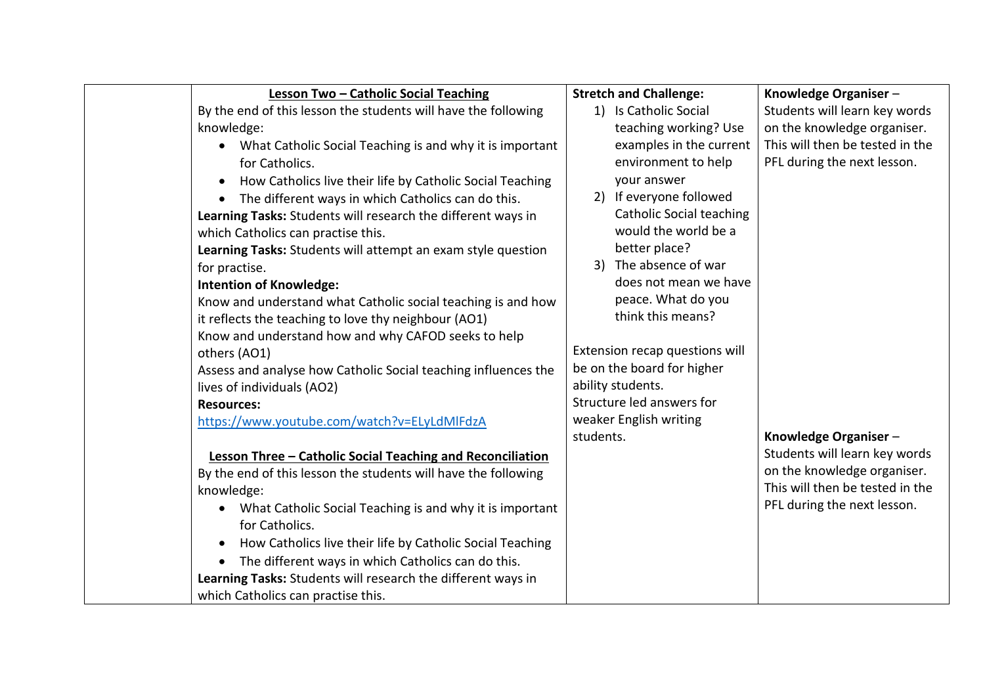| Lesson Two - Catholic Social Teaching                                  |           | <b>Stretch and Challenge:</b>   | Knowledge Organiser-            |
|------------------------------------------------------------------------|-----------|---------------------------------|---------------------------------|
| By the end of this lesson the students will have the following         |           | 1) Is Catholic Social           | Students will learn key words   |
| knowledge:                                                             |           | teaching working? Use           | on the knowledge organiser.     |
| What Catholic Social Teaching is and why it is important               |           | examples in the current         | This will then be tested in the |
| for Catholics.                                                         |           | environment to help             | PFL during the next lesson.     |
| How Catholics live their life by Catholic Social Teaching<br>$\bullet$ |           | your answer                     |                                 |
| The different ways in which Catholics can do this.<br>$\bullet$        |           | 2) If everyone followed         |                                 |
| Learning Tasks: Students will research the different ways in           |           | <b>Catholic Social teaching</b> |                                 |
| which Catholics can practise this.                                     |           | would the world be a            |                                 |
| Learning Tasks: Students will attempt an exam style question           |           | better place?                   |                                 |
| for practise.                                                          |           | 3) The absence of war           |                                 |
| <b>Intention of Knowledge:</b>                                         |           | does not mean we have           |                                 |
| Know and understand what Catholic social teaching is and how           |           | peace. What do you              |                                 |
| it reflects the teaching to love thy neighbour (AO1)                   |           | think this means?               |                                 |
| Know and understand how and why CAFOD seeks to help                    |           |                                 |                                 |
| others (AO1)                                                           |           | Extension recap questions will  |                                 |
| Assess and analyse how Catholic Social teaching influences the         |           | be on the board for higher      |                                 |
| lives of individuals (AO2)                                             |           | ability students.               |                                 |
| <b>Resources:</b>                                                      |           | Structure led answers for       |                                 |
| https://www.youtube.com/watch?v=ELyLdMlFdzA                            |           | weaker English writing          |                                 |
|                                                                        | students. |                                 | Knowledge Organiser-            |
| Lesson Three - Catholic Social Teaching and Reconciliation             |           |                                 | Students will learn key words   |
| By the end of this lesson the students will have the following         |           |                                 | on the knowledge organiser.     |
| knowledge:                                                             |           |                                 | This will then be tested in the |
| What Catholic Social Teaching is and why it is important               |           |                                 | PFL during the next lesson.     |
| for Catholics.                                                         |           |                                 |                                 |
| How Catholics live their life by Catholic Social Teaching              |           |                                 |                                 |
| The different ways in which Catholics can do this.<br>$\bullet$        |           |                                 |                                 |
| Learning Tasks: Students will research the different ways in           |           |                                 |                                 |
| which Catholics can practise this.                                     |           |                                 |                                 |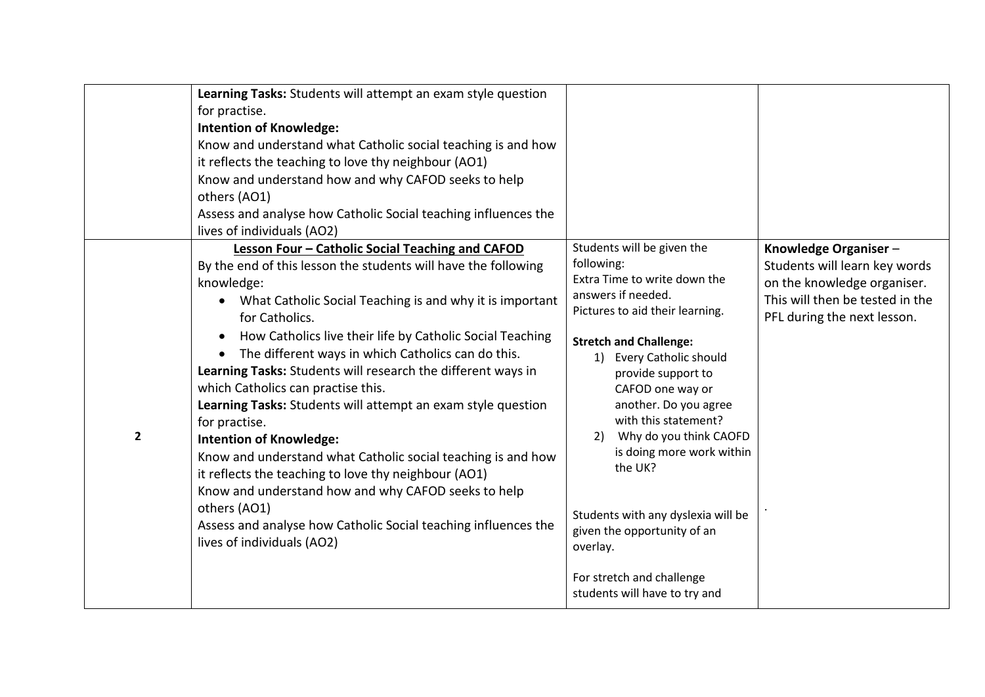| Learning Tasks: Students will attempt an exam style question<br>for practise.<br><b>Intention of Knowledge:</b><br>Know and understand what Catholic social teaching is and how<br>it reflects the teaching to love thy neighbour (AO1)<br>Know and understand how and why CAFOD seeks to help<br>others (AO1)<br>Assess and analyse how Catholic Social teaching influences the<br>lives of individuals (AO2)                                                                                                                                                                                                                                                                                                                                                                                                                                                                                    |                                                                                                                                                                                                                                                                                                                                                                                                                                                                                                                                                                                                                                                                                      |
|---------------------------------------------------------------------------------------------------------------------------------------------------------------------------------------------------------------------------------------------------------------------------------------------------------------------------------------------------------------------------------------------------------------------------------------------------------------------------------------------------------------------------------------------------------------------------------------------------------------------------------------------------------------------------------------------------------------------------------------------------------------------------------------------------------------------------------------------------------------------------------------------------|--------------------------------------------------------------------------------------------------------------------------------------------------------------------------------------------------------------------------------------------------------------------------------------------------------------------------------------------------------------------------------------------------------------------------------------------------------------------------------------------------------------------------------------------------------------------------------------------------------------------------------------------------------------------------------------|
| Lesson Four - Catholic Social Teaching and CAFOD<br>By the end of this lesson the students will have the following<br>knowledge:<br>What Catholic Social Teaching is and why it is important<br>for Catholics.<br>How Catholics live their life by Catholic Social Teaching<br>$\bullet$<br>The different ways in which Catholics can do this.<br>Learning Tasks: Students will research the different ways in<br>which Catholics can practise this.<br>Learning Tasks: Students will attempt an exam style question<br>for practise.<br>$\overline{\mathbf{2}}$<br><b>Intention of Knowledge:</b><br>Know and understand what Catholic social teaching is and how<br>it reflects the teaching to love thy neighbour (AO1)<br>Know and understand how and why CAFOD seeks to help<br>others (AO1)<br>Assess and analyse how Catholic Social teaching influences the<br>lives of individuals (AO2) | Students will be given the<br>Knowledge Organiser-<br>following:<br>Students will learn key words<br>Extra Time to write down the<br>on the knowledge organiser.<br>answers if needed.<br>This will then be tested in the<br>Pictures to aid their learning.<br>PFL during the next lesson.<br><b>Stretch and Challenge:</b><br><b>Every Catholic should</b><br>1)<br>provide support to<br>CAFOD one way or<br>another. Do you agree<br>with this statement?<br>Why do you think CAOFD<br>2)<br>is doing more work within<br>the UK?<br>Students with any dyslexia will be<br>given the opportunity of an<br>overlay.<br>For stretch and challenge<br>students will have to try and |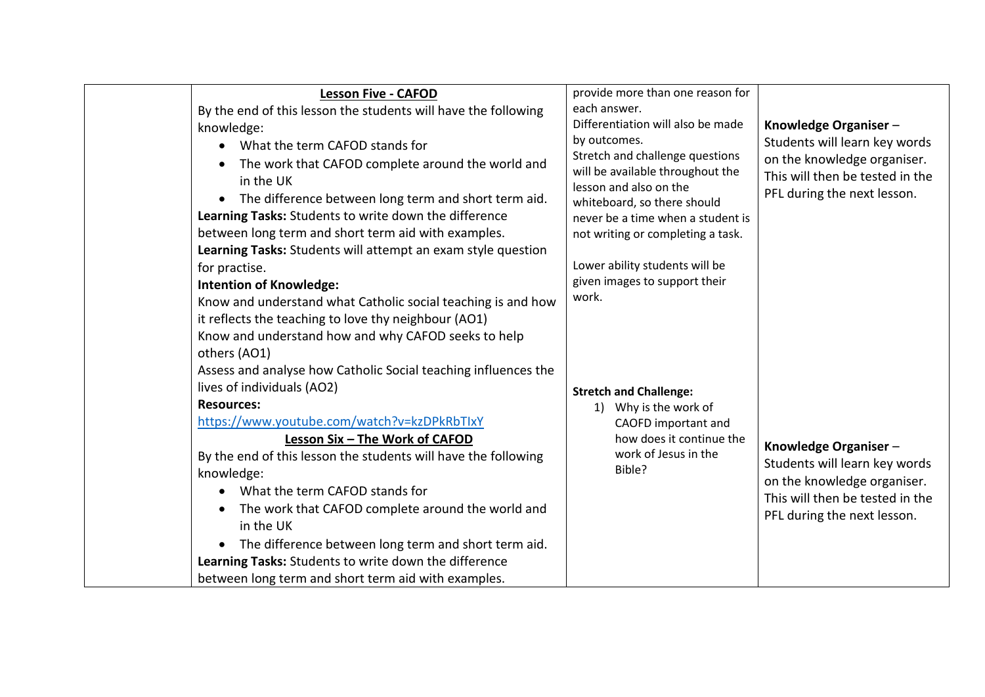| <b>Lesson Five - CAFOD</b>                                        | provide more than one reason for                                    |                                 |
|-------------------------------------------------------------------|---------------------------------------------------------------------|---------------------------------|
| By the end of this lesson the students will have the following    | each answer.                                                        |                                 |
| knowledge:                                                        | Differentiation will also be made                                   | Knowledge Organiser-            |
| What the term CAFOD stands for<br>$\bullet$                       | by outcomes.                                                        | Students will learn key words   |
| The work that CAFOD complete around the world and<br>$\bullet$    | Stretch and challenge questions<br>will be available throughout the | on the knowledge organiser.     |
| in the UK                                                         | lesson and also on the                                              | This will then be tested in the |
| The difference between long term and short term aid.<br>$\bullet$ | whiteboard, so there should                                         | PFL during the next lesson.     |
| Learning Tasks: Students to write down the difference             | never be a time when a student is                                   |                                 |
| between long term and short term aid with examples.               | not writing or completing a task.                                   |                                 |
| Learning Tasks: Students will attempt an exam style question      |                                                                     |                                 |
| for practise.                                                     | Lower ability students will be                                      |                                 |
| <b>Intention of Knowledge:</b>                                    | given images to support their                                       |                                 |
| Know and understand what Catholic social teaching is and how      | work.                                                               |                                 |
| it reflects the teaching to love thy neighbour (AO1)              |                                                                     |                                 |
| Know and understand how and why CAFOD seeks to help               |                                                                     |                                 |
| others (AO1)                                                      |                                                                     |                                 |
| Assess and analyse how Catholic Social teaching influences the    |                                                                     |                                 |
| lives of individuals (AO2)                                        | <b>Stretch and Challenge:</b>                                       |                                 |
| <b>Resources:</b>                                                 | Why is the work of<br>1)                                            |                                 |
| https://www.youtube.com/watch?v=kzDPkRbTlxY                       | CAOFD important and                                                 |                                 |
| Lesson Six - The Work of CAFOD                                    | how does it continue the                                            | Knowledge Organiser-            |
| By the end of this lesson the students will have the following    | work of Jesus in the                                                | Students will learn key words   |
| knowledge:                                                        | Bible?                                                              | on the knowledge organiser.     |
| What the term CAFOD stands for<br>$\bullet$                       |                                                                     | This will then be tested in the |
| The work that CAFOD complete around the world and<br>٠            |                                                                     | PFL during the next lesson.     |
| in the UK                                                         |                                                                     |                                 |
| The difference between long term and short term aid.<br>$\bullet$ |                                                                     |                                 |
| Learning Tasks: Students to write down the difference             |                                                                     |                                 |
| between long term and short term aid with examples.               |                                                                     |                                 |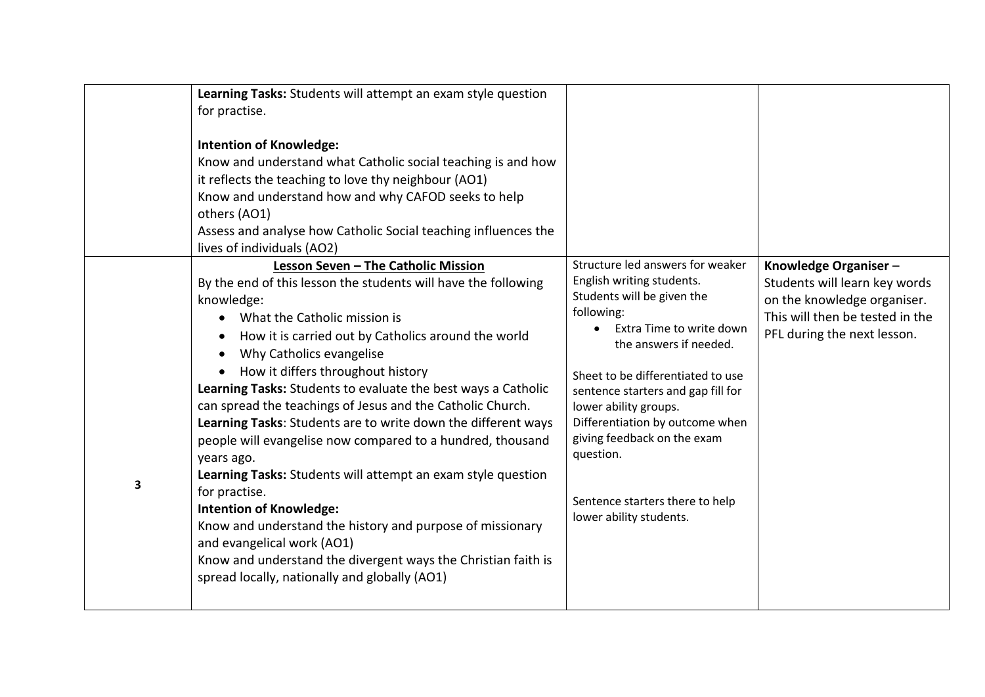|   | Learning Tasks: Students will attempt an exam style question<br>for practise.<br><b>Intention of Knowledge:</b><br>Know and understand what Catholic social teaching is and how<br>it reflects the teaching to love thy neighbour (AO1)<br>Know and understand how and why CAFOD seeks to help<br>others (AO1)<br>Assess and analyse how Catholic Social teaching influences the<br>lives of individuals (AO2)                                                                                                                                                                                                                                                                                                                                                                                                                                                                          |                                                                                                                                                                                                                                                                                                                                                                                                                  |                                                                                                                                                        |
|---|-----------------------------------------------------------------------------------------------------------------------------------------------------------------------------------------------------------------------------------------------------------------------------------------------------------------------------------------------------------------------------------------------------------------------------------------------------------------------------------------------------------------------------------------------------------------------------------------------------------------------------------------------------------------------------------------------------------------------------------------------------------------------------------------------------------------------------------------------------------------------------------------|------------------------------------------------------------------------------------------------------------------------------------------------------------------------------------------------------------------------------------------------------------------------------------------------------------------------------------------------------------------------------------------------------------------|--------------------------------------------------------------------------------------------------------------------------------------------------------|
| 3 | Lesson Seven - The Catholic Mission<br>By the end of this lesson the students will have the following<br>knowledge:<br>What the Catholic mission is<br>How it is carried out by Catholics around the world<br>Why Catholics evangelise<br>How it differs throughout history<br>Learning Tasks: Students to evaluate the best ways a Catholic<br>can spread the teachings of Jesus and the Catholic Church.<br>Learning Tasks: Students are to write down the different ways<br>people will evangelise now compared to a hundred, thousand<br>years ago.<br>Learning Tasks: Students will attempt an exam style question<br>for practise.<br><b>Intention of Knowledge:</b><br>Know and understand the history and purpose of missionary<br>and evangelical work (AO1)<br>Know and understand the divergent ways the Christian faith is<br>spread locally, nationally and globally (AO1) | Structure led answers for weaker<br>English writing students.<br>Students will be given the<br>following:<br>Extra Time to write down<br>the answers if needed.<br>Sheet to be differentiated to use<br>sentence starters and gap fill for<br>lower ability groups.<br>Differentiation by outcome when<br>giving feedback on the exam<br>question.<br>Sentence starters there to help<br>lower ability students. | Knowledge Organiser-<br>Students will learn key words<br>on the knowledge organiser.<br>This will then be tested in the<br>PFL during the next lesson. |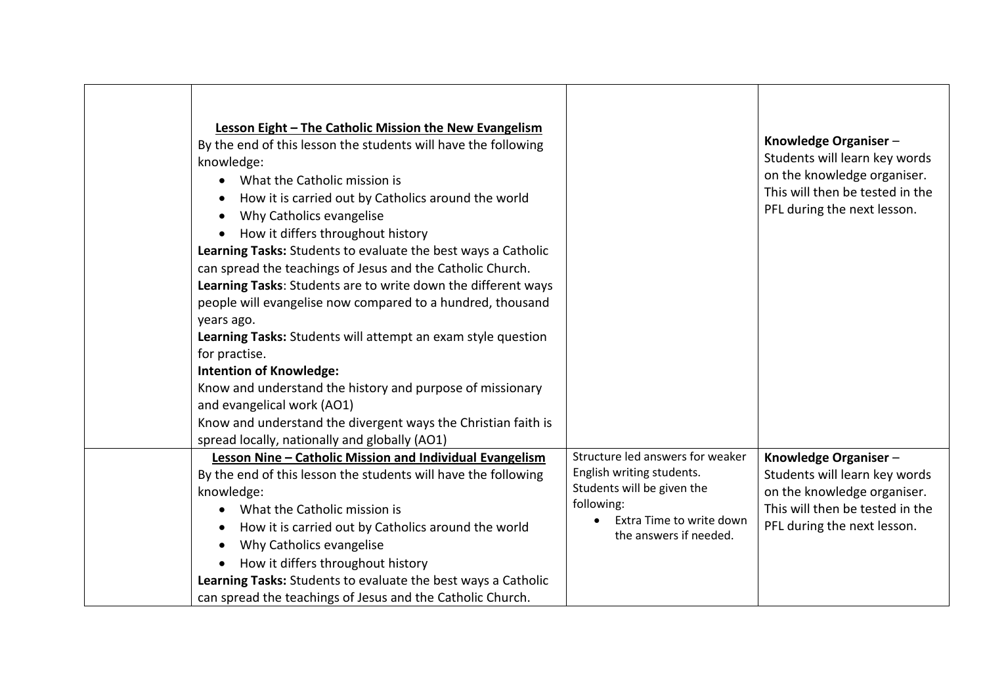| Lesson Eight - The Catholic Mission the New Evangelism<br>By the end of this lesson the students will have the following<br>knowledge:<br>What the Catholic mission is<br>$\bullet$<br>How it is carried out by Catholics around the world<br>$\bullet$<br>Why Catholics evangelise<br>$\bullet$<br>How it differs throughout history<br>$\bullet$<br>Learning Tasks: Students to evaluate the best ways a Catholic<br>can spread the teachings of Jesus and the Catholic Church.<br>Learning Tasks: Students are to write down the different ways<br>people will evangelise now compared to a hundred, thousand<br>years ago.<br>Learning Tasks: Students will attempt an exam style question<br>for practise.<br><b>Intention of Knowledge:</b><br>Know and understand the history and purpose of missionary<br>and evangelical work (AO1)<br>Know and understand the divergent ways the Christian faith is |                                                                                                                             | Knowledge Organiser-<br>Students will learn key words<br>on the knowledge organiser.<br>This will then be tested in the<br>PFL during the next lesson. |
|---------------------------------------------------------------------------------------------------------------------------------------------------------------------------------------------------------------------------------------------------------------------------------------------------------------------------------------------------------------------------------------------------------------------------------------------------------------------------------------------------------------------------------------------------------------------------------------------------------------------------------------------------------------------------------------------------------------------------------------------------------------------------------------------------------------------------------------------------------------------------------------------------------------|-----------------------------------------------------------------------------------------------------------------------------|--------------------------------------------------------------------------------------------------------------------------------------------------------|
| spread locally, nationally and globally (AO1)<br>Lesson Nine - Catholic Mission and Individual Evangelism                                                                                                                                                                                                                                                                                                                                                                                                                                                                                                                                                                                                                                                                                                                                                                                                     | Structure led answers for weaker                                                                                            | Knowledge Organiser-                                                                                                                                   |
| By the end of this lesson the students will have the following<br>knowledge:<br>What the Catholic mission is<br>How it is carried out by Catholics around the world<br>$\bullet$<br>Why Catholics evangelise<br>$\bullet$<br>How it differs throughout history<br>$\bullet$<br>Learning Tasks: Students to evaluate the best ways a Catholic<br>can spread the teachings of Jesus and the Catholic Church.                                                                                                                                                                                                                                                                                                                                                                                                                                                                                                    | English writing students.<br>Students will be given the<br>following:<br>Extra Time to write down<br>the answers if needed. | Students will learn key words<br>on the knowledge organiser.<br>This will then be tested in the<br>PFL during the next lesson.                         |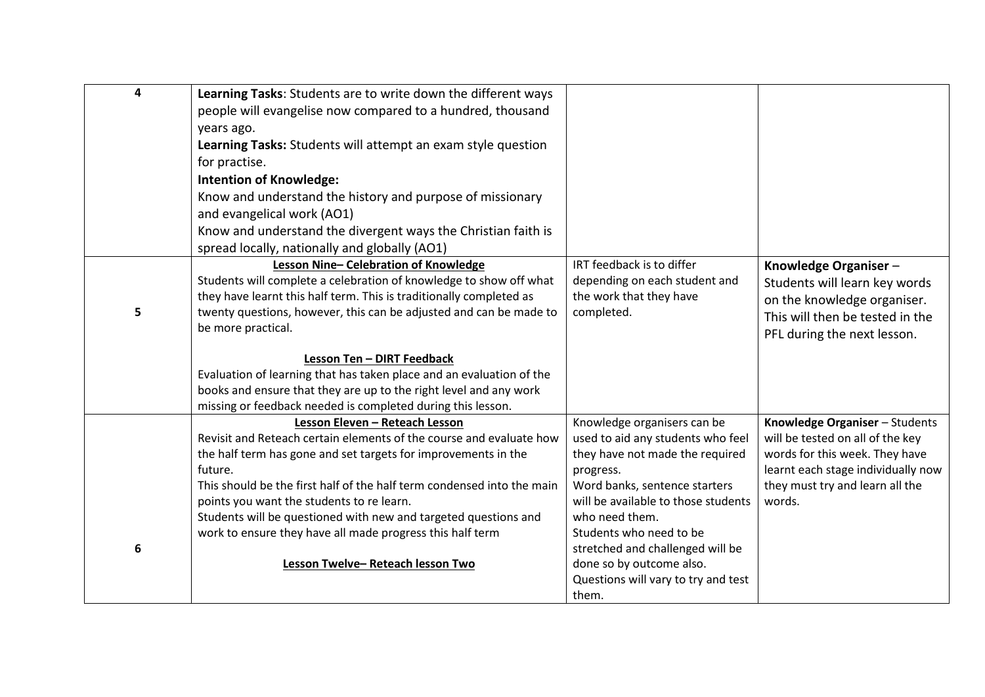| $\overline{\mathbf{4}}$ | Learning Tasks: Students are to write down the different ways             |                                            |                                                                       |
|-------------------------|---------------------------------------------------------------------------|--------------------------------------------|-----------------------------------------------------------------------|
|                         | people will evangelise now compared to a hundred, thousand                |                                            |                                                                       |
|                         | years ago.                                                                |                                            |                                                                       |
|                         | Learning Tasks: Students will attempt an exam style question              |                                            |                                                                       |
|                         | for practise.                                                             |                                            |                                                                       |
|                         | <b>Intention of Knowledge:</b>                                            |                                            |                                                                       |
|                         | Know and understand the history and purpose of missionary                 |                                            |                                                                       |
|                         | and evangelical work (AO1)                                                |                                            |                                                                       |
|                         | Know and understand the divergent ways the Christian faith is             |                                            |                                                                       |
|                         | spread locally, nationally and globally (AO1)                             |                                            |                                                                       |
|                         | Lesson Nine-Celebration of Knowledge                                      | IRT feedback is to differ                  | Knowledge Organiser-                                                  |
|                         | Students will complete a celebration of knowledge to show off what        | depending on each student and              | Students will learn key words                                         |
|                         | they have learnt this half term. This is traditionally completed as       | the work that they have                    | on the knowledge organiser.                                           |
| 5                       | twenty questions, however, this can be adjusted and can be made to        | completed.                                 | This will then be tested in the                                       |
|                         | be more practical.                                                        |                                            | PFL during the next lesson.                                           |
|                         | Lesson Ten - DIRT Feedback                                                |                                            |                                                                       |
|                         | Evaluation of learning that has taken place and an evaluation of the      |                                            |                                                                       |
|                         | books and ensure that they are up to the right level and any work         |                                            |                                                                       |
|                         | missing or feedback needed is completed during this lesson.               |                                            |                                                                       |
|                         | Lesson Eleven - Reteach Lesson                                            | Knowledge organisers can be                | Knowledge Organiser - Students                                        |
|                         | Revisit and Reteach certain elements of the course and evaluate how       | used to aid any students who feel          | will be tested on all of the key                                      |
|                         | the half term has gone and set targets for improvements in the<br>future. | they have not made the required            | words for this week. They have                                        |
|                         | This should be the first half of the half term condensed into the main    | progress.<br>Word banks, sentence starters | learnt each stage individually now<br>they must try and learn all the |
|                         | points you want the students to re learn.                                 | will be available to those students        | words.                                                                |
|                         | Students will be questioned with new and targeted questions and           | who need them.                             |                                                                       |
|                         | work to ensure they have all made progress this half term                 | Students who need to be                    |                                                                       |
| 6                       |                                                                           | stretched and challenged will be           |                                                                       |
|                         | Lesson Twelve-Reteach lesson Two                                          | done so by outcome also.                   |                                                                       |
|                         |                                                                           | Questions will vary to try and test        |                                                                       |
|                         |                                                                           | them.                                      |                                                                       |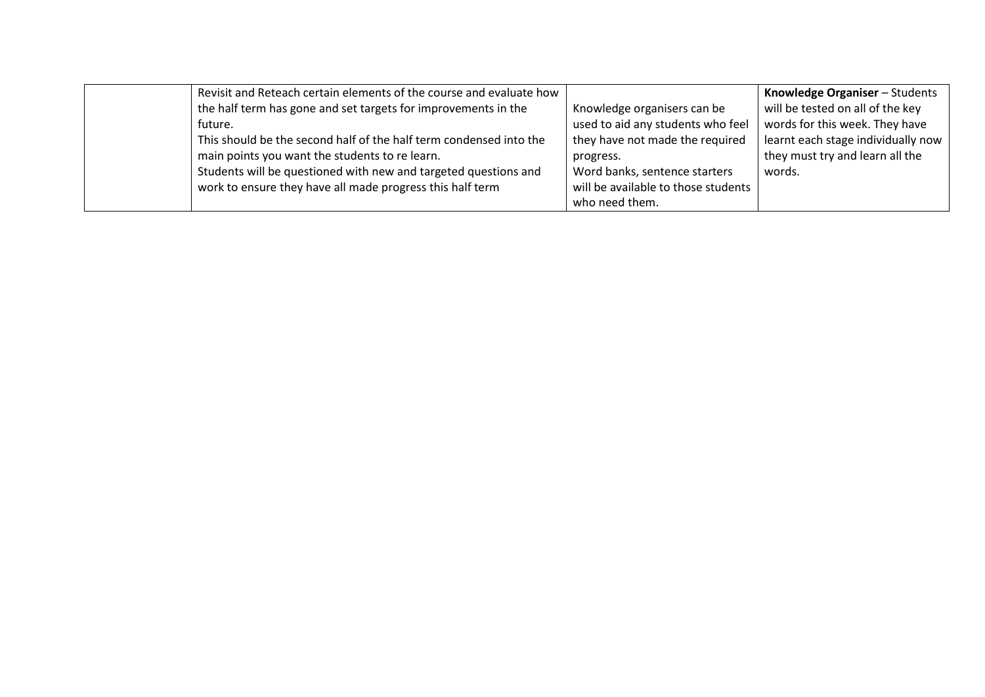| Revisit and Reteach certain elements of the course and evaluate how |                                     | Knowledge Organiser - Students     |
|---------------------------------------------------------------------|-------------------------------------|------------------------------------|
| the half term has gone and set targets for improvements in the      | Knowledge organisers can be         | will be tested on all of the key   |
| future.                                                             | used to aid any students who feel   | words for this week. They have     |
| This should be the second half of the half term condensed into the  | they have not made the required     | learnt each stage individually now |
| main points you want the students to re learn.                      | progress.                           | they must try and learn all the    |
| Students will be questioned with new and targeted questions and     | Word banks, sentence starters       | words.                             |
| work to ensure they have all made progress this half term           | will be available to those students |                                    |
|                                                                     | who need them.                      |                                    |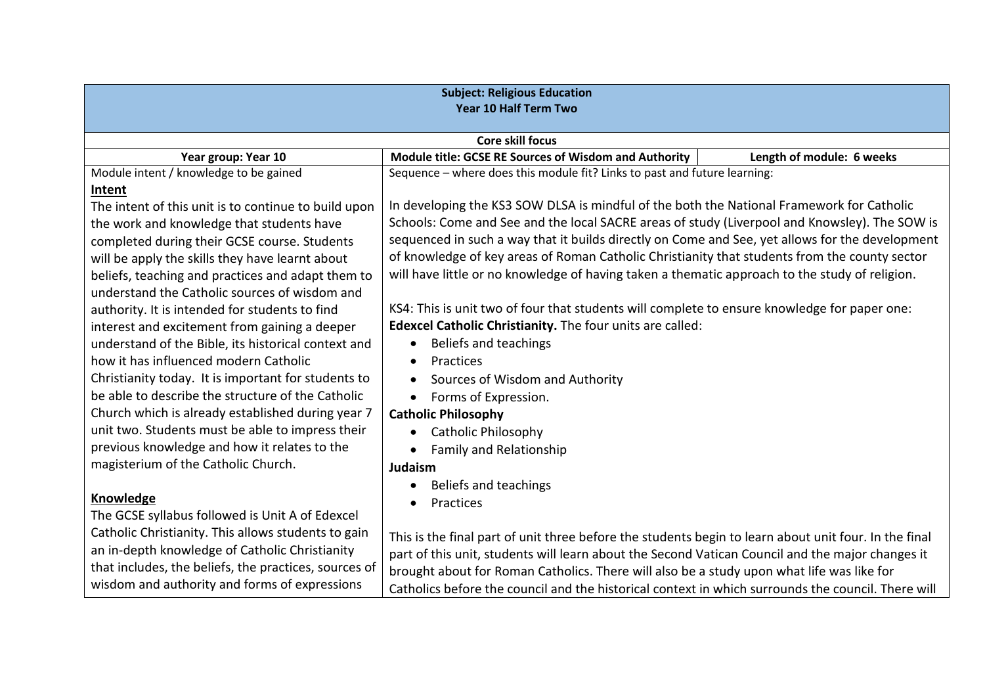| <b>Subject: Religious Education</b><br><b>Year 10 Half Term Two</b> |                                                                                                       |                           |  |  |
|---------------------------------------------------------------------|-------------------------------------------------------------------------------------------------------|---------------------------|--|--|
|                                                                     | <b>Core skill focus</b>                                                                               |                           |  |  |
| Year group: Year 10                                                 | Module title: GCSE RE Sources of Wisdom and Authority                                                 | Length of module: 6 weeks |  |  |
| Module intent / knowledge to be gained                              | Sequence - where does this module fit? Links to past and future learning:                             |                           |  |  |
| Intent                                                              |                                                                                                       |                           |  |  |
| The intent of this unit is to continue to build upon                | In developing the KS3 SOW DLSA is mindful of the both the National Framework for Catholic             |                           |  |  |
| the work and knowledge that students have                           | Schools: Come and See and the local SACRE areas of study (Liverpool and Knowsley). The SOW is         |                           |  |  |
| completed during their GCSE course. Students                        | sequenced in such a way that it builds directly on Come and See, yet allows for the development       |                           |  |  |
| will be apply the skills they have learnt about                     | of knowledge of key areas of Roman Catholic Christianity that students from the county sector         |                           |  |  |
| beliefs, teaching and practices and adapt them to                   | will have little or no knowledge of having taken a thematic approach to the study of religion.        |                           |  |  |
| understand the Catholic sources of wisdom and                       |                                                                                                       |                           |  |  |
| authority. It is intended for students to find                      | KS4: This is unit two of four that students will complete to ensure knowledge for paper one:          |                           |  |  |
| interest and excitement from gaining a deeper                       | Edexcel Catholic Christianity. The four units are called:                                             |                           |  |  |
| understand of the Bible, its historical context and                 | Beliefs and teachings<br>$\bullet$                                                                    |                           |  |  |
| how it has influenced modern Catholic                               | Practices                                                                                             |                           |  |  |
| Christianity today. It is important for students to                 | Sources of Wisdom and Authority                                                                       |                           |  |  |
| be able to describe the structure of the Catholic                   | Forms of Expression.                                                                                  |                           |  |  |
| Church which is already established during year 7                   | <b>Catholic Philosophy</b>                                                                            |                           |  |  |
| unit two. Students must be able to impress their                    | <b>Catholic Philosophy</b><br>$\bullet$                                                               |                           |  |  |
| previous knowledge and how it relates to the                        | <b>Family and Relationship</b>                                                                        |                           |  |  |
| magisterium of the Catholic Church.                                 | <b>Judaism</b>                                                                                        |                           |  |  |
|                                                                     | Beliefs and teachings                                                                                 |                           |  |  |
| Knowledge                                                           | Practices                                                                                             |                           |  |  |
| The GCSE syllabus followed is Unit A of Edexcel                     |                                                                                                       |                           |  |  |
| Catholic Christianity. This allows students to gain                 | This is the final part of unit three before the students begin to learn about unit four. In the final |                           |  |  |
| an in-depth knowledge of Catholic Christianity                      | part of this unit, students will learn about the Second Vatican Council and the major changes it      |                           |  |  |
| that includes, the beliefs, the practices, sources of               | brought about for Roman Catholics. There will also be a study upon what life was like for             |                           |  |  |
| wisdom and authority and forms of expressions                       | Catholics before the council and the historical context in which surrounds the council. There will    |                           |  |  |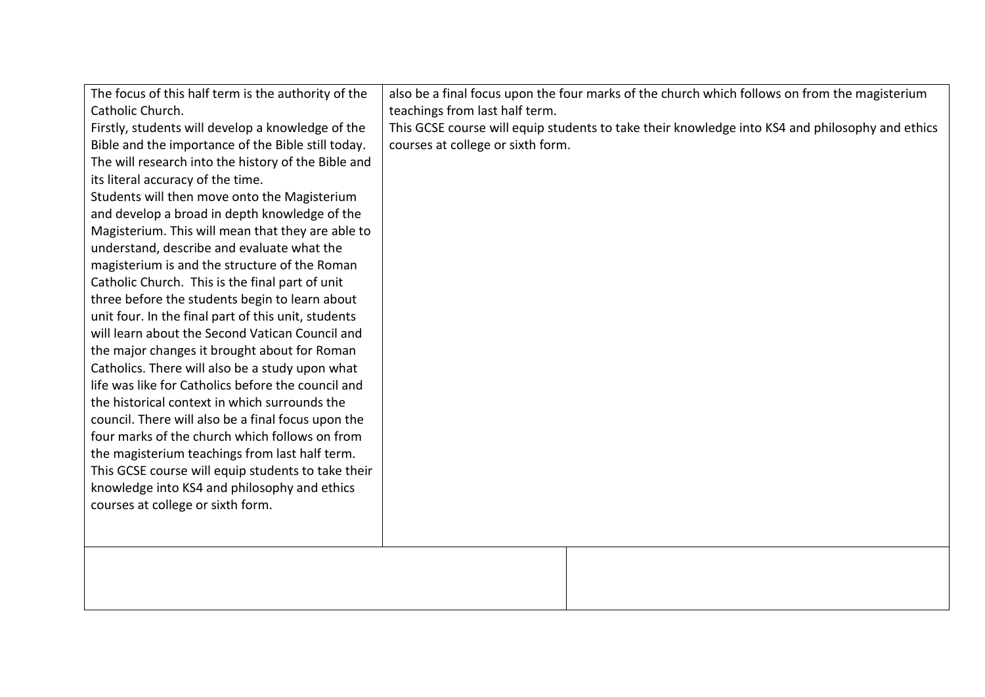| The focus of this half term is the authority of the<br>Catholic Church.<br>Firstly, students will develop a knowledge of the<br>Bible and the importance of the Bible still today.<br>The will research into the history of the Bible and<br>its literal accuracy of the time.<br>Students will then move onto the Magisterium<br>and develop a broad in depth knowledge of the<br>Magisterium. This will mean that they are able to<br>understand, describe and evaluate what the<br>magisterium is and the structure of the Roman<br>Catholic Church. This is the final part of unit<br>three before the students begin to learn about<br>unit four. In the final part of this unit, students<br>will learn about the Second Vatican Council and<br>the major changes it brought about for Roman<br>Catholics. There will also be a study upon what<br>life was like for Catholics before the council and<br>the historical context in which surrounds the<br>council. There will also be a final focus upon the<br>four marks of the church which follows on from<br>the magisterium teachings from last half term.<br>This GCSE course will equip students to take their<br>knowledge into KS4 and philosophy and ethics<br>courses at college or sixth form. | also be a final focus upon the four marks of the church which follows on from the magisterium<br>teachings from last half term.<br>This GCSE course will equip students to take their knowledge into KS4 and philosophy and ethics<br>courses at college or sixth form. |
|-------------------------------------------------------------------------------------------------------------------------------------------------------------------------------------------------------------------------------------------------------------------------------------------------------------------------------------------------------------------------------------------------------------------------------------------------------------------------------------------------------------------------------------------------------------------------------------------------------------------------------------------------------------------------------------------------------------------------------------------------------------------------------------------------------------------------------------------------------------------------------------------------------------------------------------------------------------------------------------------------------------------------------------------------------------------------------------------------------------------------------------------------------------------------------------------------------------------------------------------------------------------|-------------------------------------------------------------------------------------------------------------------------------------------------------------------------------------------------------------------------------------------------------------------------|
|                                                                                                                                                                                                                                                                                                                                                                                                                                                                                                                                                                                                                                                                                                                                                                                                                                                                                                                                                                                                                                                                                                                                                                                                                                                                   |                                                                                                                                                                                                                                                                         |
|                                                                                                                                                                                                                                                                                                                                                                                                                                                                                                                                                                                                                                                                                                                                                                                                                                                                                                                                                                                                                                                                                                                                                                                                                                                                   |                                                                                                                                                                                                                                                                         |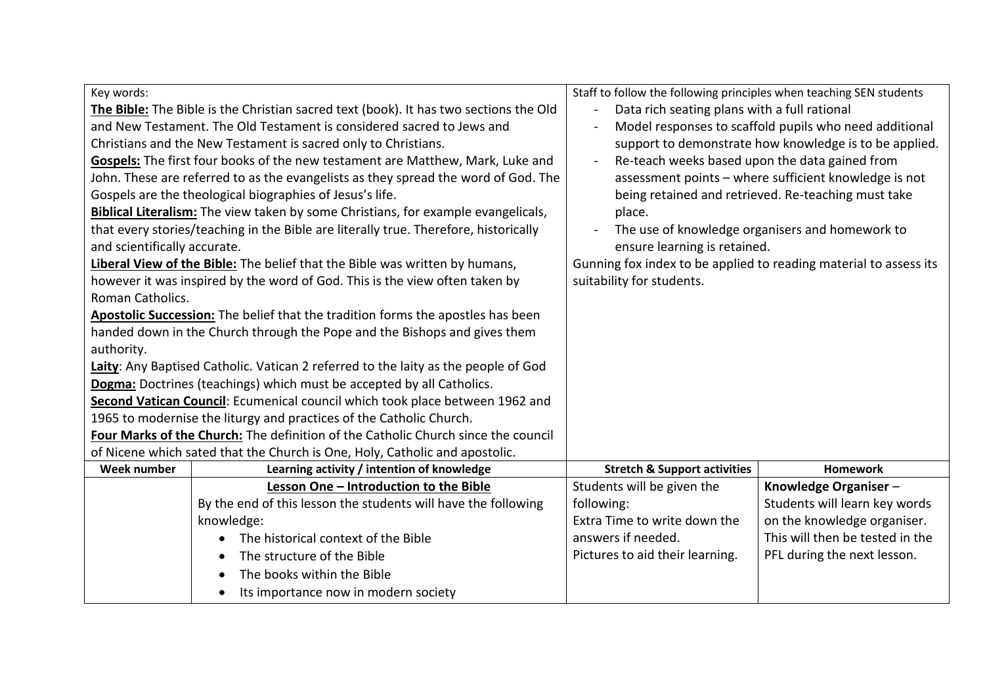| Key words:<br>The Bible: The Bible is the Christian sacred text (book). It has two sections the Old<br>and New Testament. The Old Testament is considered sacred to Jews and<br>Christians and the New Testament is sacred only to Christians.                                                                                                                                                                                                       |                                                                                                                                                                                                                                         | Staff to follow the following principles when teaching SEN students<br>Data rich seating plans with a full rational | Model responses to scaffold pupils who need additional<br>support to demonstrate how knowledge is to be applied.                                                |
|------------------------------------------------------------------------------------------------------------------------------------------------------------------------------------------------------------------------------------------------------------------------------------------------------------------------------------------------------------------------------------------------------------------------------------------------------|-----------------------------------------------------------------------------------------------------------------------------------------------------------------------------------------------------------------------------------------|---------------------------------------------------------------------------------------------------------------------|-----------------------------------------------------------------------------------------------------------------------------------------------------------------|
| Gospels: The first four books of the new testament are Matthew, Mark, Luke and<br>John. These are referred to as the evangelists as they spread the word of God. The<br>Gospels are the theological biographies of Jesus's life.<br><b>Biblical Literalism:</b> The view taken by some Christians, for example evangelicals,<br>that every stories/teaching in the Bible are literally true. Therefore, historically<br>and scientifically accurate. |                                                                                                                                                                                                                                         | Re-teach weeks based upon the data gained from<br>place.<br>ensure learning is retained.                            | assessment points - where sufficient knowledge is not<br>being retained and retrieved. Re-teaching must take<br>The use of knowledge organisers and homework to |
| Liberal View of the Bible: The belief that the Bible was written by humans,<br>however it was inspired by the word of God. This is the view often taken by<br>Roman Catholics.                                                                                                                                                                                                                                                                       |                                                                                                                                                                                                                                         | Gunning fox index to be applied to reading material to assess its<br>suitability for students.                      |                                                                                                                                                                 |
| Apostolic Succession: The belief that the tradition forms the apostles has been<br>handed down in the Church through the Pope and the Bishops and gives them<br>authority.                                                                                                                                                                                                                                                                           |                                                                                                                                                                                                                                         |                                                                                                                     |                                                                                                                                                                 |
| Laity: Any Baptised Catholic. Vatican 2 referred to the laity as the people of God<br>Dogma: Doctrines (teachings) which must be accepted by all Catholics.<br>Second Vatican Council: Ecumenical council which took place between 1962 and                                                                                                                                                                                                          |                                                                                                                                                                                                                                         |                                                                                                                     |                                                                                                                                                                 |
|                                                                                                                                                                                                                                                                                                                                                                                                                                                      | 1965 to modernise the liturgy and practices of the Catholic Church.<br>Four Marks of the Church: The definition of the Catholic Church since the council<br>of Nicene which sated that the Church is One, Holy, Catholic and apostolic. |                                                                                                                     |                                                                                                                                                                 |
| <b>Week number</b>                                                                                                                                                                                                                                                                                                                                                                                                                                   | Learning activity / intention of knowledge                                                                                                                                                                                              | <b>Stretch &amp; Support activities</b>                                                                             | <b>Homework</b>                                                                                                                                                 |
|                                                                                                                                                                                                                                                                                                                                                                                                                                                      | Lesson One - Introduction to the Bible<br>By the end of this lesson the students will have the following<br>knowledge:<br>The historical context of the Bible                                                                           | Students will be given the<br>following:<br>Extra Time to write down the<br>answers if needed.                      | Knowledge Organiser-<br>Students will learn key words<br>on the knowledge organiser.<br>This will then be tested in the                                         |
|                                                                                                                                                                                                                                                                                                                                                                                                                                                      | The structure of the Bible<br>The books within the Bible<br>Its importance now in modern society                                                                                                                                        | Pictures to aid their learning.                                                                                     | PFL during the next lesson.                                                                                                                                     |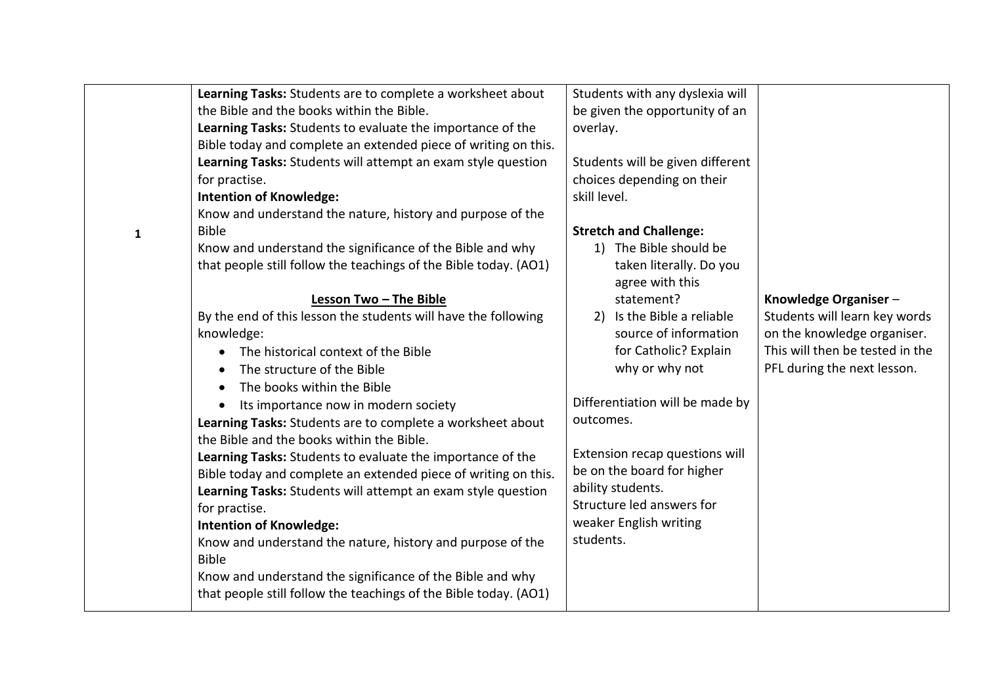|   | Learning Tasks: Students are to complete a worksheet about       | Students with any dyslexia will  |                                 |
|---|------------------------------------------------------------------|----------------------------------|---------------------------------|
|   | the Bible and the books within the Bible.                        | be given the opportunity of an   |                                 |
|   | Learning Tasks: Students to evaluate the importance of the       | overlay.                         |                                 |
|   | Bible today and complete an extended piece of writing on this.   |                                  |                                 |
|   | Learning Tasks: Students will attempt an exam style question     | Students will be given different |                                 |
|   | for practise.                                                    | choices depending on their       |                                 |
|   | <b>Intention of Knowledge:</b>                                   | skill level.                     |                                 |
|   | Know and understand the nature, history and purpose of the       |                                  |                                 |
| 1 | <b>Bible</b>                                                     | <b>Stretch and Challenge:</b>    |                                 |
|   | Know and understand the significance of the Bible and why        | 1) The Bible should be           |                                 |
|   | that people still follow the teachings of the Bible today. (AO1) | taken literally. Do you          |                                 |
|   |                                                                  | agree with this                  |                                 |
|   | Lesson Two - The Bible                                           | statement?                       | Knowledge Organiser-            |
|   | By the end of this lesson the students will have the following   | Is the Bible a reliable<br>2)    | Students will learn key words   |
|   | knowledge:                                                       | source of information            | on the knowledge organiser.     |
|   | The historical context of the Bible                              | for Catholic? Explain            | This will then be tested in the |
|   | The structure of the Bible                                       | why or why not                   | PFL during the next lesson.     |
|   | The books within the Bible                                       |                                  |                                 |
|   | Its importance now in modern society                             | Differentiation will be made by  |                                 |
|   | Learning Tasks: Students are to complete a worksheet about       | outcomes.                        |                                 |
|   | the Bible and the books within the Bible.                        |                                  |                                 |
|   | Learning Tasks: Students to evaluate the importance of the       | Extension recap questions will   |                                 |
|   | Bible today and complete an extended piece of writing on this.   | be on the board for higher       |                                 |
|   | Learning Tasks: Students will attempt an exam style question     | ability students.                |                                 |
|   | for practise.                                                    | Structure led answers for        |                                 |
|   | <b>Intention of Knowledge:</b>                                   | weaker English writing           |                                 |
|   | Know and understand the nature, history and purpose of the       | students.                        |                                 |
|   | <b>Bible</b>                                                     |                                  |                                 |
|   | Know and understand the significance of the Bible and why        |                                  |                                 |
|   | that people still follow the teachings of the Bible today. (AO1) |                                  |                                 |
|   |                                                                  |                                  |                                 |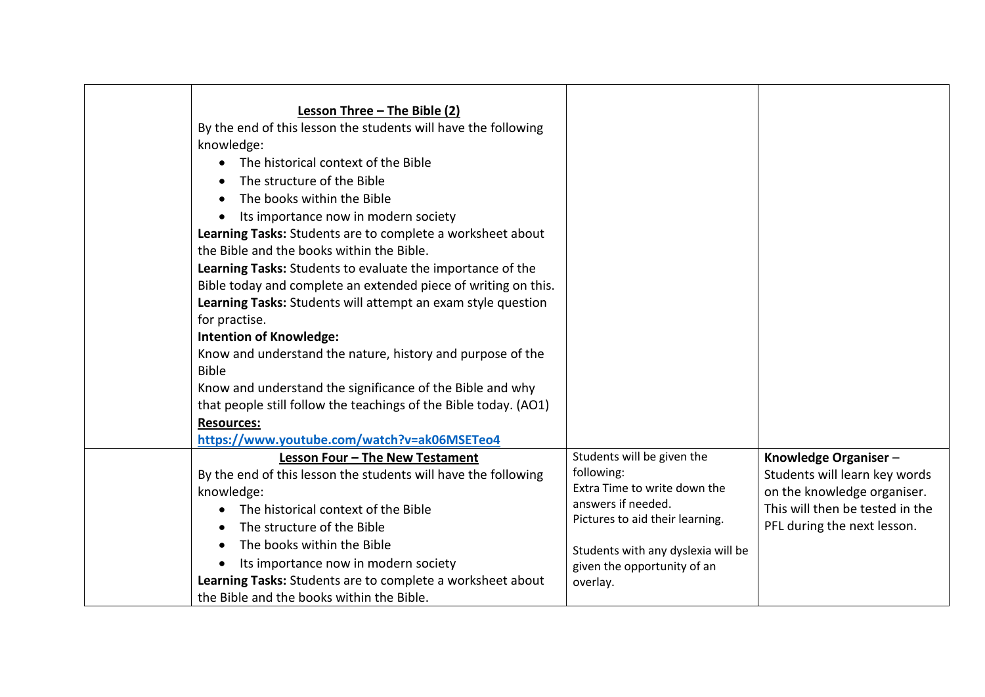| Lesson Three - The Bible (2)<br>By the end of this lesson the students will have the following<br>knowledge:<br>The historical context of the Bible<br>The structure of the Bible<br>The books within the Bible<br>Its importance now in modern society<br>Learning Tasks: Students are to complete a worksheet about                                                                                                                                                                                                                                                           |                                                                                                                                                                                                                    |                                                                                                                                                        |
|---------------------------------------------------------------------------------------------------------------------------------------------------------------------------------------------------------------------------------------------------------------------------------------------------------------------------------------------------------------------------------------------------------------------------------------------------------------------------------------------------------------------------------------------------------------------------------|--------------------------------------------------------------------------------------------------------------------------------------------------------------------------------------------------------------------|--------------------------------------------------------------------------------------------------------------------------------------------------------|
| the Bible and the books within the Bible.<br>Learning Tasks: Students to evaluate the importance of the<br>Bible today and complete an extended piece of writing on this.<br>Learning Tasks: Students will attempt an exam style question<br>for practise.<br><b>Intention of Knowledge:</b><br>Know and understand the nature, history and purpose of the<br><b>Bible</b><br>Know and understand the significance of the Bible and why<br>that people still follow the teachings of the Bible today. (AO1)<br><b>Resources:</b><br>https://www.youtube.com/watch?v=ak06MSETeo4 |                                                                                                                                                                                                                    |                                                                                                                                                        |
| Lesson Four - The New Testament<br>By the end of this lesson the students will have the following<br>knowledge:<br>The historical context of the Bible<br>The structure of the Bible<br>The books within the Bible<br>Its importance now in modern society<br>Learning Tasks: Students are to complete a worksheet about<br>the Bible and the books within the Bible.                                                                                                                                                                                                           | Students will be given the<br>following:<br>Extra Time to write down the<br>answers if needed.<br>Pictures to aid their learning.<br>Students with any dyslexia will be<br>given the opportunity of an<br>overlay. | Knowledge Organiser-<br>Students will learn key words<br>on the knowledge organiser.<br>This will then be tested in the<br>PFL during the next lesson. |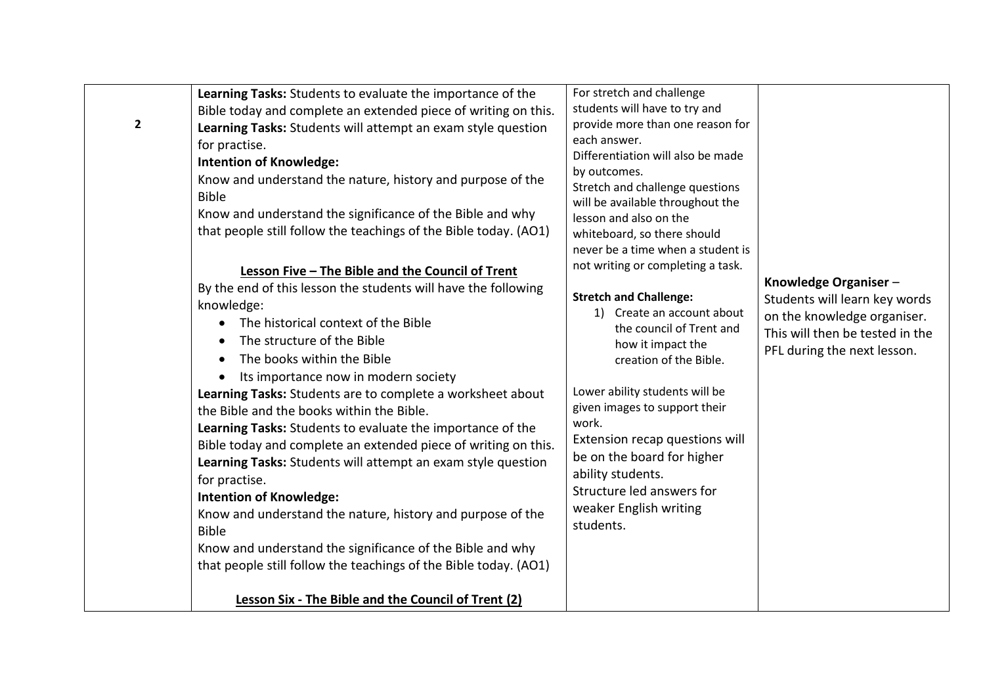| $\mathbf{2}$<br><b>Bible</b><br>$\bullet$<br><b>Bible</b><br>that people still follow the teachings of the Bible today. (AO1) | Bible today and complete an extended piece of writing on this.<br>Learning Tasks: Students will attempt an exam style question<br>for practise.<br><b>Intention of Knowledge:</b><br>Know and understand the nature, history and purpose of the<br>Know and understand the significance of the Bible and why<br>that people still follow the teachings of the Bible today. (AO1)<br>Lesson Five - The Bible and the Council of Trent<br>By the end of this lesson the students will have the following<br>knowledge:<br>The historical context of the Bible<br>$\bullet$<br>The structure of the Bible<br>The books within the Bible<br>Its importance now in modern society<br>Learning Tasks: Students are to complete a worksheet about<br>the Bible and the books within the Bible.<br>Learning Tasks: Students to evaluate the importance of the<br>Bible today and complete an extended piece of writing on this.<br>Learning Tasks: Students will attempt an exam style question<br>for practise.<br><b>Intention of Knowledge:</b><br>Know and understand the nature, history and purpose of the<br>Know and understand the significance of the Bible and why | students will have to try and<br>provide more than one reason for<br>each answer.<br>Differentiation will also be made<br>by outcomes.<br>Stretch and challenge questions<br>will be available throughout the<br>lesson and also on the<br>whiteboard, so there should<br>never be a time when a student is<br>not writing or completing a task.<br><b>Stretch and Challenge:</b><br>1) Create an account about<br>the council of Trent and<br>how it impact the<br>creation of the Bible.<br>Lower ability students will be<br>given images to support their<br>work.<br>Extension recap questions will<br>be on the board for higher<br>ability students.<br>Structure led answers for<br>weaker English writing<br>students. | Knowledge Organiser-<br>Students will learn key words<br>on the knowledge organiser.<br>This will then be tested in the<br>PFL during the next lesson. |
|-------------------------------------------------------------------------------------------------------------------------------|-----------------------------------------------------------------------------------------------------------------------------------------------------------------------------------------------------------------------------------------------------------------------------------------------------------------------------------------------------------------------------------------------------------------------------------------------------------------------------------------------------------------------------------------------------------------------------------------------------------------------------------------------------------------------------------------------------------------------------------------------------------------------------------------------------------------------------------------------------------------------------------------------------------------------------------------------------------------------------------------------------------------------------------------------------------------------------------------------------------------------------------------------------------------------|---------------------------------------------------------------------------------------------------------------------------------------------------------------------------------------------------------------------------------------------------------------------------------------------------------------------------------------------------------------------------------------------------------------------------------------------------------------------------------------------------------------------------------------------------------------------------------------------------------------------------------------------------------------------------------------------------------------------------------|--------------------------------------------------------------------------------------------------------------------------------------------------------|
|-------------------------------------------------------------------------------------------------------------------------------|-----------------------------------------------------------------------------------------------------------------------------------------------------------------------------------------------------------------------------------------------------------------------------------------------------------------------------------------------------------------------------------------------------------------------------------------------------------------------------------------------------------------------------------------------------------------------------------------------------------------------------------------------------------------------------------------------------------------------------------------------------------------------------------------------------------------------------------------------------------------------------------------------------------------------------------------------------------------------------------------------------------------------------------------------------------------------------------------------------------------------------------------------------------------------|---------------------------------------------------------------------------------------------------------------------------------------------------------------------------------------------------------------------------------------------------------------------------------------------------------------------------------------------------------------------------------------------------------------------------------------------------------------------------------------------------------------------------------------------------------------------------------------------------------------------------------------------------------------------------------------------------------------------------------|--------------------------------------------------------------------------------------------------------------------------------------------------------|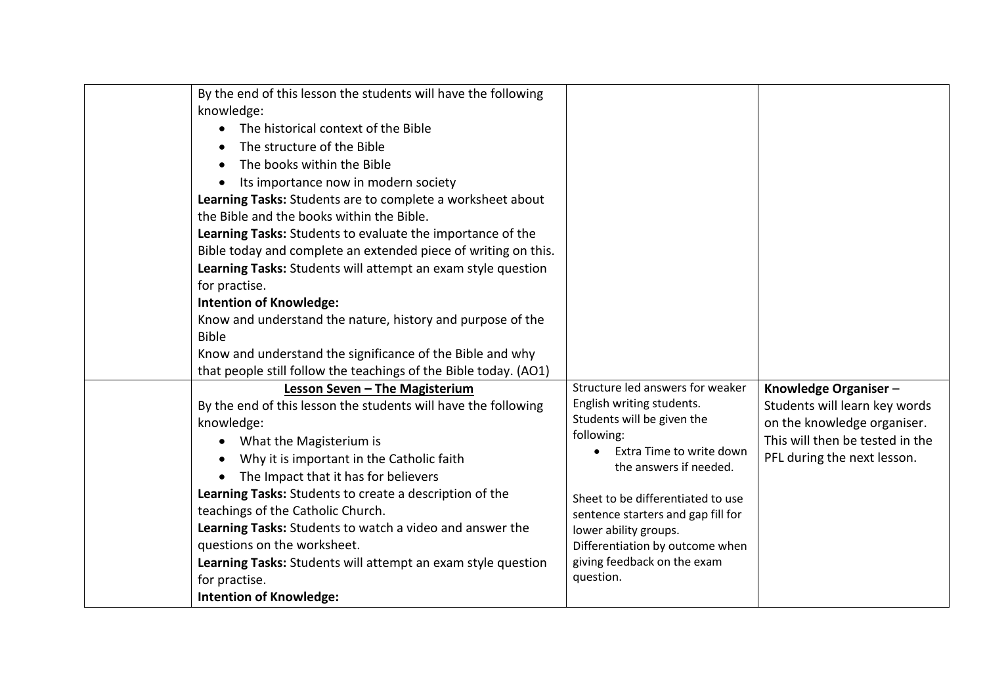| By the end of this lesson the students will have the following<br>knowledge:<br>The historical context of the Bible<br>The structure of the Bible<br>The books within the Bible<br>Its importance now in modern society<br>Learning Tasks: Students are to complete a worksheet about<br>the Bible and the books within the Bible.<br>Learning Tasks: Students to evaluate the importance of the<br>Bible today and complete an extended piece of writing on this.<br>Learning Tasks: Students will attempt an exam style question<br>for practise.<br><b>Intention of Knowledge:</b><br>Know and understand the nature, history and purpose of the<br><b>Bible</b><br>Know and understand the significance of the Bible and why<br>that people still follow the teachings of the Bible today. (AO1) |                                                                                                                                                                                                                                                                                                                                                    |                                                                                                                                                        |
|------------------------------------------------------------------------------------------------------------------------------------------------------------------------------------------------------------------------------------------------------------------------------------------------------------------------------------------------------------------------------------------------------------------------------------------------------------------------------------------------------------------------------------------------------------------------------------------------------------------------------------------------------------------------------------------------------------------------------------------------------------------------------------------------------|----------------------------------------------------------------------------------------------------------------------------------------------------------------------------------------------------------------------------------------------------------------------------------------------------------------------------------------------------|--------------------------------------------------------------------------------------------------------------------------------------------------------|
| Lesson Seven - The Magisterium<br>By the end of this lesson the students will have the following<br>knowledge:<br>What the Magisterium is<br>$\bullet$<br>Why it is important in the Catholic faith<br>The Impact that it has for believers<br>Learning Tasks: Students to create a description of the<br>teachings of the Catholic Church.<br>Learning Tasks: Students to watch a video and answer the<br>questions on the worksheet.<br>Learning Tasks: Students will attempt an exam style question<br>for practise.<br><b>Intention of Knowledge:</b>                                                                                                                                                                                                                                            | Structure led answers for weaker<br>English writing students.<br>Students will be given the<br>following:<br>Extra Time to write down<br>the answers if needed.<br>Sheet to be differentiated to use<br>sentence starters and gap fill for<br>lower ability groups.<br>Differentiation by outcome when<br>giving feedback on the exam<br>question. | Knowledge Organiser-<br>Students will learn key words<br>on the knowledge organiser.<br>This will then be tested in the<br>PFL during the next lesson. |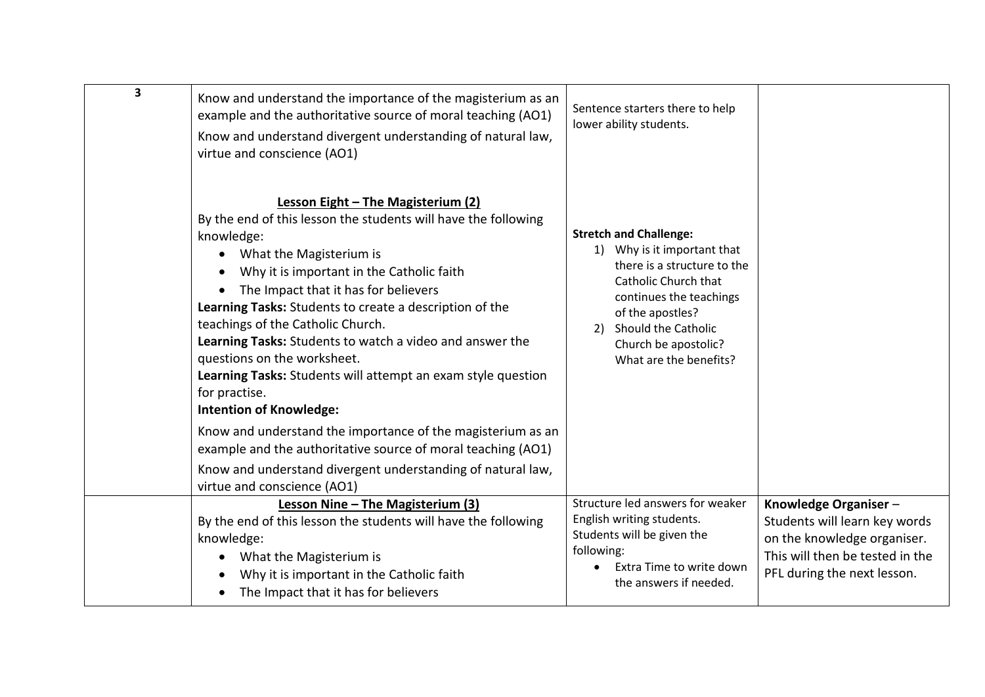| $\overline{\mathbf{3}}$ | Know and understand the importance of the magisterium as an<br>example and the authoritative source of moral teaching (AO1)<br>Know and understand divergent understanding of natural law,<br>virtue and conscience (AO1)                                                                                                                                                                                                                                                                                                                                     | Sentence starters there to help<br>lower ability students.                                                                                                                                                                                        |                                                                                                                                                        |
|-------------------------|---------------------------------------------------------------------------------------------------------------------------------------------------------------------------------------------------------------------------------------------------------------------------------------------------------------------------------------------------------------------------------------------------------------------------------------------------------------------------------------------------------------------------------------------------------------|---------------------------------------------------------------------------------------------------------------------------------------------------------------------------------------------------------------------------------------------------|--------------------------------------------------------------------------------------------------------------------------------------------------------|
|                         | Lesson Eight - The Magisterium (2)<br>By the end of this lesson the students will have the following<br>knowledge:<br>What the Magisterium is<br>$\bullet$<br>Why it is important in the Catholic faith<br>The Impact that it has for believers<br>Learning Tasks: Students to create a description of the<br>teachings of the Catholic Church.<br>Learning Tasks: Students to watch a video and answer the<br>questions on the worksheet.<br>Learning Tasks: Students will attempt an exam style question<br>for practise.<br><b>Intention of Knowledge:</b> | <b>Stretch and Challenge:</b><br>1) Why is it important that<br>there is a structure to the<br>Catholic Church that<br>continues the teachings<br>of the apostles?<br>Should the Catholic<br>2)<br>Church be apostolic?<br>What are the benefits? |                                                                                                                                                        |
|                         | Know and understand the importance of the magisterium as an<br>example and the authoritative source of moral teaching (AO1)                                                                                                                                                                                                                                                                                                                                                                                                                                   |                                                                                                                                                                                                                                                   |                                                                                                                                                        |
|                         | Know and understand divergent understanding of natural law,<br>virtue and conscience (AO1)                                                                                                                                                                                                                                                                                                                                                                                                                                                                    |                                                                                                                                                                                                                                                   |                                                                                                                                                        |
|                         | Lesson Nine - The Magisterium (3)<br>By the end of this lesson the students will have the following<br>knowledge:<br>What the Magisterium is<br>$\bullet$<br>Why it is important in the Catholic faith<br>The Impact that it has for believers<br>٠                                                                                                                                                                                                                                                                                                           | Structure led answers for weaker<br>English writing students.<br>Students will be given the<br>following:<br>Extra Time to write down<br>the answers if needed.                                                                                   | Knowledge Organiser-<br>Students will learn key words<br>on the knowledge organiser.<br>This will then be tested in the<br>PFL during the next lesson. |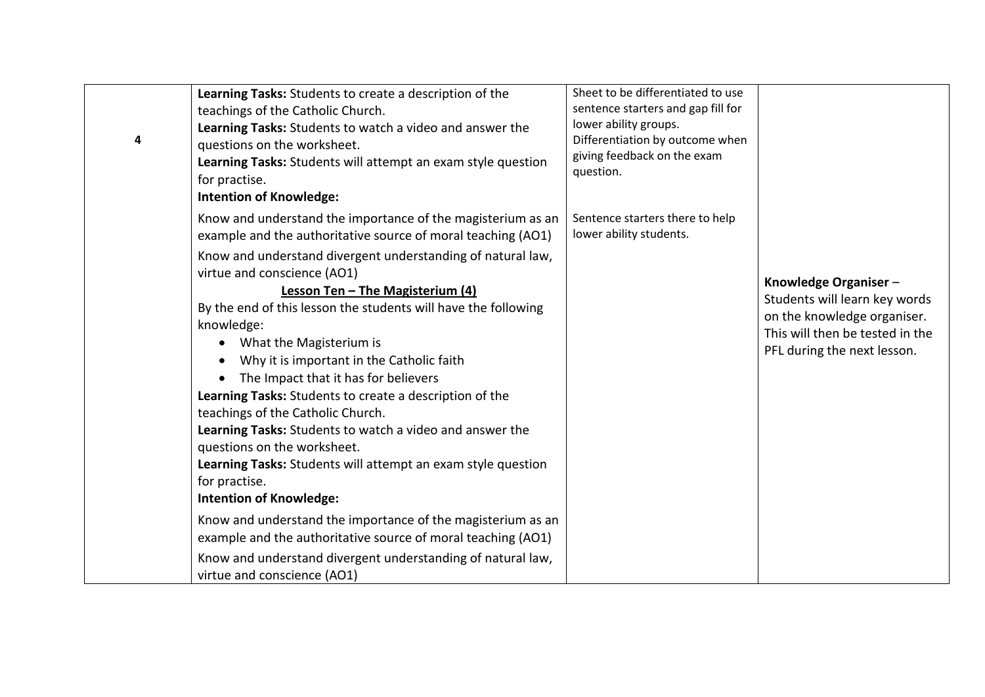| 4 | Learning Tasks: Students to create a description of the<br>teachings of the Catholic Church.<br>Learning Tasks: Students to watch a video and answer the<br>questions on the worksheet.<br>Learning Tasks: Students will attempt an exam style question<br>for practise.<br><b>Intention of Knowledge:</b>                                                                                                                                                                                                                                                                                                                                                                          | Sheet to be differentiated to use<br>sentence starters and gap fill for<br>lower ability groups.<br>Differentiation by outcome when<br>giving feedback on the exam<br>question. |                                                                                                                                                        |
|---|-------------------------------------------------------------------------------------------------------------------------------------------------------------------------------------------------------------------------------------------------------------------------------------------------------------------------------------------------------------------------------------------------------------------------------------------------------------------------------------------------------------------------------------------------------------------------------------------------------------------------------------------------------------------------------------|---------------------------------------------------------------------------------------------------------------------------------------------------------------------------------|--------------------------------------------------------------------------------------------------------------------------------------------------------|
|   | Know and understand the importance of the magisterium as an<br>example and the authoritative source of moral teaching (AO1)                                                                                                                                                                                                                                                                                                                                                                                                                                                                                                                                                         | Sentence starters there to help<br>lower ability students.                                                                                                                      |                                                                                                                                                        |
|   | Know and understand divergent understanding of natural law,<br>virtue and conscience (AO1)<br>Lesson Ten - The Magisterium (4)<br>By the end of this lesson the students will have the following<br>knowledge:<br>What the Magisterium is<br>$\bullet$<br>Why it is important in the Catholic faith<br>$\bullet$<br>The Impact that it has for believers<br>$\bullet$<br>Learning Tasks: Students to create a description of the<br>teachings of the Catholic Church.<br>Learning Tasks: Students to watch a video and answer the<br>questions on the worksheet.<br>Learning Tasks: Students will attempt an exam style question<br>for practise.<br><b>Intention of Knowledge:</b> |                                                                                                                                                                                 | Knowledge Organiser-<br>Students will learn key words<br>on the knowledge organiser.<br>This will then be tested in the<br>PFL during the next lesson. |
|   | Know and understand the importance of the magisterium as an<br>example and the authoritative source of moral teaching (AO1)                                                                                                                                                                                                                                                                                                                                                                                                                                                                                                                                                         |                                                                                                                                                                                 |                                                                                                                                                        |
|   | Know and understand divergent understanding of natural law,<br>virtue and conscience (AO1)                                                                                                                                                                                                                                                                                                                                                                                                                                                                                                                                                                                          |                                                                                                                                                                                 |                                                                                                                                                        |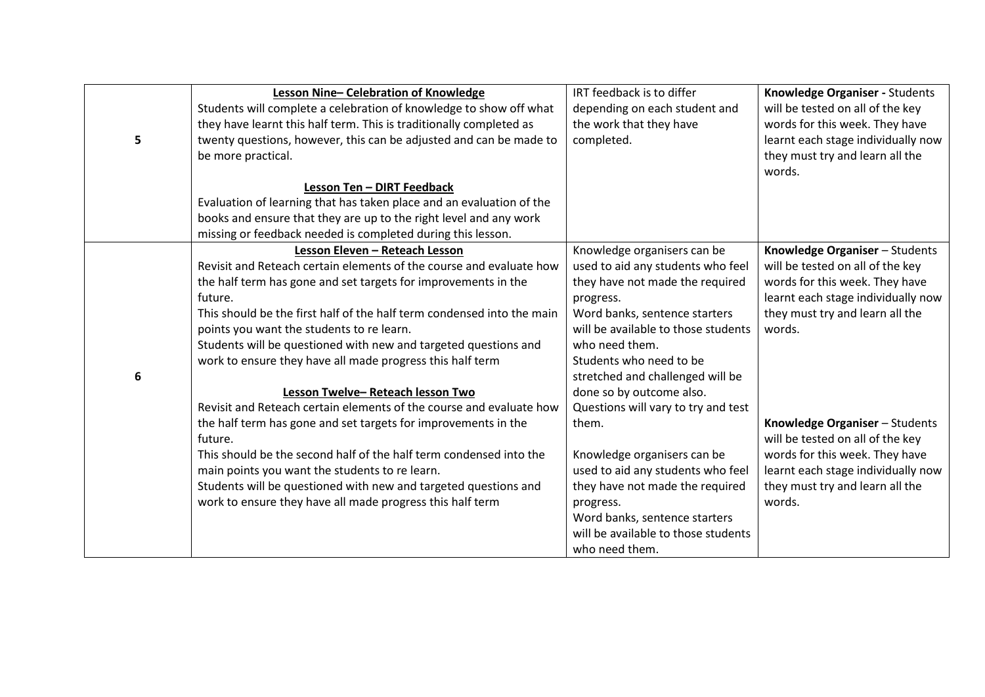|   | Lesson Nine-Celebration of Knowledge                                   | IRT feedback is to differ           | Knowledge Organiser - Students     |
|---|------------------------------------------------------------------------|-------------------------------------|------------------------------------|
|   | Students will complete a celebration of knowledge to show off what     | depending on each student and       | will be tested on all of the key   |
|   | they have learnt this half term. This is traditionally completed as    | the work that they have             | words for this week. They have     |
| 5 | twenty questions, however, this can be adjusted and can be made to     | completed.                          | learnt each stage individually now |
|   | be more practical.                                                     |                                     | they must try and learn all the    |
|   |                                                                        |                                     | words.                             |
|   | Lesson Ten - DIRT Feedback                                             |                                     |                                    |
|   | Evaluation of learning that has taken place and an evaluation of the   |                                     |                                    |
|   | books and ensure that they are up to the right level and any work      |                                     |                                    |
|   | missing or feedback needed is completed during this lesson.            |                                     |                                    |
|   | Lesson Eleven - Reteach Lesson                                         | Knowledge organisers can be         | Knowledge Organiser - Students     |
|   | Revisit and Reteach certain elements of the course and evaluate how    | used to aid any students who feel   | will be tested on all of the key   |
|   | the half term has gone and set targets for improvements in the         | they have not made the required     | words for this week. They have     |
|   | future.                                                                | progress.                           | learnt each stage individually now |
|   | This should be the first half of the half term condensed into the main | Word banks, sentence starters       | they must try and learn all the    |
|   | points you want the students to re learn.                              | will be available to those students | words.                             |
|   | Students will be questioned with new and targeted questions and        | who need them.                      |                                    |
|   | work to ensure they have all made progress this half term              | Students who need to be             |                                    |
| 6 |                                                                        | stretched and challenged will be    |                                    |
|   | Lesson Twelve-Reteach lesson Two                                       | done so by outcome also.            |                                    |
|   | Revisit and Reteach certain elements of the course and evaluate how    | Questions will vary to try and test |                                    |
|   | the half term has gone and set targets for improvements in the         | them.                               | Knowledge Organiser - Students     |
|   | future.                                                                |                                     | will be tested on all of the key   |
|   | This should be the second half of the half term condensed into the     | Knowledge organisers can be         | words for this week. They have     |
|   | main points you want the students to re learn.                         | used to aid any students who feel   | learnt each stage individually now |
|   | Students will be questioned with new and targeted questions and        | they have not made the required     | they must try and learn all the    |
|   | work to ensure they have all made progress this half term              | progress.                           | words.                             |
|   |                                                                        | Word banks, sentence starters       |                                    |
|   |                                                                        | will be available to those students |                                    |
|   |                                                                        | who need them.                      |                                    |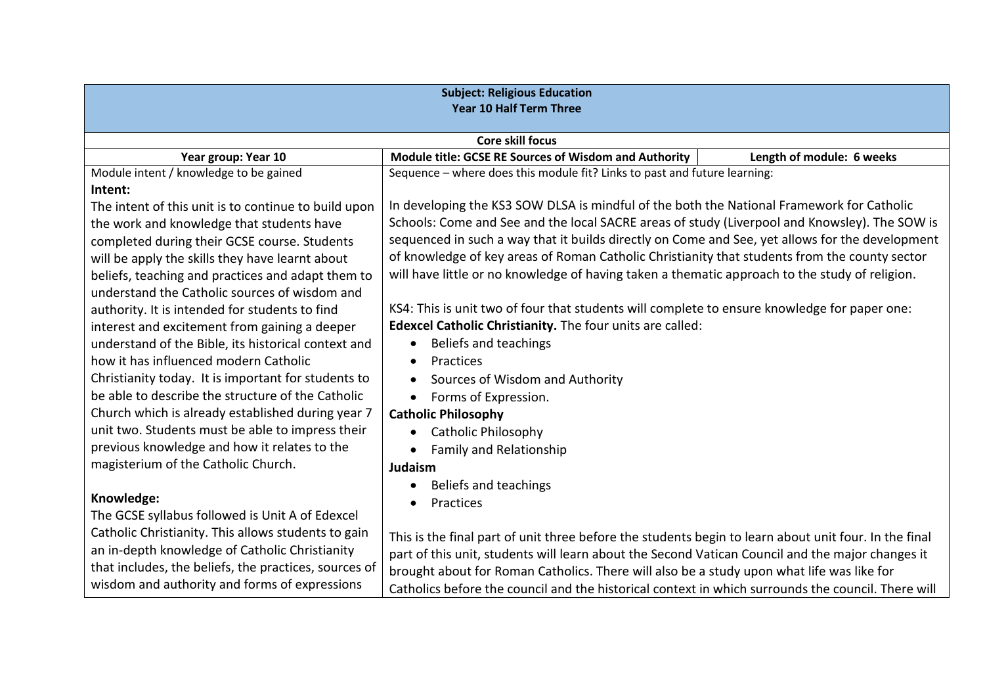| <b>Subject: Religious Education</b><br><b>Year 10 Half Term Three</b> |                                                                                                       |                           |  |
|-----------------------------------------------------------------------|-------------------------------------------------------------------------------------------------------|---------------------------|--|
|                                                                       | <b>Core skill focus</b>                                                                               |                           |  |
| Year group: Year 10                                                   | Module title: GCSE RE Sources of Wisdom and Authority                                                 | Length of module: 6 weeks |  |
| Module intent / knowledge to be gained                                | Sequence - where does this module fit? Links to past and future learning:                             |                           |  |
| Intent:                                                               |                                                                                                       |                           |  |
| The intent of this unit is to continue to build upon                  | In developing the KS3 SOW DLSA is mindful of the both the National Framework for Catholic             |                           |  |
| the work and knowledge that students have                             | Schools: Come and See and the local SACRE areas of study (Liverpool and Knowsley). The SOW is         |                           |  |
| completed during their GCSE course. Students                          | sequenced in such a way that it builds directly on Come and See, yet allows for the development       |                           |  |
| will be apply the skills they have learnt about                       | of knowledge of key areas of Roman Catholic Christianity that students from the county sector         |                           |  |
| beliefs, teaching and practices and adapt them to                     | will have little or no knowledge of having taken a thematic approach to the study of religion.        |                           |  |
| understand the Catholic sources of wisdom and                         |                                                                                                       |                           |  |
| authority. It is intended for students to find                        | KS4: This is unit two of four that students will complete to ensure knowledge for paper one:          |                           |  |
| interest and excitement from gaining a deeper                         | Edexcel Catholic Christianity. The four units are called:                                             |                           |  |
| understand of the Bible, its historical context and                   | Beliefs and teachings                                                                                 |                           |  |
| how it has influenced modern Catholic                                 | Practices                                                                                             |                           |  |
| Christianity today. It is important for students to                   | Sources of Wisdom and Authority                                                                       |                           |  |
| be able to describe the structure of the Catholic                     | Forms of Expression.<br>$\bullet$                                                                     |                           |  |
| Church which is already established during year 7                     | <b>Catholic Philosophy</b>                                                                            |                           |  |
| unit two. Students must be able to impress their                      | <b>Catholic Philosophy</b>                                                                            |                           |  |
| previous knowledge and how it relates to the                          | <b>Family and Relationship</b>                                                                        |                           |  |
| magisterium of the Catholic Church.                                   | Judaism                                                                                               |                           |  |
|                                                                       | Beliefs and teachings                                                                                 |                           |  |
| Knowledge:                                                            | Practices                                                                                             |                           |  |
| The GCSE syllabus followed is Unit A of Edexcel                       |                                                                                                       |                           |  |
| Catholic Christianity. This allows students to gain                   | This is the final part of unit three before the students begin to learn about unit four. In the final |                           |  |
| an in-depth knowledge of Catholic Christianity                        | part of this unit, students will learn about the Second Vatican Council and the major changes it      |                           |  |
| that includes, the beliefs, the practices, sources of                 | brought about for Roman Catholics. There will also be a study upon what life was like for             |                           |  |
| wisdom and authority and forms of expressions                         | Catholics before the council and the historical context in which surrounds the council. There will    |                           |  |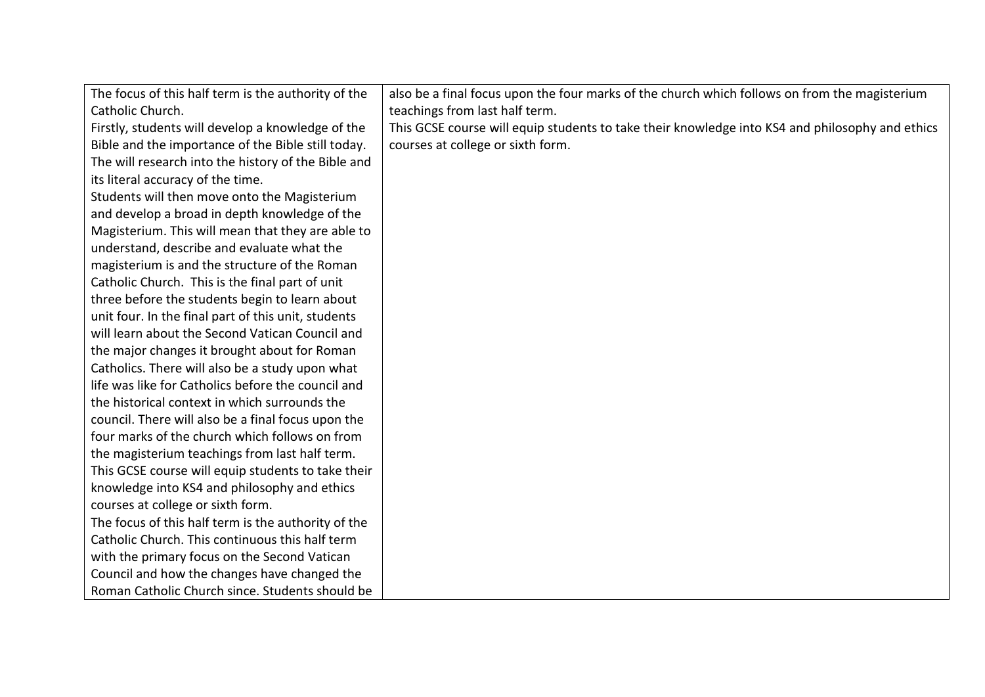| The focus of this half term is the authority of the | also be a final focus upon the four marks of the church which follows on from the magisterium   |
|-----------------------------------------------------|-------------------------------------------------------------------------------------------------|
| Catholic Church.                                    | teachings from last half term.                                                                  |
| Firstly, students will develop a knowledge of the   | This GCSE course will equip students to take their knowledge into KS4 and philosophy and ethics |
| Bible and the importance of the Bible still today.  | courses at college or sixth form.                                                               |
| The will research into the history of the Bible and |                                                                                                 |
| its literal accuracy of the time.                   |                                                                                                 |
| Students will then move onto the Magisterium        |                                                                                                 |
| and develop a broad in depth knowledge of the       |                                                                                                 |
| Magisterium. This will mean that they are able to   |                                                                                                 |
| understand, describe and evaluate what the          |                                                                                                 |
| magisterium is and the structure of the Roman       |                                                                                                 |
| Catholic Church. This is the final part of unit     |                                                                                                 |
| three before the students begin to learn about      |                                                                                                 |
| unit four. In the final part of this unit, students |                                                                                                 |
| will learn about the Second Vatican Council and     |                                                                                                 |
| the major changes it brought about for Roman        |                                                                                                 |
| Catholics. There will also be a study upon what     |                                                                                                 |
| life was like for Catholics before the council and  |                                                                                                 |
| the historical context in which surrounds the       |                                                                                                 |
| council. There will also be a final focus upon the  |                                                                                                 |
| four marks of the church which follows on from      |                                                                                                 |
| the magisterium teachings from last half term.      |                                                                                                 |
| This GCSE course will equip students to take their  |                                                                                                 |
| knowledge into KS4 and philosophy and ethics        |                                                                                                 |
| courses at college or sixth form.                   |                                                                                                 |
| The focus of this half term is the authority of the |                                                                                                 |
| Catholic Church. This continuous this half term     |                                                                                                 |
| with the primary focus on the Second Vatican        |                                                                                                 |
| Council and how the changes have changed the        |                                                                                                 |
| Roman Catholic Church since. Students should be     |                                                                                                 |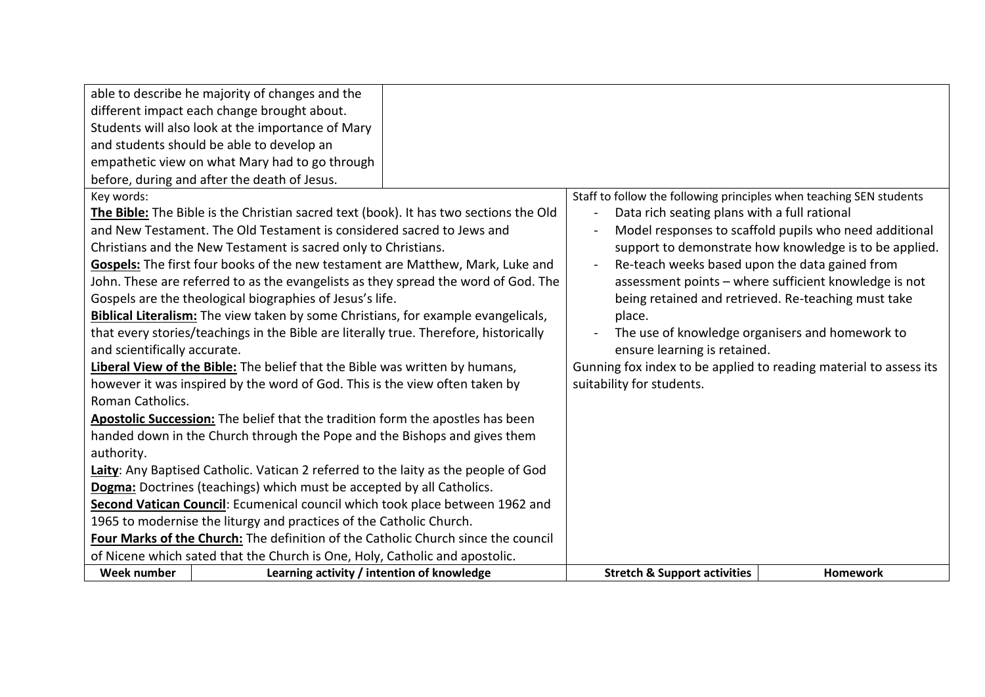| able to describe he majority of changes and the                                       |                                            |                                                                     |                                                        |
|---------------------------------------------------------------------------------------|--------------------------------------------|---------------------------------------------------------------------|--------------------------------------------------------|
| different impact each change brought about.                                           |                                            |                                                                     |                                                        |
| Students will also look at the importance of Mary                                     |                                            |                                                                     |                                                        |
| and students should be able to develop an                                             |                                            |                                                                     |                                                        |
| empathetic view on what Mary had to go through                                        |                                            |                                                                     |                                                        |
| before, during and after the death of Jesus.                                          |                                            |                                                                     |                                                        |
| Key words:                                                                            |                                            | Staff to follow the following principles when teaching SEN students |                                                        |
| The Bible: The Bible is the Christian sacred text (book). It has two sections the Old |                                            | Data rich seating plans with a full rational                        |                                                        |
| and New Testament. The Old Testament is considered sacred to Jews and                 |                                            |                                                                     | Model responses to scaffold pupils who need additional |
| Christians and the New Testament is sacred only to Christians.                        |                                            |                                                                     | support to demonstrate how knowledge is to be applied. |
| Gospels: The first four books of the new testament are Matthew, Mark, Luke and        |                                            | Re-teach weeks based upon the data gained from                      |                                                        |
| John. These are referred to as the evangelists as they spread the word of God. The    |                                            |                                                                     | assessment points - where sufficient knowledge is not  |
| Gospels are the theological biographies of Jesus's life.                              |                                            |                                                                     | being retained and retrieved. Re-teaching must take    |
| Biblical Literalism: The view taken by some Christians, for example evangelicals,     |                                            | place.                                                              |                                                        |
| that every stories/teachings in the Bible are literally true. Therefore, historically |                                            |                                                                     | The use of knowledge organisers and homework to        |
| and scientifically accurate.                                                          |                                            | ensure learning is retained.                                        |                                                        |
| Liberal View of the Bible: The belief that the Bible was written by humans,           |                                            | Gunning fox index to be applied to reading material to assess its   |                                                        |
| however it was inspired by the word of God. This is the view often taken by           |                                            | suitability for students.                                           |                                                        |
| Roman Catholics.                                                                      |                                            |                                                                     |                                                        |
| Apostolic Succession: The belief that the tradition form the apostles has been        |                                            |                                                                     |                                                        |
| handed down in the Church through the Pope and the Bishops and gives them             |                                            |                                                                     |                                                        |
| authority.                                                                            |                                            |                                                                     |                                                        |
| Laity: Any Baptised Catholic. Vatican 2 referred to the laity as the people of God    |                                            |                                                                     |                                                        |
| Dogma: Doctrines (teachings) which must be accepted by all Catholics.                 |                                            |                                                                     |                                                        |
| Second Vatican Council: Ecumenical council which took place between 1962 and          |                                            |                                                                     |                                                        |
| 1965 to modernise the liturgy and practices of the Catholic Church.                   |                                            |                                                                     |                                                        |
| Four Marks of the Church: The definition of the Catholic Church since the council     |                                            |                                                                     |                                                        |
| of Nicene which sated that the Church is One, Holy, Catholic and apostolic.           |                                            |                                                                     |                                                        |
| Week number                                                                           | Learning activity / intention of knowledge | <b>Stretch &amp; Support activities</b>                             | <b>Homework</b>                                        |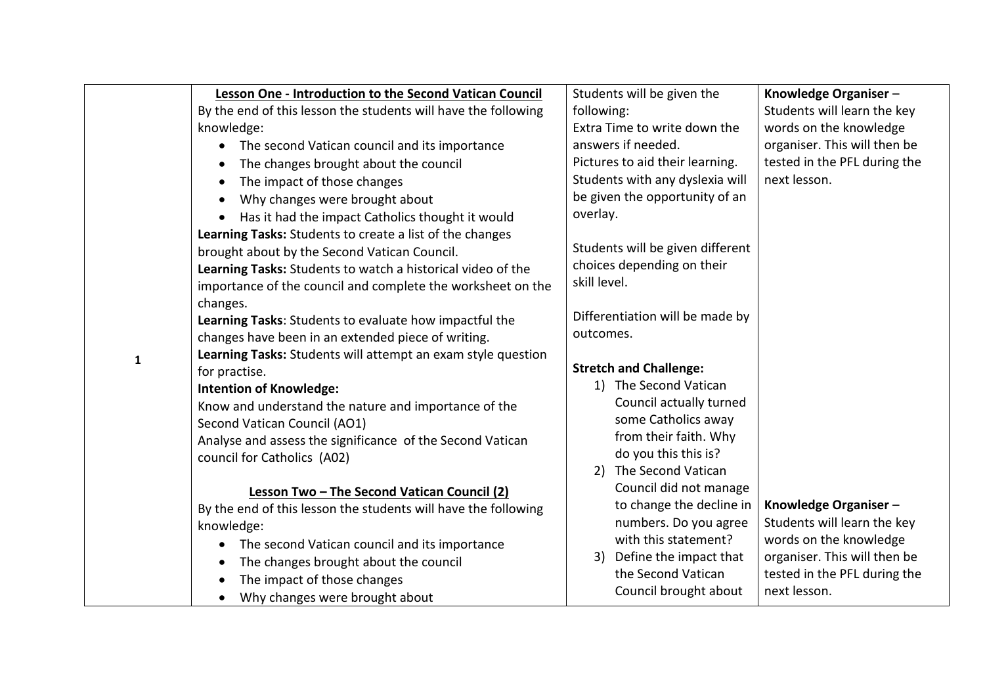|   | Lesson One - Introduction to the Second Vatican Council        |                                 | Students will be given the       | Knowledge Organiser-         |
|---|----------------------------------------------------------------|---------------------------------|----------------------------------|------------------------------|
|   | By the end of this lesson the students will have the following | following:                      |                                  | Students will learn the key  |
|   | knowledge:                                                     |                                 | Extra Time to write down the     | words on the knowledge       |
|   | • The second Vatican council and its importance                |                                 | answers if needed.               | organiser. This will then be |
|   | The changes brought about the council                          | Pictures to aid their learning. |                                  | tested in the PFL during the |
|   | The impact of those changes<br>$\bullet$                       |                                 | Students with any dyslexia will  | next lesson.                 |
|   | Why changes were brought about                                 |                                 | be given the opportunity of an   |                              |
|   | • Has it had the impact Catholics thought it would             | overlay.                        |                                  |                              |
|   | Learning Tasks: Students to create a list of the changes       |                                 |                                  |                              |
|   | brought about by the Second Vatican Council.                   |                                 | Students will be given different |                              |
|   | Learning Tasks: Students to watch a historical video of the    |                                 | choices depending on their       |                              |
|   | importance of the council and complete the worksheet on the    | skill level.                    |                                  |                              |
|   | changes.                                                       |                                 |                                  |                              |
|   | Learning Tasks: Students to evaluate how impactful the         |                                 | Differentiation will be made by  |                              |
|   | changes have been in an extended piece of writing.             | outcomes.                       |                                  |                              |
| 1 | Learning Tasks: Students will attempt an exam style question   |                                 |                                  |                              |
|   | for practise.                                                  |                                 | <b>Stretch and Challenge:</b>    |                              |
|   | <b>Intention of Knowledge:</b>                                 |                                 | 1) The Second Vatican            |                              |
|   | Know and understand the nature and importance of the           |                                 | Council actually turned          |                              |
|   | Second Vatican Council (AO1)                                   |                                 | some Catholics away              |                              |
|   | Analyse and assess the significance of the Second Vatican      |                                 | from their faith. Why            |                              |
|   | council for Catholics (A02)                                    |                                 | do you this this is?             |                              |
|   |                                                                |                                 | 2) The Second Vatican            |                              |
|   | Lesson Two - The Second Vatican Council (2)                    |                                 | Council did not manage           |                              |
|   | By the end of this lesson the students will have the following |                                 | to change the decline in         | Knowledge Organiser-         |
|   | knowledge:                                                     |                                 | numbers. Do you agree            | Students will learn the key  |
|   | The second Vatican council and its importance                  |                                 | with this statement?             | words on the knowledge       |
|   | The changes brought about the council<br>$\bullet$             |                                 | 3) Define the impact that        | organiser. This will then be |
|   | The impact of those changes                                    |                                 | the Second Vatican               | tested in the PFL during the |
|   | Why changes were brought about<br>$\bullet$                    |                                 | Council brought about            | next lesson.                 |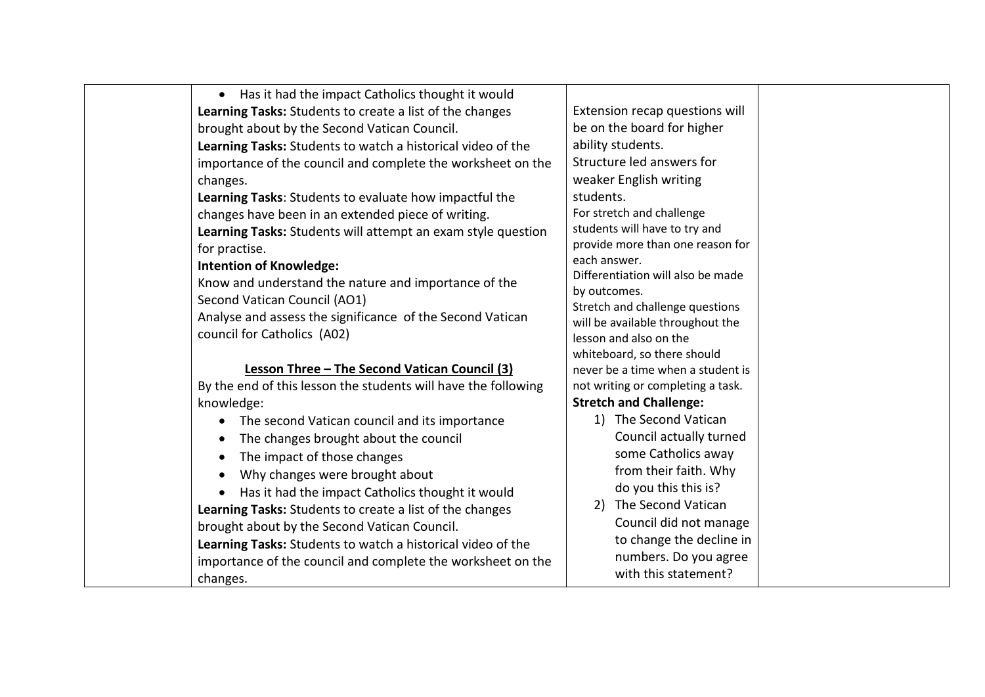| Has it had the impact Catholics thought it would<br>$\bullet$  |                                                   |
|----------------------------------------------------------------|---------------------------------------------------|
| Learning Tasks: Students to create a list of the changes       | Extension recap questions will                    |
| brought about by the Second Vatican Council.                   | be on the board for higher                        |
| Learning Tasks: Students to watch a historical video of the    | ability students.                                 |
| importance of the council and complete the worksheet on the    | Structure led answers for                         |
| changes.                                                       | weaker English writing                            |
| Learning Tasks: Students to evaluate how impactful the         | students.                                         |
| changes have been in an extended piece of writing.             | For stretch and challenge                         |
| Learning Tasks: Students will attempt an exam style question   | students will have to try and                     |
| for practise.                                                  | provide more than one reason for                  |
| <b>Intention of Knowledge:</b>                                 | each answer.                                      |
| Know and understand the nature and importance of the           | Differentiation will also be made<br>by outcomes. |
| Second Vatican Council (AO1)                                   | Stretch and challenge questions                   |
| Analyse and assess the significance of the Second Vatican      | will be available throughout the                  |
| council for Catholics (A02)                                    | lesson and also on the                            |
|                                                                | whiteboard, so there should                       |
| Lesson Three - The Second Vatican Council (3)                  | never be a time when a student is                 |
| By the end of this lesson the students will have the following | not writing or completing a task.                 |
| knowledge:                                                     | <b>Stretch and Challenge:</b>                     |
| The second Vatican council and its importance<br>$\bullet$     | 1) The Second Vatican                             |
| The changes brought about the council<br>$\bullet$             | Council actually turned                           |
| The impact of those changes<br>$\bullet$                       | some Catholics away                               |
| Why changes were brought about<br>$\bullet$                    | from their faith. Why                             |
| Has it had the impact Catholics thought it would<br>$\bullet$  | do you this this is?                              |
| Learning Tasks: Students to create a list of the changes       | The Second Vatican<br>2)                          |
| brought about by the Second Vatican Council.                   | Council did not manage                            |
| Learning Tasks: Students to watch a historical video of the    | to change the decline in                          |
| importance of the council and complete the worksheet on the    | numbers. Do you agree                             |
| changes.                                                       | with this statement?                              |
|                                                                |                                                   |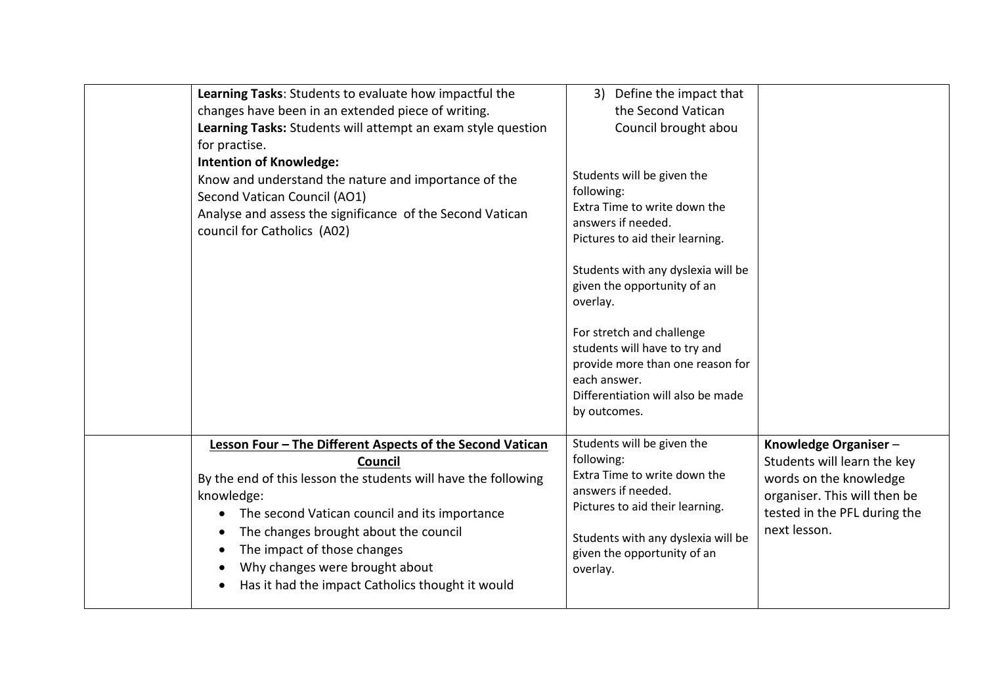| Learning Tasks: Students to evaluate how impactful the<br>changes have been in an extended piece of writing.<br>Learning Tasks: Students will attempt an exam style question<br>for practise.<br><b>Intention of Knowledge:</b><br>Know and understand the nature and importance of the<br>Second Vatican Council (AO1)<br>Analyse and assess the significance of the Second Vatican<br>council for Catholics (A02) | Define the impact that<br>3)<br>the Second Vatican<br>Council brought abou<br>Students will be given the<br>following:<br>Extra Time to write down the<br>answers if needed.<br>Pictures to aid their learning.<br>Students with any dyslexia will be<br>given the opportunity of an<br>overlay.<br>For stretch and challenge<br>students will have to try and<br>provide more than one reason for<br>each answer.<br>Differentiation will also be made<br>by outcomes. |                                                                                                                                                               |
|---------------------------------------------------------------------------------------------------------------------------------------------------------------------------------------------------------------------------------------------------------------------------------------------------------------------------------------------------------------------------------------------------------------------|-------------------------------------------------------------------------------------------------------------------------------------------------------------------------------------------------------------------------------------------------------------------------------------------------------------------------------------------------------------------------------------------------------------------------------------------------------------------------|---------------------------------------------------------------------------------------------------------------------------------------------------------------|
| Lesson Four - The Different Aspects of the Second Vatican<br><b>Council</b><br>By the end of this lesson the students will have the following<br>knowledge:<br>The second Vatican council and its importance<br>The changes brought about the council<br>The impact of those changes<br>Why changes were brought about<br>Has it had the impact Catholics thought it would                                          | Students will be given the<br>following:<br>Extra Time to write down the<br>answers if needed.<br>Pictures to aid their learning.<br>Students with any dyslexia will be<br>given the opportunity of an<br>overlay.                                                                                                                                                                                                                                                      | Knowledge Organiser-<br>Students will learn the key<br>words on the knowledge<br>organiser. This will then be<br>tested in the PFL during the<br>next lesson. |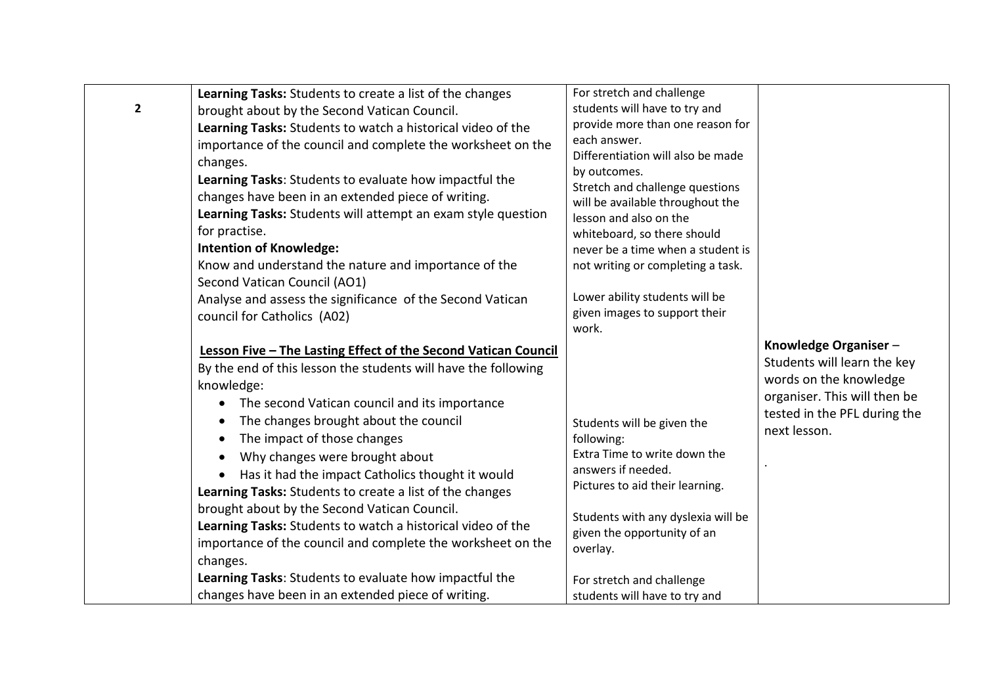| Learning Tasks: Students to create a list of the changes<br>$\overline{2}$<br>brought about by the Second Vatican Council.<br>Learning Tasks: Students to watch a historical video of the<br>importance of the council and complete the worksheet on the<br>changes.<br>Learning Tasks: Students to evaluate how impactful the<br>changes have been in an extended piece of writing.<br>Learning Tasks: Students will attempt an exam style question<br>for practise.<br><b>Intention of Knowledge:</b><br>Know and understand the nature and importance of the<br>Second Vatican Council (AO1)<br>Analyse and assess the significance of the Second Vatican                                                                                                                 | For stretch and challenge<br>students will have to try and<br>provide more than one reason for<br>each answer.<br>Differentiation will also be made<br>by outcomes.<br>Stretch and challenge questions<br>will be available throughout the<br>lesson and also on the<br>whiteboard, so there should<br>never be a time when a student is<br>not writing or completing a task.<br>Lower ability students will be |                                                                                                                                                               |
|------------------------------------------------------------------------------------------------------------------------------------------------------------------------------------------------------------------------------------------------------------------------------------------------------------------------------------------------------------------------------------------------------------------------------------------------------------------------------------------------------------------------------------------------------------------------------------------------------------------------------------------------------------------------------------------------------------------------------------------------------------------------------|-----------------------------------------------------------------------------------------------------------------------------------------------------------------------------------------------------------------------------------------------------------------------------------------------------------------------------------------------------------------------------------------------------------------|---------------------------------------------------------------------------------------------------------------------------------------------------------------|
| council for Catholics (A02)                                                                                                                                                                                                                                                                                                                                                                                                                                                                                                                                                                                                                                                                                                                                                  | given images to support their<br>work.                                                                                                                                                                                                                                                                                                                                                                          |                                                                                                                                                               |
| Lesson Five - The Lasting Effect of the Second Vatican Council<br>By the end of this lesson the students will have the following<br>knowledge:<br>The second Vatican council and its importance<br>$\bullet$<br>The changes brought about the council<br>$\bullet$<br>The impact of those changes<br>Why changes were brought about<br>$\bullet$<br>• Has it had the impact Catholics thought it would<br>Learning Tasks: Students to create a list of the changes<br>brought about by the Second Vatican Council.<br>Learning Tasks: Students to watch a historical video of the<br>importance of the council and complete the worksheet on the<br>changes.<br>Learning Tasks: Students to evaluate how impactful the<br>changes have been in an extended piece of writing. | Students will be given the<br>following:<br>Extra Time to write down the<br>answers if needed.<br>Pictures to aid their learning.<br>Students with any dyslexia will be<br>given the opportunity of an<br>overlay.<br>For stretch and challenge<br>students will have to try and                                                                                                                                | Knowledge Organiser-<br>Students will learn the key<br>words on the knowledge<br>organiser. This will then be<br>tested in the PFL during the<br>next lesson. |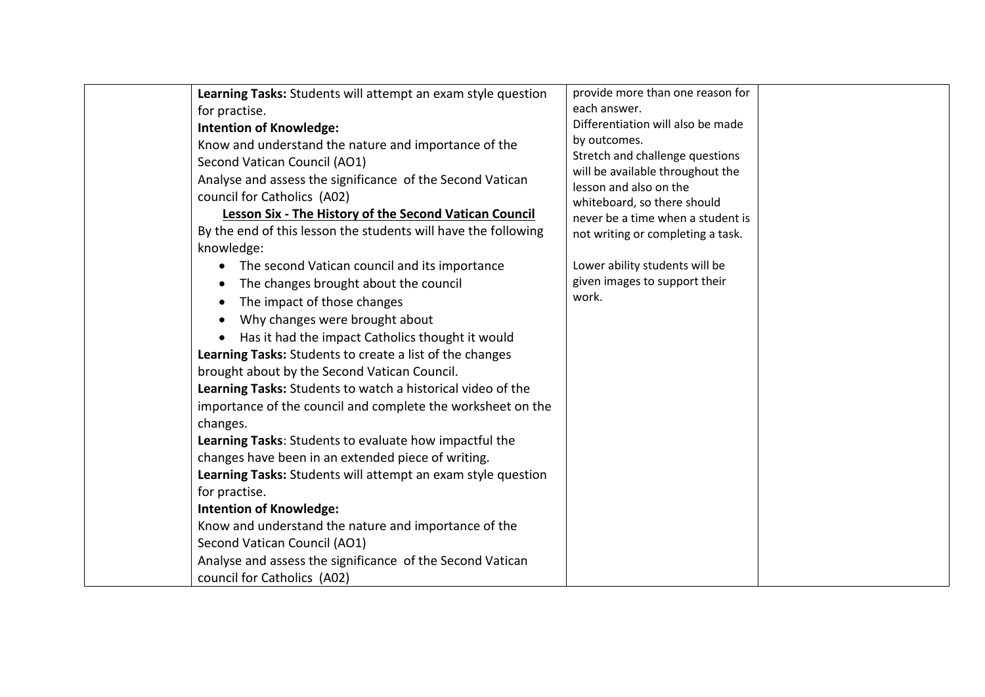| Learning Tasks: Students will attempt an exam style question   | provide more than one reason for                           |  |
|----------------------------------------------------------------|------------------------------------------------------------|--|
| for practise.                                                  | each answer.                                               |  |
| <b>Intention of Knowledge:</b>                                 | Differentiation will also be made                          |  |
| Know and understand the nature and importance of the           | by outcomes.                                               |  |
| Second Vatican Council (AO1)                                   | Stretch and challenge questions                            |  |
| Analyse and assess the significance of the Second Vatican      | will be available throughout the<br>lesson and also on the |  |
| council for Catholics (A02)                                    | whiteboard, so there should                                |  |
| Lesson Six - The History of the Second Vatican Council         | never be a time when a student is                          |  |
| By the end of this lesson the students will have the following | not writing or completing a task.                          |  |
| knowledge:                                                     |                                                            |  |
| The second Vatican council and its importance<br>$\bullet$     | Lower ability students will be                             |  |
| The changes brought about the council<br>$\bullet$             | given images to support their                              |  |
| The impact of those changes<br>$\bullet$                       | work.                                                      |  |
| Why changes were brought about<br>$\bullet$                    |                                                            |  |
| Has it had the impact Catholics thought it would               |                                                            |  |
| Learning Tasks: Students to create a list of the changes       |                                                            |  |
| brought about by the Second Vatican Council.                   |                                                            |  |
| Learning Tasks: Students to watch a historical video of the    |                                                            |  |
| importance of the council and complete the worksheet on the    |                                                            |  |
| changes.                                                       |                                                            |  |
| Learning Tasks: Students to evaluate how impactful the         |                                                            |  |
| changes have been in an extended piece of writing.             |                                                            |  |
| Learning Tasks: Students will attempt an exam style question   |                                                            |  |
| for practise.                                                  |                                                            |  |
| <b>Intention of Knowledge:</b>                                 |                                                            |  |
| Know and understand the nature and importance of the           |                                                            |  |
| Second Vatican Council (AO1)                                   |                                                            |  |
| Analyse and assess the significance of the Second Vatican      |                                                            |  |
| council for Catholics (A02)                                    |                                                            |  |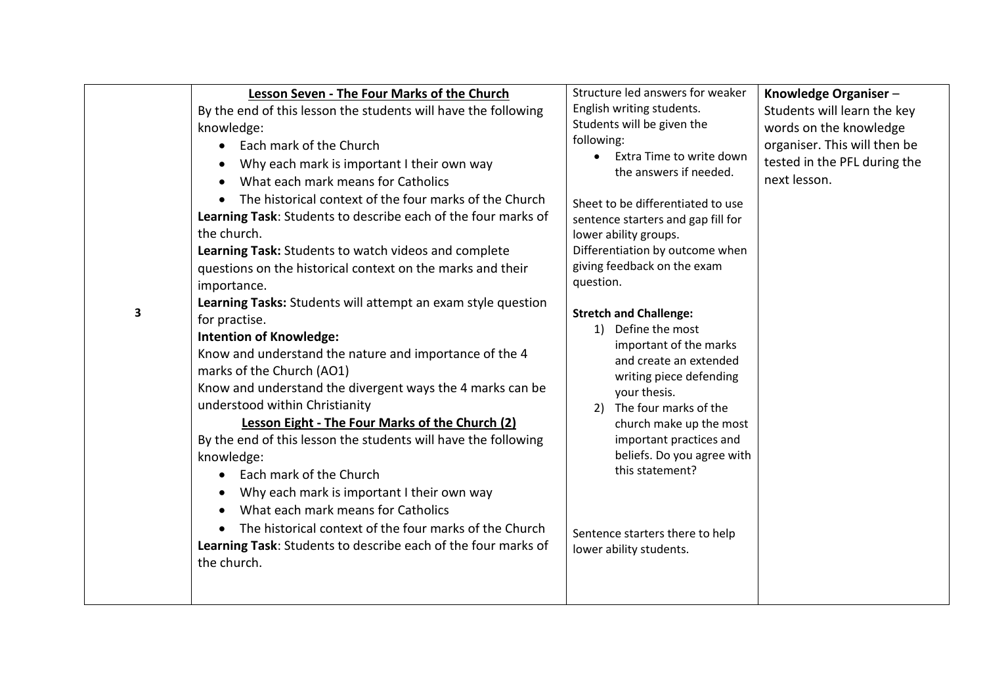| 3 | Lesson Seven - The Four Marks of the Church<br>By the end of this lesson the students will have the following<br>knowledge:<br>Each mark of the Church<br>Why each mark is important I their own way<br>What each mark means for Catholics<br>$\bullet$<br>The historical context of the four marks of the Church<br>Learning Task: Students to describe each of the four marks of<br>the church.<br>Learning Task: Students to watch videos and complete<br>questions on the historical context on the marks and their<br>importance.<br>Learning Tasks: Students will attempt an exam style question<br>for practise.<br><b>Intention of Knowledge:</b><br>Know and understand the nature and importance of the 4<br>marks of the Church (AO1)<br>Know and understand the divergent ways the 4 marks can be<br>understood within Christianity<br>Lesson Eight - The Four Marks of the Church (2)<br>By the end of this lesson the students will have the following<br>knowledge:<br>Each mark of the Church<br>$\bullet$<br>Why each mark is important I their own way<br>What each mark means for Catholics<br>The historical context of the four marks of the Church<br>Learning Task: Students to describe each of the four marks of<br>the church. | Structure led answers for weaker<br>English writing students.<br>Students will be given the<br>following:<br>Extra Time to write down<br>the answers if needed.<br>Sheet to be differentiated to use<br>sentence starters and gap fill for<br>lower ability groups.<br>Differentiation by outcome when<br>giving feedback on the exam<br>question.<br><b>Stretch and Challenge:</b><br>1) Define the most<br>important of the marks<br>and create an extended<br>writing piece defending<br>your thesis.<br>2) The four marks of the<br>church make up the most<br>important practices and<br>beliefs. Do you agree with<br>this statement?<br>Sentence starters there to help<br>lower ability students. | Knowledge Organiser-<br>Students will learn the key<br>words on the knowledge<br>organiser. This will then be<br>tested in the PFL during the<br>next lesson. |
|---|----------------------------------------------------------------------------------------------------------------------------------------------------------------------------------------------------------------------------------------------------------------------------------------------------------------------------------------------------------------------------------------------------------------------------------------------------------------------------------------------------------------------------------------------------------------------------------------------------------------------------------------------------------------------------------------------------------------------------------------------------------------------------------------------------------------------------------------------------------------------------------------------------------------------------------------------------------------------------------------------------------------------------------------------------------------------------------------------------------------------------------------------------------------------------------------------------------------------------------------------------------|-----------------------------------------------------------------------------------------------------------------------------------------------------------------------------------------------------------------------------------------------------------------------------------------------------------------------------------------------------------------------------------------------------------------------------------------------------------------------------------------------------------------------------------------------------------------------------------------------------------------------------------------------------------------------------------------------------------|---------------------------------------------------------------------------------------------------------------------------------------------------------------|
|---|----------------------------------------------------------------------------------------------------------------------------------------------------------------------------------------------------------------------------------------------------------------------------------------------------------------------------------------------------------------------------------------------------------------------------------------------------------------------------------------------------------------------------------------------------------------------------------------------------------------------------------------------------------------------------------------------------------------------------------------------------------------------------------------------------------------------------------------------------------------------------------------------------------------------------------------------------------------------------------------------------------------------------------------------------------------------------------------------------------------------------------------------------------------------------------------------------------------------------------------------------------|-----------------------------------------------------------------------------------------------------------------------------------------------------------------------------------------------------------------------------------------------------------------------------------------------------------------------------------------------------------------------------------------------------------------------------------------------------------------------------------------------------------------------------------------------------------------------------------------------------------------------------------------------------------------------------------------------------------|---------------------------------------------------------------------------------------------------------------------------------------------------------------|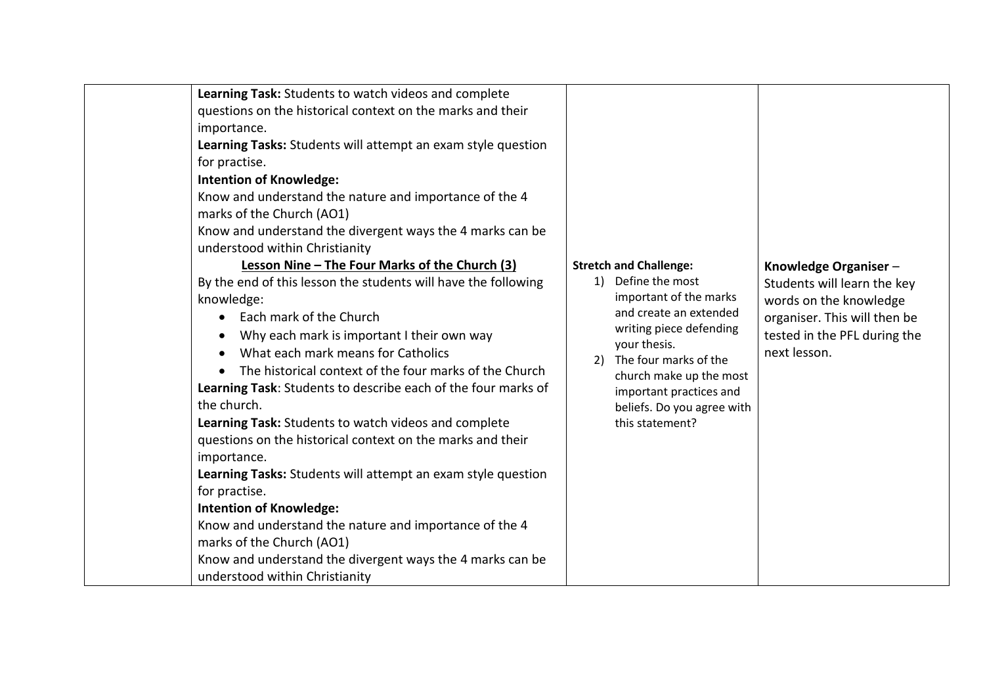| Learning Task: Students to watch videos and complete<br>questions on the historical context on the marks and their<br>importance.<br>Learning Tasks: Students will attempt an exam style question<br>for practise.<br><b>Intention of Knowledge:</b><br>Know and understand the nature and importance of the 4<br>marks of the Church (AO1)<br>Know and understand the divergent ways the 4 marks can be<br>understood within Christianity<br>Lesson Nine - The Four Marks of the Church (3)<br>By the end of this lesson the students will have the following<br>knowledge:<br>Each mark of the Church<br>Why each mark is important I their own way<br>What each mark means for Catholics<br>$\bullet$<br>The historical context of the four marks of the Church<br>Learning Task: Students to describe each of the four marks of<br>the church.<br>Learning Task: Students to watch videos and complete<br>questions on the historical context on the marks and their<br>importance.<br>Learning Tasks: Students will attempt an exam style question<br>for practise.<br><b>Intention of Knowledge:</b><br>Know and understand the nature and importance of the 4<br>marks of the Church (AO1)<br>Know and understand the divergent ways the 4 marks can be<br>understood within Christianity | 2) | <b>Stretch and Challenge:</b><br>1) Define the most<br>important of the marks<br>and create an extended<br>writing piece defending<br>your thesis.<br>The four marks of the<br>church make up the most<br>important practices and<br>beliefs. Do you agree with<br>this statement? | Knowledge Organiser-<br>Students will learn the key<br>words on the knowledge<br>organiser. This will then be<br>tested in the PFL during the<br>next lesson. |
|--------------------------------------------------------------------------------------------------------------------------------------------------------------------------------------------------------------------------------------------------------------------------------------------------------------------------------------------------------------------------------------------------------------------------------------------------------------------------------------------------------------------------------------------------------------------------------------------------------------------------------------------------------------------------------------------------------------------------------------------------------------------------------------------------------------------------------------------------------------------------------------------------------------------------------------------------------------------------------------------------------------------------------------------------------------------------------------------------------------------------------------------------------------------------------------------------------------------------------------------------------------------------------------------------|----|------------------------------------------------------------------------------------------------------------------------------------------------------------------------------------------------------------------------------------------------------------------------------------|---------------------------------------------------------------------------------------------------------------------------------------------------------------|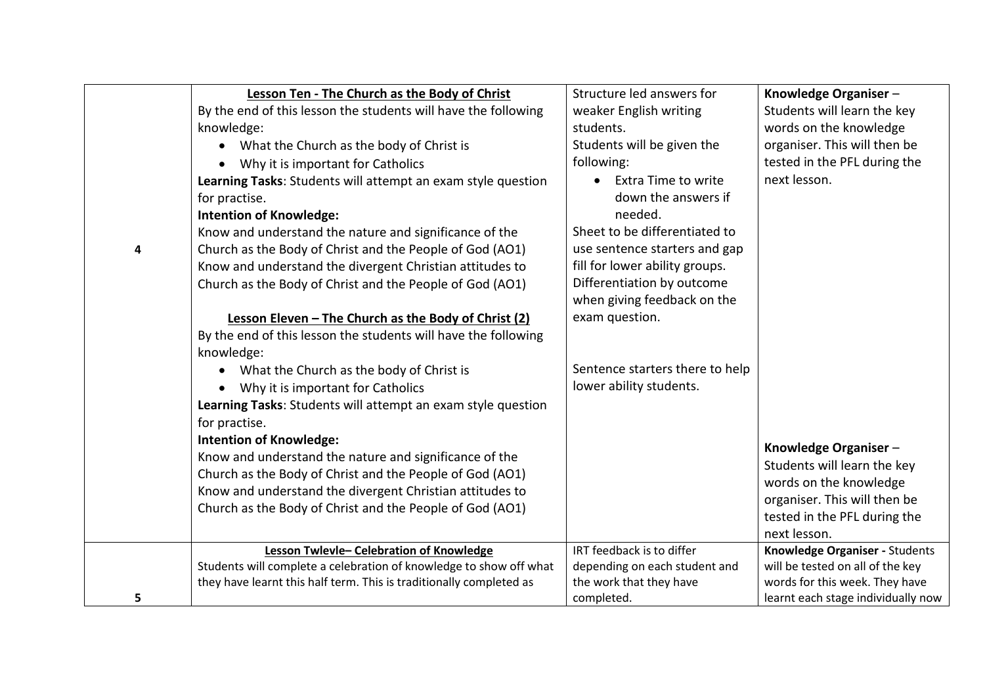|   | Lesson Ten - The Church as the Body of Christ                       | Structure led answers for       | Knowledge Organiser-               |
|---|---------------------------------------------------------------------|---------------------------------|------------------------------------|
|   | By the end of this lesson the students will have the following      | weaker English writing          | Students will learn the key        |
|   | knowledge:                                                          | students.                       | words on the knowledge             |
|   | What the Church as the body of Christ is                            | Students will be given the      | organiser. This will then be       |
|   | Why it is important for Catholics                                   | following:                      | tested in the PFL during the       |
|   | Learning Tasks: Students will attempt an exam style question        | • Extra Time to write           | next lesson.                       |
|   | for practise.                                                       | down the answers if             |                                    |
|   | <b>Intention of Knowledge:</b>                                      | needed.                         |                                    |
|   | Know and understand the nature and significance of the              | Sheet to be differentiated to   |                                    |
| 4 | Church as the Body of Christ and the People of God (AO1)            | use sentence starters and gap   |                                    |
|   | Know and understand the divergent Christian attitudes to            | fill for lower ability groups.  |                                    |
|   | Church as the Body of Christ and the People of God (AO1)            | Differentiation by outcome      |                                    |
|   |                                                                     | when giving feedback on the     |                                    |
|   | Lesson Eleven - The Church as the Body of Christ (2)                | exam question.                  |                                    |
|   | By the end of this lesson the students will have the following      |                                 |                                    |
|   | knowledge:                                                          |                                 |                                    |
|   | What the Church as the body of Christ is                            | Sentence starters there to help |                                    |
|   | Why it is important for Catholics                                   | lower ability students.         |                                    |
|   | Learning Tasks: Students will attempt an exam style question        |                                 |                                    |
|   | for practise.                                                       |                                 |                                    |
|   | <b>Intention of Knowledge:</b>                                      |                                 | Knowledge Organiser-               |
|   | Know and understand the nature and significance of the              |                                 | Students will learn the key        |
|   | Church as the Body of Christ and the People of God (AO1)            |                                 | words on the knowledge             |
|   | Know and understand the divergent Christian attitudes to            |                                 | organiser. This will then be       |
|   | Church as the Body of Christ and the People of God (AO1)            |                                 | tested in the PFL during the       |
|   |                                                                     |                                 | next lesson.                       |
|   | Lesson Twlevle- Celebration of Knowledge                            | IRT feedback is to differ       | Knowledge Organiser - Students     |
|   | Students will complete a celebration of knowledge to show off what  | depending on each student and   | will be tested on all of the key   |
|   | they have learnt this half term. This is traditionally completed as | the work that they have         | words for this week. They have     |
| 5 |                                                                     | completed.                      | learnt each stage individually now |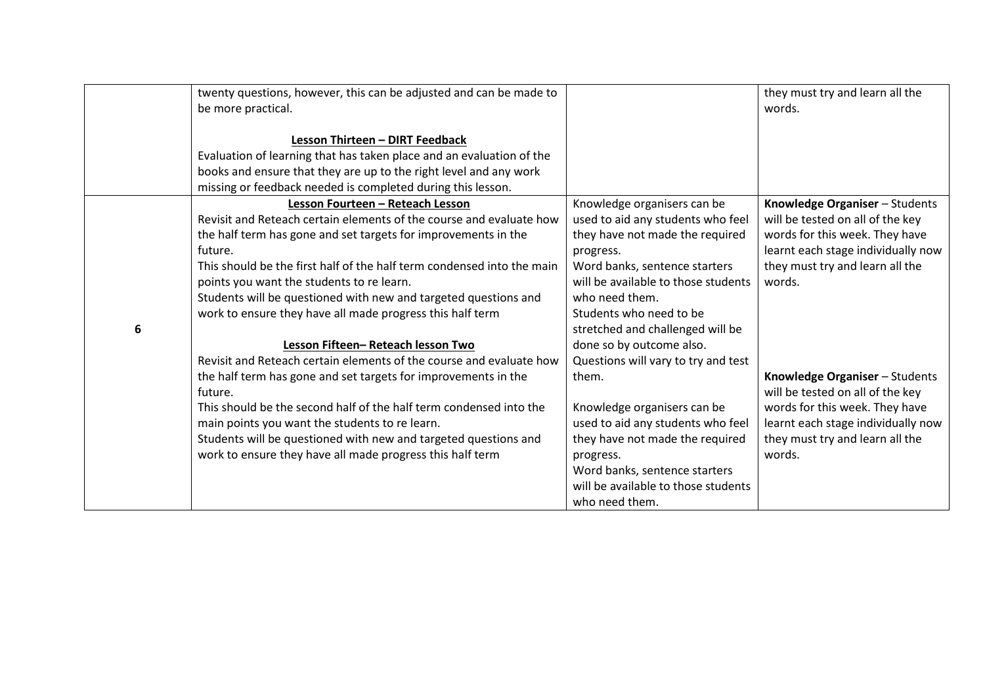|   | twenty questions, however, this can be adjusted and can be made to     |                                     | they must try and learn all the    |
|---|------------------------------------------------------------------------|-------------------------------------|------------------------------------|
|   | be more practical.                                                     |                                     | words.                             |
|   |                                                                        |                                     |                                    |
|   | Lesson Thirteen - DIRT Feedback                                        |                                     |                                    |
|   | Evaluation of learning that has taken place and an evaluation of the   |                                     |                                    |
|   | books and ensure that they are up to the right level and any work      |                                     |                                    |
|   | missing or feedback needed is completed during this lesson.            |                                     |                                    |
|   | Lesson Fourteen - Reteach Lesson                                       | Knowledge organisers can be         | Knowledge Organiser - Students     |
|   | Revisit and Reteach certain elements of the course and evaluate how    | used to aid any students who feel   | will be tested on all of the key   |
|   | the half term has gone and set targets for improvements in the         | they have not made the required     | words for this week. They have     |
|   | future.                                                                | progress.                           | learnt each stage individually now |
|   | This should be the first half of the half term condensed into the main | Word banks, sentence starters       | they must try and learn all the    |
|   | points you want the students to re learn.                              | will be available to those students | words.                             |
|   | Students will be questioned with new and targeted questions and        | who need them.                      |                                    |
|   | work to ensure they have all made progress this half term              | Students who need to be             |                                    |
| 6 |                                                                        | stretched and challenged will be    |                                    |
|   | Lesson Fifteen-Reteach lesson Two                                      | done so by outcome also.            |                                    |
|   | Revisit and Reteach certain elements of the course and evaluate how    | Questions will vary to try and test |                                    |
|   | the half term has gone and set targets for improvements in the         | them.                               | Knowledge Organiser - Students     |
|   | future.                                                                |                                     | will be tested on all of the key   |
|   | This should be the second half of the half term condensed into the     | Knowledge organisers can be         | words for this week. They have     |
|   | main points you want the students to re learn.                         | used to aid any students who feel   | learnt each stage individually now |
|   | Students will be questioned with new and targeted questions and        | they have not made the required     | they must try and learn all the    |
|   | work to ensure they have all made progress this half term              | progress.                           | words.                             |
|   |                                                                        | Word banks, sentence starters       |                                    |
|   |                                                                        | will be available to those students |                                    |
|   |                                                                        | who need them.                      |                                    |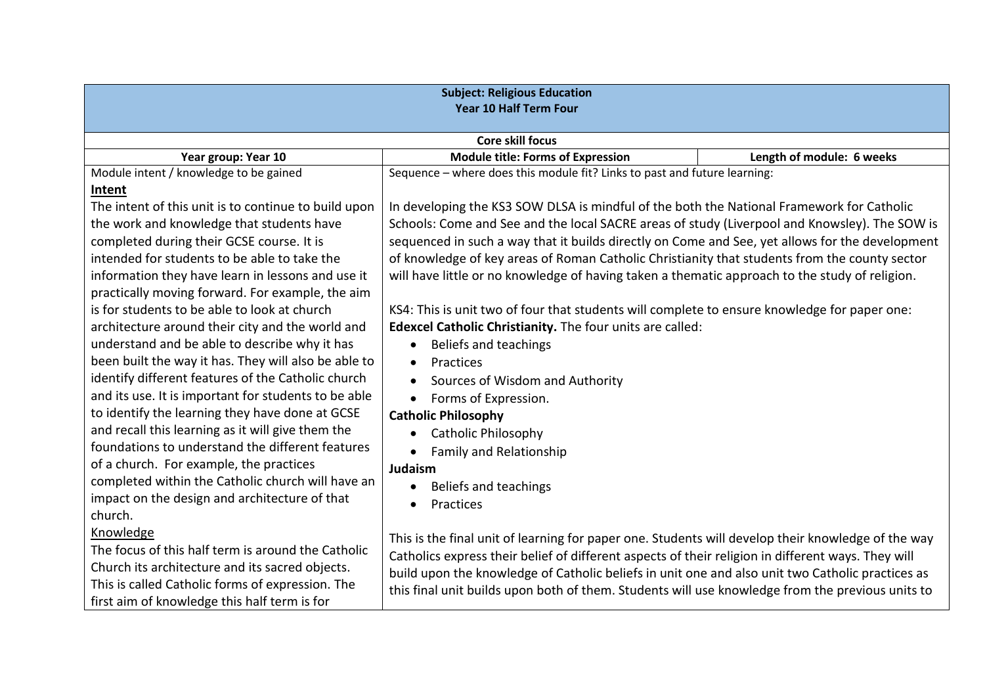| <b>Subject: Religious Education</b><br><b>Year 10 Half Term Four</b> |                                                                                                    |                           |  |  |  |
|----------------------------------------------------------------------|----------------------------------------------------------------------------------------------------|---------------------------|--|--|--|
|                                                                      | <b>Core skill focus</b>                                                                            |                           |  |  |  |
| Year group: Year 10                                                  | <b>Module title: Forms of Expression</b>                                                           | Length of module: 6 weeks |  |  |  |
| Module intent / knowledge to be gained                               | Sequence - where does this module fit? Links to past and future learning:                          |                           |  |  |  |
| Intent                                                               |                                                                                                    |                           |  |  |  |
| The intent of this unit is to continue to build upon                 | In developing the KS3 SOW DLSA is mindful of the both the National Framework for Catholic          |                           |  |  |  |
| the work and knowledge that students have                            | Schools: Come and See and the local SACRE areas of study (Liverpool and Knowsley). The SOW is      |                           |  |  |  |
| completed during their GCSE course. It is                            | sequenced in such a way that it builds directly on Come and See, yet allows for the development    |                           |  |  |  |
| intended for students to be able to take the                         | of knowledge of key areas of Roman Catholic Christianity that students from the county sector      |                           |  |  |  |
| information they have learn in lessons and use it                    | will have little or no knowledge of having taken a thematic approach to the study of religion.     |                           |  |  |  |
| practically moving forward. For example, the aim                     |                                                                                                    |                           |  |  |  |
| is for students to be able to look at church                         | KS4: This is unit two of four that students will complete to ensure knowledge for paper one:       |                           |  |  |  |
| architecture around their city and the world and                     | Edexcel Catholic Christianity. The four units are called:                                          |                           |  |  |  |
| understand and be able to describe why it has                        | Beliefs and teachings                                                                              |                           |  |  |  |
| been built the way it has. They will also be able to                 | Practices<br>$\bullet$                                                                             |                           |  |  |  |
| identify different features of the Catholic church                   | Sources of Wisdom and Authority                                                                    |                           |  |  |  |
| and its use. It is important for students to be able                 | Forms of Expression.<br>$\bullet$                                                                  |                           |  |  |  |
| to identify the learning they have done at GCSE                      | <b>Catholic Philosophy</b>                                                                         |                           |  |  |  |
| and recall this learning as it will give them the                    | <b>Catholic Philosophy</b><br>$\bullet$                                                            |                           |  |  |  |
| foundations to understand the different features                     | <b>Family and Relationship</b>                                                                     |                           |  |  |  |
| of a church. For example, the practices                              | Judaism                                                                                            |                           |  |  |  |
| completed within the Catholic church will have an                    | Beliefs and teachings<br>$\bullet$                                                                 |                           |  |  |  |
| impact on the design and architecture of that                        | Practices                                                                                          |                           |  |  |  |
| church.                                                              |                                                                                                    |                           |  |  |  |
| Knowledge                                                            | This is the final unit of learning for paper one. Students will develop their knowledge of the way |                           |  |  |  |
| The focus of this half term is around the Catholic                   | Catholics express their belief of different aspects of their religion in different ways. They will |                           |  |  |  |
| Church its architecture and its sacred objects.                      | build upon the knowledge of Catholic beliefs in unit one and also unit two Catholic practices as   |                           |  |  |  |
| This is called Catholic forms of expression. The                     | this final unit builds upon both of them. Students will use knowledge from the previous units to   |                           |  |  |  |
| first aim of knowledge this half term is for                         |                                                                                                    |                           |  |  |  |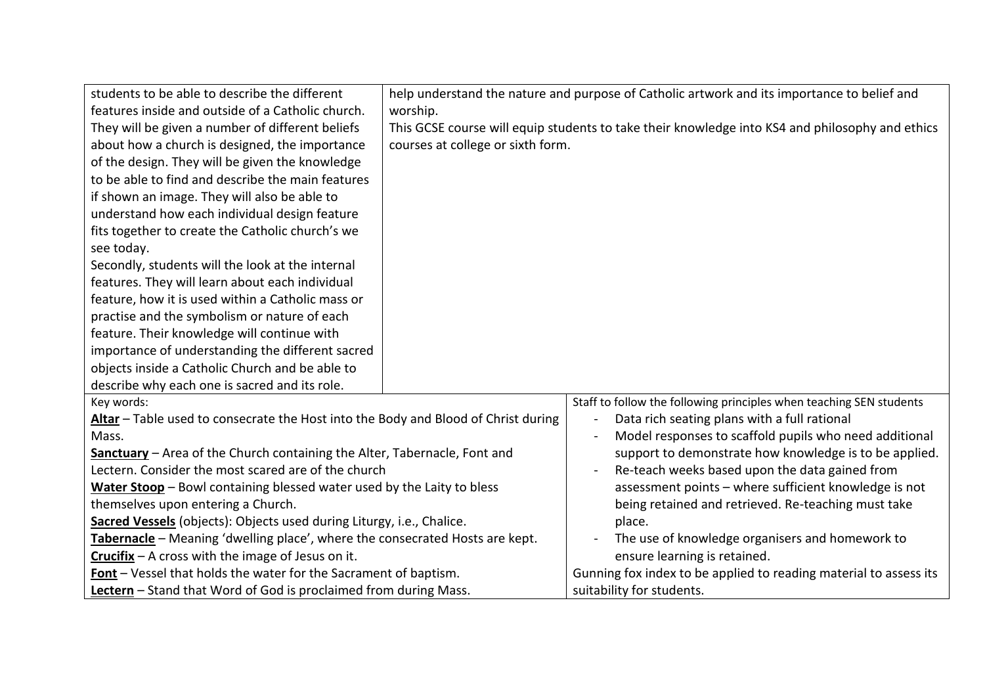| students to be able to describe the different                                      |                                                                                                 | help understand the nature and purpose of Catholic artwork and its importance to belief and |
|------------------------------------------------------------------------------------|-------------------------------------------------------------------------------------------------|---------------------------------------------------------------------------------------------|
| features inside and outside of a Catholic church.                                  | worship.                                                                                        |                                                                                             |
| They will be given a number of different beliefs                                   | This GCSE course will equip students to take their knowledge into KS4 and philosophy and ethics |                                                                                             |
| about how a church is designed, the importance                                     | courses at college or sixth form.                                                               |                                                                                             |
| of the design. They will be given the knowledge                                    |                                                                                                 |                                                                                             |
| to be able to find and describe the main features                                  |                                                                                                 |                                                                                             |
| if shown an image. They will also be able to                                       |                                                                                                 |                                                                                             |
| understand how each individual design feature                                      |                                                                                                 |                                                                                             |
| fits together to create the Catholic church's we                                   |                                                                                                 |                                                                                             |
| see today.                                                                         |                                                                                                 |                                                                                             |
| Secondly, students will the look at the internal                                   |                                                                                                 |                                                                                             |
| features. They will learn about each individual                                    |                                                                                                 |                                                                                             |
| feature, how it is used within a Catholic mass or                                  |                                                                                                 |                                                                                             |
| practise and the symbolism or nature of each                                       |                                                                                                 |                                                                                             |
| feature. Their knowledge will continue with                                        |                                                                                                 |                                                                                             |
| importance of understanding the different sacred                                   |                                                                                                 |                                                                                             |
| objects inside a Catholic Church and be able to                                    |                                                                                                 |                                                                                             |
| describe why each one is sacred and its role.                                      |                                                                                                 |                                                                                             |
| Key words:                                                                         |                                                                                                 | Staff to follow the following principles when teaching SEN students                         |
| Altar - Table used to consecrate the Host into the Body and Blood of Christ during |                                                                                                 | Data rich seating plans with a full rational<br>$\blacksquare$                              |
| Mass.                                                                              |                                                                                                 | Model responses to scaffold pupils who need additional                                      |
| Sanctuary - Area of the Church containing the Alter, Tabernacle, Font and          |                                                                                                 | support to demonstrate how knowledge is to be applied.                                      |
| Lectern. Consider the most scared are of the church                                |                                                                                                 | Re-teach weeks based upon the data gained from                                              |
| Water Stoop - Bowl containing blessed water used by the Laity to bless             |                                                                                                 | assessment points - where sufficient knowledge is not                                       |
| themselves upon entering a Church.                                                 |                                                                                                 | being retained and retrieved. Re-teaching must take                                         |
| Sacred Vessels (objects): Objects used during Liturgy, i.e., Chalice.              |                                                                                                 | place.                                                                                      |
| Tabernacle - Meaning 'dwelling place', where the consecrated Hosts are kept.       |                                                                                                 | The use of knowledge organisers and homework to                                             |
| $Crucifix - A cross with the image of Jesus on it.$                                |                                                                                                 | ensure learning is retained.                                                                |
| Font - Vessel that holds the water for the Sacrament of baptism.                   |                                                                                                 | Gunning fox index to be applied to reading material to assess its                           |
| Lectern - Stand that Word of God is proclaimed from during Mass.                   |                                                                                                 | suitability for students.                                                                   |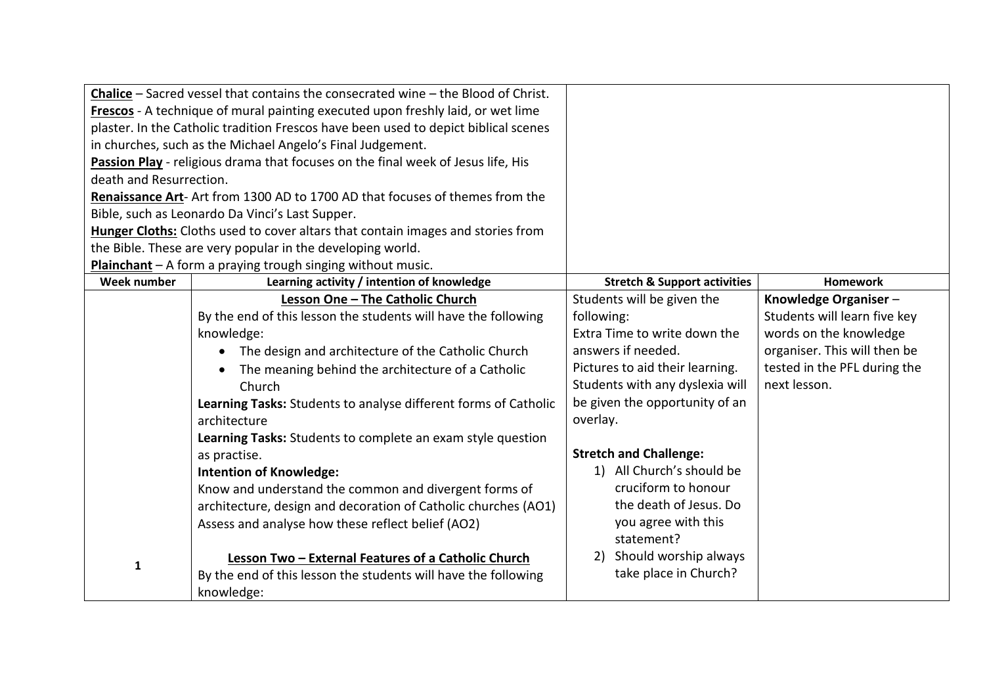|                                                                                     | <b>Chalice</b> – Sacred vessel that contains the consecrated wine – the Blood of Christ. |                                         |                              |
|-------------------------------------------------------------------------------------|------------------------------------------------------------------------------------------|-----------------------------------------|------------------------------|
| Frescos - A technique of mural painting executed upon freshly laid, or wet lime     |                                                                                          |                                         |                              |
| plaster. In the Catholic tradition Frescos have been used to depict biblical scenes |                                                                                          |                                         |                              |
|                                                                                     | in churches, such as the Michael Angelo's Final Judgement.                               |                                         |                              |
|                                                                                     | Passion Play - religious drama that focuses on the final week of Jesus life, His         |                                         |                              |
| death and Resurrection.                                                             |                                                                                          |                                         |                              |
|                                                                                     | Renaissance Art- Art from 1300 AD to 1700 AD that focuses of themes from the             |                                         |                              |
|                                                                                     | Bible, such as Leonardo Da Vinci's Last Supper.                                          |                                         |                              |
|                                                                                     | Hunger Cloths: Cloths used to cover altars that contain images and stories from          |                                         |                              |
|                                                                                     | the Bible. These are very popular in the developing world.                               |                                         |                              |
|                                                                                     | Plainchant - A form a praying trough singing without music.                              |                                         |                              |
| Week number                                                                         | Learning activity / intention of knowledge                                               | <b>Stretch &amp; Support activities</b> | <b>Homework</b>              |
|                                                                                     | Lesson One - The Catholic Church                                                         | Students will be given the              | Knowledge Organiser-         |
|                                                                                     | By the end of this lesson the students will have the following                           | following:                              | Students will learn five key |
|                                                                                     | knowledge:                                                                               | Extra Time to write down the            | words on the knowledge       |
|                                                                                     | The design and architecture of the Catholic Church                                       | answers if needed.                      | organiser. This will then be |
|                                                                                     | The meaning behind the architecture of a Catholic                                        | Pictures to aid their learning.         | tested in the PFL during the |
|                                                                                     | Church                                                                                   | Students with any dyslexia will         | next lesson.                 |
|                                                                                     | Learning Tasks: Students to analyse different forms of Catholic                          | be given the opportunity of an          |                              |
|                                                                                     | architecture                                                                             | overlay.                                |                              |
|                                                                                     | Learning Tasks: Students to complete an exam style question                              |                                         |                              |
|                                                                                     | as practise.                                                                             | <b>Stretch and Challenge:</b>           |                              |
|                                                                                     | <b>Intention of Knowledge:</b>                                                           | 1) All Church's should be               |                              |
|                                                                                     | Know and understand the common and divergent forms of                                    | cruciform to honour                     |                              |
|                                                                                     | architecture, design and decoration of Catholic churches (AO1)                           | the death of Jesus. Do                  |                              |
|                                                                                     | Assess and analyse how these reflect belief (AO2)                                        | you agree with this                     |                              |
|                                                                                     |                                                                                          | statement?                              |                              |
| $\mathbf{1}$                                                                        | Lesson Two - External Features of a Catholic Church                                      | Should worship always<br>2)             |                              |
|                                                                                     | By the end of this lesson the students will have the following                           | take place in Church?                   |                              |
|                                                                                     | knowledge:                                                                               |                                         |                              |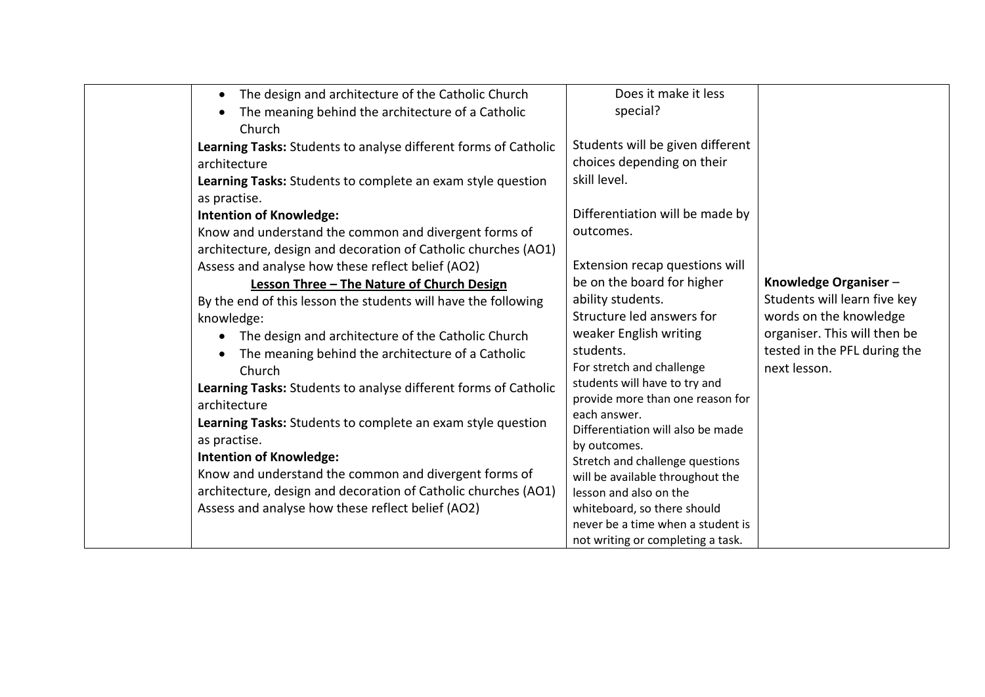| The design and architecture of the Catholic Church<br>$\bullet$ | Does it make it less                              |                              |
|-----------------------------------------------------------------|---------------------------------------------------|------------------------------|
| The meaning behind the architecture of a Catholic<br>$\bullet$  | special?                                          |                              |
| Church                                                          |                                                   |                              |
| Learning Tasks: Students to analyse different forms of Catholic | Students will be given different                  |                              |
| architecture                                                    | choices depending on their                        |                              |
| Learning Tasks: Students to complete an exam style question     | skill level.                                      |                              |
| as practise.                                                    |                                                   |                              |
| <b>Intention of Knowledge:</b>                                  | Differentiation will be made by                   |                              |
| Know and understand the common and divergent forms of           | outcomes.                                         |                              |
| architecture, design and decoration of Catholic churches (AO1)  |                                                   |                              |
| Assess and analyse how these reflect belief (AO2)               | Extension recap questions will                    |                              |
| Lesson Three - The Nature of Church Design                      | be on the board for higher                        | Knowledge Organiser-         |
| By the end of this lesson the students will have the following  | ability students.                                 | Students will learn five key |
| knowledge:                                                      | Structure led answers for                         | words on the knowledge       |
| The design and architecture of the Catholic Church<br>$\bullet$ | weaker English writing                            | organiser. This will then be |
| The meaning behind the architecture of a Catholic               | students.                                         | tested in the PFL during the |
| Church                                                          | For stretch and challenge                         | next lesson.                 |
| Learning Tasks: Students to analyse different forms of Catholic | students will have to try and                     |                              |
| architecture                                                    | provide more than one reason for                  |                              |
| Learning Tasks: Students to complete an exam style question     | each answer.<br>Differentiation will also be made |                              |
| as practise.                                                    | by outcomes.                                      |                              |
| <b>Intention of Knowledge:</b>                                  | Stretch and challenge questions                   |                              |
| Know and understand the common and divergent forms of           | will be available throughout the                  |                              |
| architecture, design and decoration of Catholic churches (AO1)  | lesson and also on the                            |                              |
| Assess and analyse how these reflect belief (AO2)               | whiteboard, so there should                       |                              |
|                                                                 | never be a time when a student is                 |                              |
|                                                                 | not writing or completing a task.                 |                              |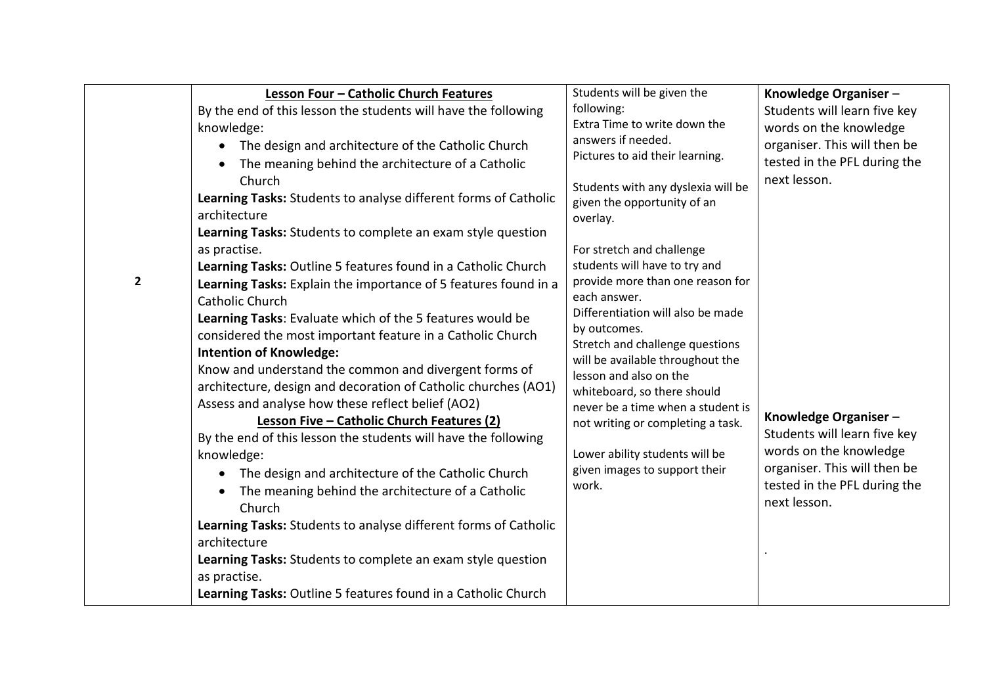| $\mathbf{2}$ | Lesson Four - Catholic Church Features<br>By the end of this lesson the students will have the following<br>knowledge:<br>The design and architecture of the Catholic Church<br>The meaning behind the architecture of a Catholic<br>Church<br>Learning Tasks: Students to analyse different forms of Catholic<br>architecture<br>Learning Tasks: Students to complete an exam style question<br>as practise.<br>Learning Tasks: Outline 5 features found in a Catholic Church<br>Learning Tasks: Explain the importance of 5 features found in a<br>Catholic Church<br>Learning Tasks: Evaluate which of the 5 features would be<br>considered the most important feature in a Catholic Church<br><b>Intention of Knowledge:</b><br>Know and understand the common and divergent forms of<br>architecture, design and decoration of Catholic churches (AO1)<br>Assess and analyse how these reflect belief (AO2)<br>Lesson Five - Catholic Church Features (2)<br>By the end of this lesson the students will have the following<br>knowledge:<br>• The design and architecture of the Catholic Church<br>The meaning behind the architecture of a Catholic<br>$\bullet$<br>Church<br>Learning Tasks: Students to analyse different forms of Catholic<br>architecture<br>Learning Tasks: Students to complete an exam style question<br>as practise.<br>Learning Tasks: Outline 5 features found in a Catholic Church | Students will be given the<br>following:<br>Extra Time to write down the<br>answers if needed.<br>Pictures to aid their learning.<br>Students with any dyslexia will be<br>given the opportunity of an<br>overlay.<br>For stretch and challenge<br>students will have to try and<br>provide more than one reason for<br>each answer.<br>Differentiation will also be made<br>by outcomes.<br>Stretch and challenge questions<br>will be available throughout the<br>lesson and also on the<br>whiteboard, so there should<br>never be a time when a student is<br>not writing or completing a task.<br>Lower ability students will be<br>given images to support their<br>work. | Knowledge Organiser-<br>Students will learn five key<br>words on the knowledge<br>organiser. This will then be<br>tested in the PFL during the<br>next lesson.<br>Knowledge Organiser-<br>Students will learn five key<br>words on the knowledge<br>organiser. This will then be<br>tested in the PFL during the<br>next lesson. |
|--------------|------------------------------------------------------------------------------------------------------------------------------------------------------------------------------------------------------------------------------------------------------------------------------------------------------------------------------------------------------------------------------------------------------------------------------------------------------------------------------------------------------------------------------------------------------------------------------------------------------------------------------------------------------------------------------------------------------------------------------------------------------------------------------------------------------------------------------------------------------------------------------------------------------------------------------------------------------------------------------------------------------------------------------------------------------------------------------------------------------------------------------------------------------------------------------------------------------------------------------------------------------------------------------------------------------------------------------------------------------------------------------------------------------------------------|---------------------------------------------------------------------------------------------------------------------------------------------------------------------------------------------------------------------------------------------------------------------------------------------------------------------------------------------------------------------------------------------------------------------------------------------------------------------------------------------------------------------------------------------------------------------------------------------------------------------------------------------------------------------------------|----------------------------------------------------------------------------------------------------------------------------------------------------------------------------------------------------------------------------------------------------------------------------------------------------------------------------------|
|--------------|------------------------------------------------------------------------------------------------------------------------------------------------------------------------------------------------------------------------------------------------------------------------------------------------------------------------------------------------------------------------------------------------------------------------------------------------------------------------------------------------------------------------------------------------------------------------------------------------------------------------------------------------------------------------------------------------------------------------------------------------------------------------------------------------------------------------------------------------------------------------------------------------------------------------------------------------------------------------------------------------------------------------------------------------------------------------------------------------------------------------------------------------------------------------------------------------------------------------------------------------------------------------------------------------------------------------------------------------------------------------------------------------------------------------|---------------------------------------------------------------------------------------------------------------------------------------------------------------------------------------------------------------------------------------------------------------------------------------------------------------------------------------------------------------------------------------------------------------------------------------------------------------------------------------------------------------------------------------------------------------------------------------------------------------------------------------------------------------------------------|----------------------------------------------------------------------------------------------------------------------------------------------------------------------------------------------------------------------------------------------------------------------------------------------------------------------------------|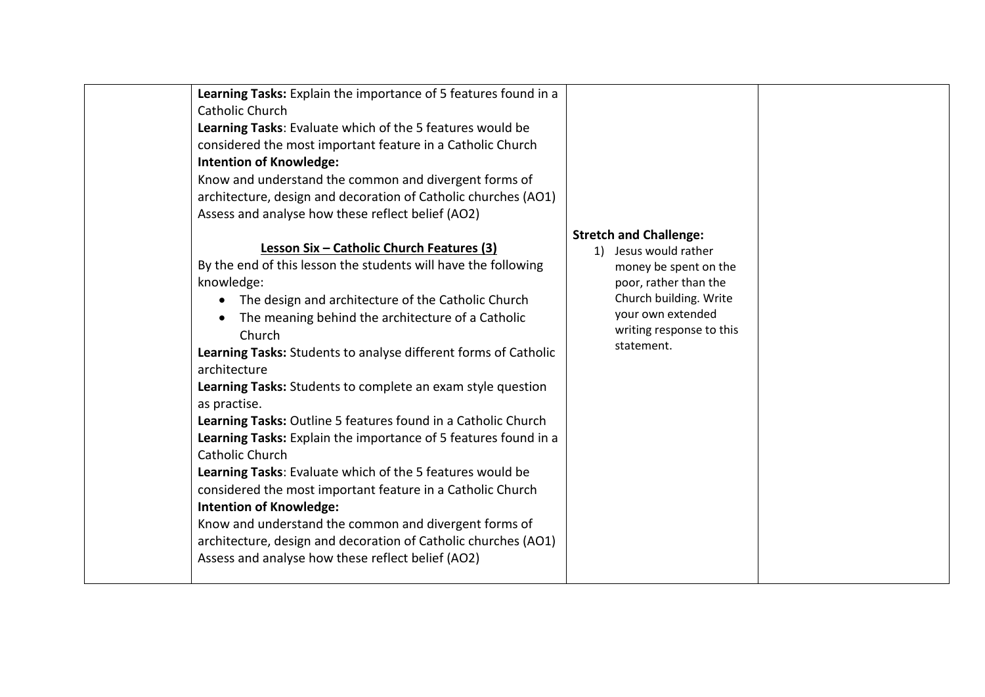|  | Learning Tasks: Explain the importance of 5 features found in a<br>Catholic Church<br>Learning Tasks: Evaluate which of the 5 features would be<br>considered the most important feature in a Catholic Church<br><b>Intention of Knowledge:</b><br>Know and understand the common and divergent forms of<br>architecture, design and decoration of Catholic churches (AO1)<br>Assess and analyse how these reflect belief (AO2)<br>Lesson Six - Catholic Church Features (3)<br>By the end of this lesson the students will have the following<br>knowledge:<br>The design and architecture of the Catholic Church<br>The meaning behind the architecture of a Catholic<br>$\bullet$<br>Church<br>Learning Tasks: Students to analyse different forms of Catholic<br>architecture<br>Learning Tasks: Students to complete an exam style question<br>as practise.<br>Learning Tasks: Outline 5 features found in a Catholic Church<br>Learning Tasks: Explain the importance of 5 features found in a<br>Catholic Church<br>Learning Tasks: Evaluate which of the 5 features would be<br>considered the most important feature in a Catholic Church<br><b>Intention of Knowledge:</b><br>Know and understand the common and divergent forms of<br>architecture, design and decoration of Catholic churches (AO1)<br>Assess and analyse how these reflect belief (AO2) | <b>Stretch and Challenge:</b><br>1) Jesus would rather<br>money be spent on the<br>poor, rather than the<br>Church building. Write<br>your own extended<br>writing response to this<br>statement. |  |
|--|----------------------------------------------------------------------------------------------------------------------------------------------------------------------------------------------------------------------------------------------------------------------------------------------------------------------------------------------------------------------------------------------------------------------------------------------------------------------------------------------------------------------------------------------------------------------------------------------------------------------------------------------------------------------------------------------------------------------------------------------------------------------------------------------------------------------------------------------------------------------------------------------------------------------------------------------------------------------------------------------------------------------------------------------------------------------------------------------------------------------------------------------------------------------------------------------------------------------------------------------------------------------------------------------------------------------------------------------------------------------|---------------------------------------------------------------------------------------------------------------------------------------------------------------------------------------------------|--|
|--|----------------------------------------------------------------------------------------------------------------------------------------------------------------------------------------------------------------------------------------------------------------------------------------------------------------------------------------------------------------------------------------------------------------------------------------------------------------------------------------------------------------------------------------------------------------------------------------------------------------------------------------------------------------------------------------------------------------------------------------------------------------------------------------------------------------------------------------------------------------------------------------------------------------------------------------------------------------------------------------------------------------------------------------------------------------------------------------------------------------------------------------------------------------------------------------------------------------------------------------------------------------------------------------------------------------------------------------------------------------------|---------------------------------------------------------------------------------------------------------------------------------------------------------------------------------------------------|--|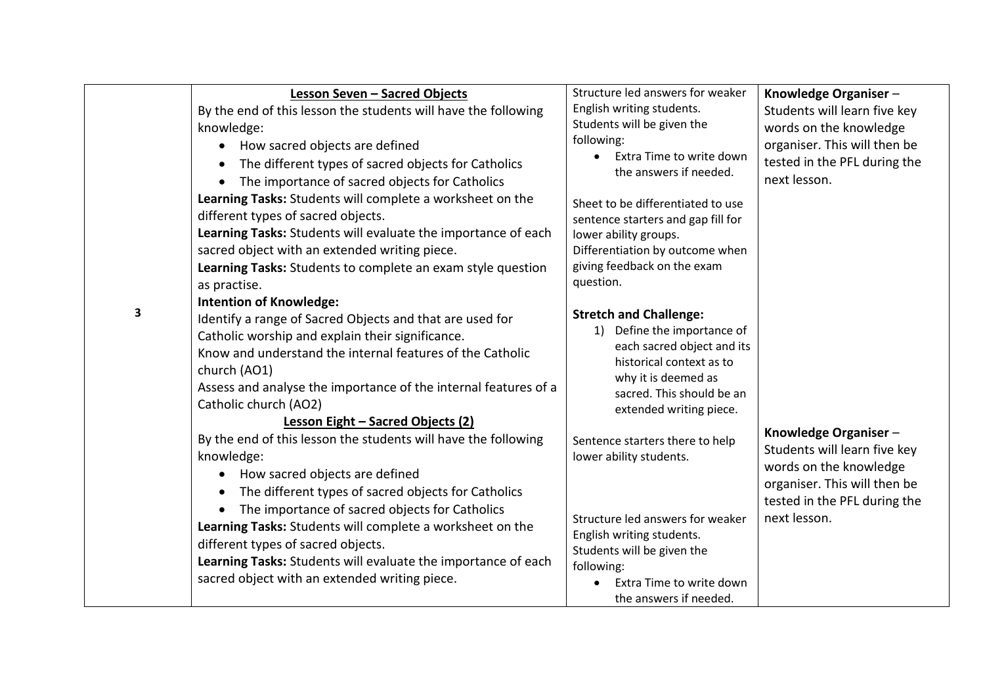| 3 | Lesson Seven - Sacred Objects<br>By the end of this lesson the students will have the following<br>knowledge:<br>How sacred objects are defined<br>$\bullet$<br>The different types of sacred objects for Catholics<br>$\bullet$<br>The importance of sacred objects for Catholics<br>$\bullet$<br>Learning Tasks: Students will complete a worksheet on the<br>different types of sacred objects.<br>Learning Tasks: Students will evaluate the importance of each<br>sacred object with an extended writing piece.<br>Learning Tasks: Students to complete an exam style question<br>as practise.<br><b>Intention of Knowledge:</b><br>Identify a range of Sacred Objects and that are used for<br>Catholic worship and explain their significance.<br>Know and understand the internal features of the Catholic<br>church (AO1)<br>Assess and analyse the importance of the internal features of a<br>Catholic church (AO2)<br>Lesson Eight - Sacred Objects (2)<br>By the end of this lesson the students will have the following<br>knowledge:<br>How sacred objects are defined<br>$\bullet$<br>The different types of sacred objects for Catholics<br>$\bullet$<br>The importance of sacred objects for Catholics<br>$\bullet$<br>Learning Tasks: Students will complete a worksheet on the<br>different types of sacred objects.<br>Learning Tasks: Students will evaluate the importance of each | Structure led answers for weaker<br>English writing students.<br>Students will be given the<br>following:<br>Extra Time to write down<br>the answers if needed.<br>Sheet to be differentiated to use<br>sentence starters and gap fill for<br>lower ability groups.<br>Differentiation by outcome when<br>giving feedback on the exam<br>question.<br><b>Stretch and Challenge:</b><br>1) Define the importance of<br>each sacred object and its<br>historical context as to<br>why it is deemed as<br>sacred. This should be an<br>extended writing piece.<br>Sentence starters there to help<br>lower ability students.<br>Structure led answers for weaker<br>English writing students.<br>Students will be given the<br>following: | Knowledge Organiser-<br>Students will learn five key<br>words on the knowledge<br>organiser. This will then be<br>tested in the PFL during the<br>next lesson.<br>Knowledge Organiser-<br>Students will learn five key<br>words on the knowledge<br>organiser. This will then be<br>tested in the PFL during the<br>next lesson. |
|---|-----------------------------------------------------------------------------------------------------------------------------------------------------------------------------------------------------------------------------------------------------------------------------------------------------------------------------------------------------------------------------------------------------------------------------------------------------------------------------------------------------------------------------------------------------------------------------------------------------------------------------------------------------------------------------------------------------------------------------------------------------------------------------------------------------------------------------------------------------------------------------------------------------------------------------------------------------------------------------------------------------------------------------------------------------------------------------------------------------------------------------------------------------------------------------------------------------------------------------------------------------------------------------------------------------------------------------------------------------------------------------------------------------------|----------------------------------------------------------------------------------------------------------------------------------------------------------------------------------------------------------------------------------------------------------------------------------------------------------------------------------------------------------------------------------------------------------------------------------------------------------------------------------------------------------------------------------------------------------------------------------------------------------------------------------------------------------------------------------------------------------------------------------------|----------------------------------------------------------------------------------------------------------------------------------------------------------------------------------------------------------------------------------------------------------------------------------------------------------------------------------|
|   | sacred object with an extended writing piece.                                                                                                                                                                                                                                                                                                                                                                                                                                                                                                                                                                                                                                                                                                                                                                                                                                                                                                                                                                                                                                                                                                                                                                                                                                                                                                                                                             | Extra Time to write down<br>the answers if needed.                                                                                                                                                                                                                                                                                                                                                                                                                                                                                                                                                                                                                                                                                     |                                                                                                                                                                                                                                                                                                                                  |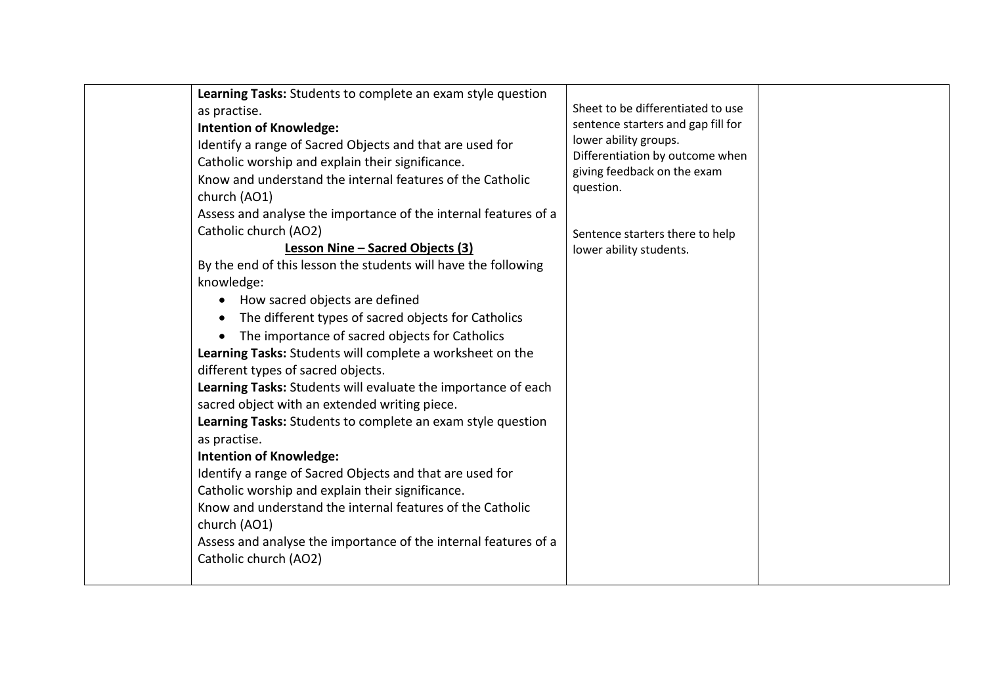|  | Learning Tasks: Students to complete an exam style question<br>as practise.<br><b>Intention of Knowledge:</b><br>Identify a range of Sacred Objects and that are used for<br>Catholic worship and explain their significance.<br>Know and understand the internal features of the Catholic<br>church (AO1)<br>Assess and analyse the importance of the internal features of a<br>Catholic church (AO2)<br>Lesson Nine - Sacred Objects (3)<br>By the end of this lesson the students will have the following<br>knowledge:<br>How sacred objects are defined<br>$\bullet$<br>The different types of sacred objects for Catholics<br>$\bullet$<br>The importance of sacred objects for Catholics<br>$\bullet$<br>Learning Tasks: Students will complete a worksheet on the<br>different types of sacred objects.<br>Learning Tasks: Students will evaluate the importance of each<br>sacred object with an extended writing piece.<br>Learning Tasks: Students to complete an exam style question<br>as practise.<br><b>Intention of Knowledge:</b><br>Identify a range of Sacred Objects and that are used for<br>Catholic worship and explain their significance.<br>Know and understand the internal features of the Catholic<br>church (AO1)<br>Assess and analyse the importance of the internal features of a<br>Catholic church (AO2) | Sheet to be differentiated to use<br>sentence starters and gap fill for<br>lower ability groups.<br>Differentiation by outcome when<br>giving feedback on the exam<br>question.<br>Sentence starters there to help<br>lower ability students. |  |
|--|---------------------------------------------------------------------------------------------------------------------------------------------------------------------------------------------------------------------------------------------------------------------------------------------------------------------------------------------------------------------------------------------------------------------------------------------------------------------------------------------------------------------------------------------------------------------------------------------------------------------------------------------------------------------------------------------------------------------------------------------------------------------------------------------------------------------------------------------------------------------------------------------------------------------------------------------------------------------------------------------------------------------------------------------------------------------------------------------------------------------------------------------------------------------------------------------------------------------------------------------------------------------------------------------------------------------------------------------|-----------------------------------------------------------------------------------------------------------------------------------------------------------------------------------------------------------------------------------------------|--|
|--|---------------------------------------------------------------------------------------------------------------------------------------------------------------------------------------------------------------------------------------------------------------------------------------------------------------------------------------------------------------------------------------------------------------------------------------------------------------------------------------------------------------------------------------------------------------------------------------------------------------------------------------------------------------------------------------------------------------------------------------------------------------------------------------------------------------------------------------------------------------------------------------------------------------------------------------------------------------------------------------------------------------------------------------------------------------------------------------------------------------------------------------------------------------------------------------------------------------------------------------------------------------------------------------------------------------------------------------------|-----------------------------------------------------------------------------------------------------------------------------------------------------------------------------------------------------------------------------------------------|--|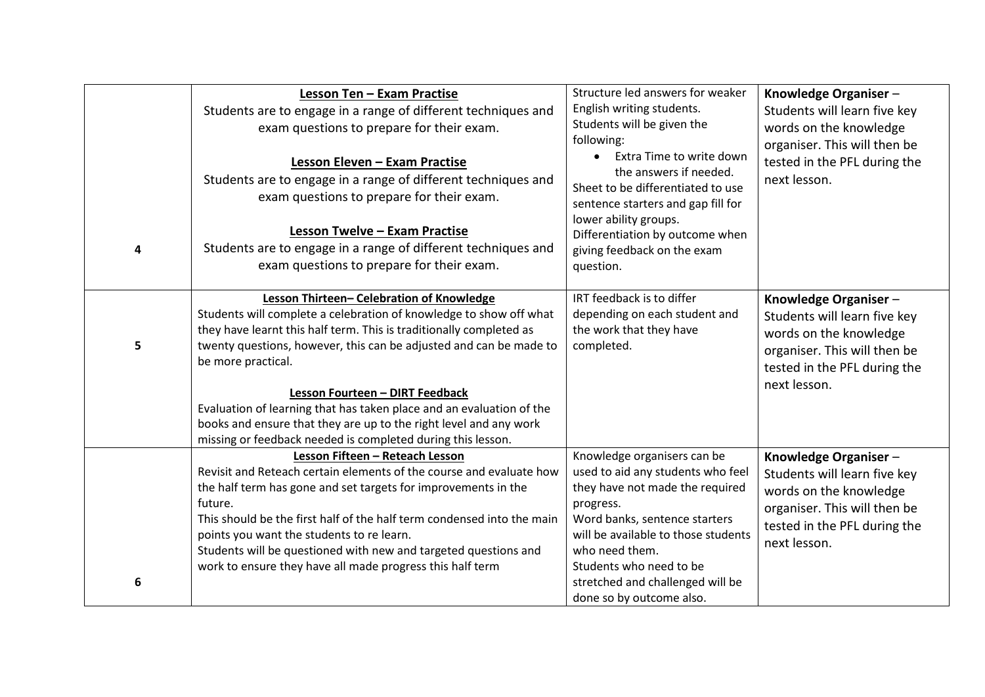| 4 | Lesson Ten - Exam Practise<br>Students are to engage in a range of different techniques and<br>exam questions to prepare for their exam.<br>Lesson Eleven - Exam Practise<br>Students are to engage in a range of different techniques and<br>exam questions to prepare for their exam.<br>Lesson Twelve - Exam Practise<br>Students are to engage in a range of different techniques and<br>exam questions to prepare for their exam.                                                                                            | Structure led answers for weaker<br>English writing students.<br>Students will be given the<br>following:<br>Extra Time to write down<br>the answers if needed.<br>Sheet to be differentiated to use<br>sentence starters and gap fill for<br>lower ability groups.<br>Differentiation by outcome when<br>giving feedback on the exam<br>question. | Knowledge Organiser-<br>Students will learn five key<br>words on the knowledge<br>organiser. This will then be<br>tested in the PFL during the<br>next lesson. |
|---|-----------------------------------------------------------------------------------------------------------------------------------------------------------------------------------------------------------------------------------------------------------------------------------------------------------------------------------------------------------------------------------------------------------------------------------------------------------------------------------------------------------------------------------|----------------------------------------------------------------------------------------------------------------------------------------------------------------------------------------------------------------------------------------------------------------------------------------------------------------------------------------------------|----------------------------------------------------------------------------------------------------------------------------------------------------------------|
| 5 | Lesson Thirteen- Celebration of Knowledge<br>Students will complete a celebration of knowledge to show off what<br>they have learnt this half term. This is traditionally completed as<br>twenty questions, however, this can be adjusted and can be made to<br>be more practical.<br>Lesson Fourteen - DIRT Feedback<br>Evaluation of learning that has taken place and an evaluation of the<br>books and ensure that they are up to the right level and any work<br>missing or feedback needed is completed during this lesson. | IRT feedback is to differ<br>depending on each student and<br>the work that they have<br>completed.                                                                                                                                                                                                                                                | Knowledge Organiser-<br>Students will learn five key<br>words on the knowledge<br>organiser. This will then be<br>tested in the PFL during the<br>next lesson. |
| 6 | Lesson Fifteen - Reteach Lesson<br>Revisit and Reteach certain elements of the course and evaluate how<br>the half term has gone and set targets for improvements in the<br>future.<br>This should be the first half of the half term condensed into the main<br>points you want the students to re learn.<br>Students will be questioned with new and targeted questions and<br>work to ensure they have all made progress this half term                                                                                        | Knowledge organisers can be<br>used to aid any students who feel<br>they have not made the required<br>progress.<br>Word banks, sentence starters<br>will be available to those students<br>who need them.<br>Students who need to be<br>stretched and challenged will be<br>done so by outcome also.                                              | Knowledge Organiser-<br>Students will learn five key<br>words on the knowledge<br>organiser. This will then be<br>tested in the PFL during the<br>next lesson. |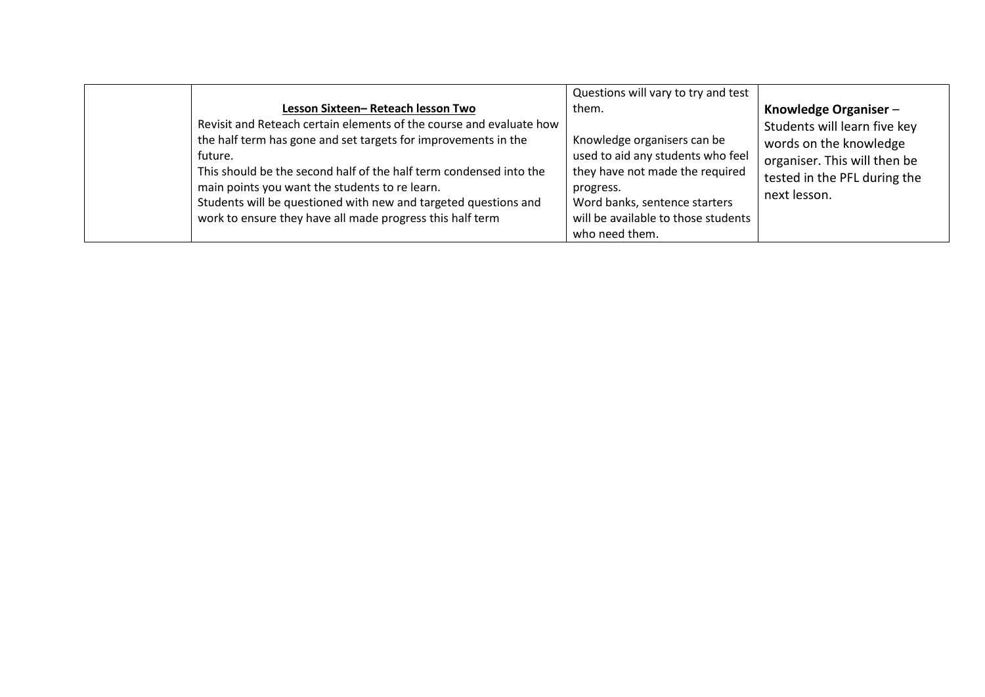|                                                                                                                                                                                                                                                             | Questions will vary to try and test                                                                          |                                                                                                                                                 |
|-------------------------------------------------------------------------------------------------------------------------------------------------------------------------------------------------------------------------------------------------------------|--------------------------------------------------------------------------------------------------------------|-------------------------------------------------------------------------------------------------------------------------------------------------|
| Lesson Sixteen-Reteach lesson Two<br>Revisit and Reteach certain elements of the course and evaluate how<br>the half term has gone and set targets for improvements in the<br>future.<br>This should be the second half of the half term condensed into the | them.<br>Knowledge organisers can be<br>used to aid any students who feel<br>they have not made the required | Knowledge Organiser -<br>Students will learn five key<br>words on the knowledge<br>organiser. This will then be<br>tested in the PFL during the |
| main points you want the students to re learn.<br>Students will be questioned with new and targeted questions and<br>work to ensure they have all made progress this half term                                                                              | progress.<br>Word banks, sentence starters<br>will be available to those students<br>who need them.          | next lesson.                                                                                                                                    |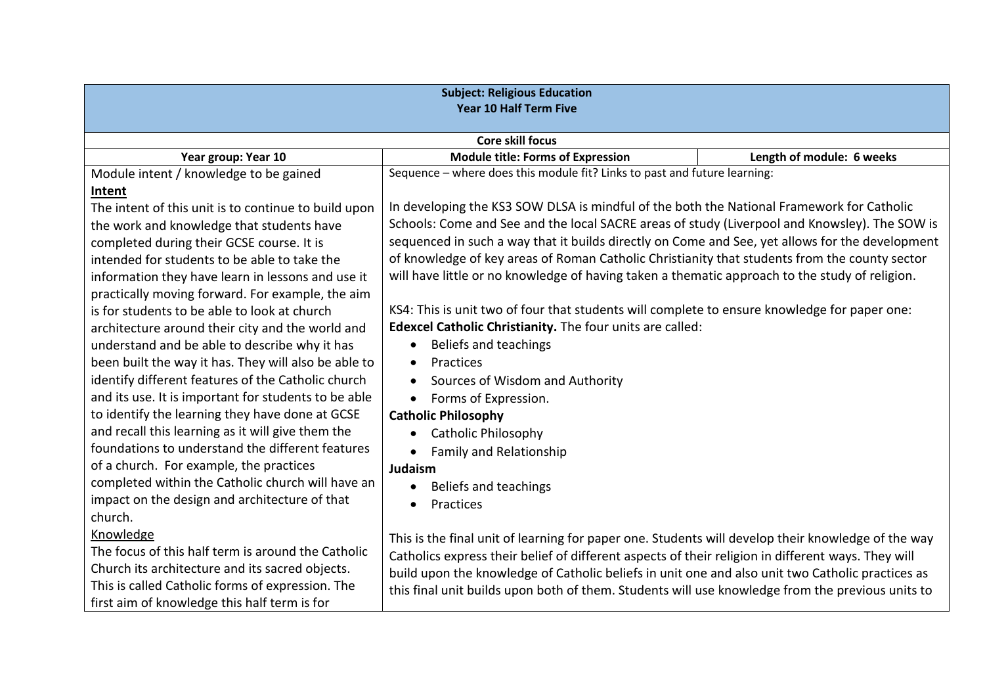| <b>Subject: Religious Education</b><br>Year 10 Half Term Five |                                                                                                    |                           |  |
|---------------------------------------------------------------|----------------------------------------------------------------------------------------------------|---------------------------|--|
| <b>Core skill focus</b>                                       |                                                                                                    |                           |  |
| Year group: Year 10                                           | <b>Module title: Forms of Expression</b>                                                           | Length of module: 6 weeks |  |
| Module intent / knowledge to be gained                        | Sequence - where does this module fit? Links to past and future learning:                          |                           |  |
| Intent                                                        |                                                                                                    |                           |  |
| The intent of this unit is to continue to build upon          | In developing the KS3 SOW DLSA is mindful of the both the National Framework for Catholic          |                           |  |
| the work and knowledge that students have                     | Schools: Come and See and the local SACRE areas of study (Liverpool and Knowsley). The SOW is      |                           |  |
| completed during their GCSE course. It is                     | sequenced in such a way that it builds directly on Come and See, yet allows for the development    |                           |  |
| intended for students to be able to take the                  | of knowledge of key areas of Roman Catholic Christianity that students from the county sector      |                           |  |
| information they have learn in lessons and use it             | will have little or no knowledge of having taken a thematic approach to the study of religion.     |                           |  |
| practically moving forward. For example, the aim              |                                                                                                    |                           |  |
| is for students to be able to look at church                  | KS4: This is unit two of four that students will complete to ensure knowledge for paper one:       |                           |  |
| architecture around their city and the world and              | Edexcel Catholic Christianity. The four units are called:                                          |                           |  |
| understand and be able to describe why it has                 | Beliefs and teachings<br>$\bullet$                                                                 |                           |  |
| been built the way it has. They will also be able to          | Practices<br>$\bullet$                                                                             |                           |  |
| identify different features of the Catholic church            | Sources of Wisdom and Authority                                                                    |                           |  |
| and its use. It is important for students to be able          | Forms of Expression.<br>$\bullet$                                                                  |                           |  |
| to identify the learning they have done at GCSE               | <b>Catholic Philosophy</b>                                                                         |                           |  |
| and recall this learning as it will give them the             | <b>Catholic Philosophy</b><br>$\bullet$                                                            |                           |  |
| foundations to understand the different features              | <b>Family and Relationship</b>                                                                     |                           |  |
| of a church. For example, the practices                       | Judaism                                                                                            |                           |  |
| completed within the Catholic church will have an             | Beliefs and teachings<br>$\bullet$                                                                 |                           |  |
| impact on the design and architecture of that                 | Practices<br>$\bullet$                                                                             |                           |  |
| church.                                                       |                                                                                                    |                           |  |
| Knowledge                                                     | This is the final unit of learning for paper one. Students will develop their knowledge of the way |                           |  |
| The focus of this half term is around the Catholic            | Catholics express their belief of different aspects of their religion in different ways. They will |                           |  |
| Church its architecture and its sacred objects.               | build upon the knowledge of Catholic beliefs in unit one and also unit two Catholic practices as   |                           |  |
| This is called Catholic forms of expression. The              | this final unit builds upon both of them. Students will use knowledge from the previous units to   |                           |  |
| first aim of knowledge this half term is for                  |                                                                                                    |                           |  |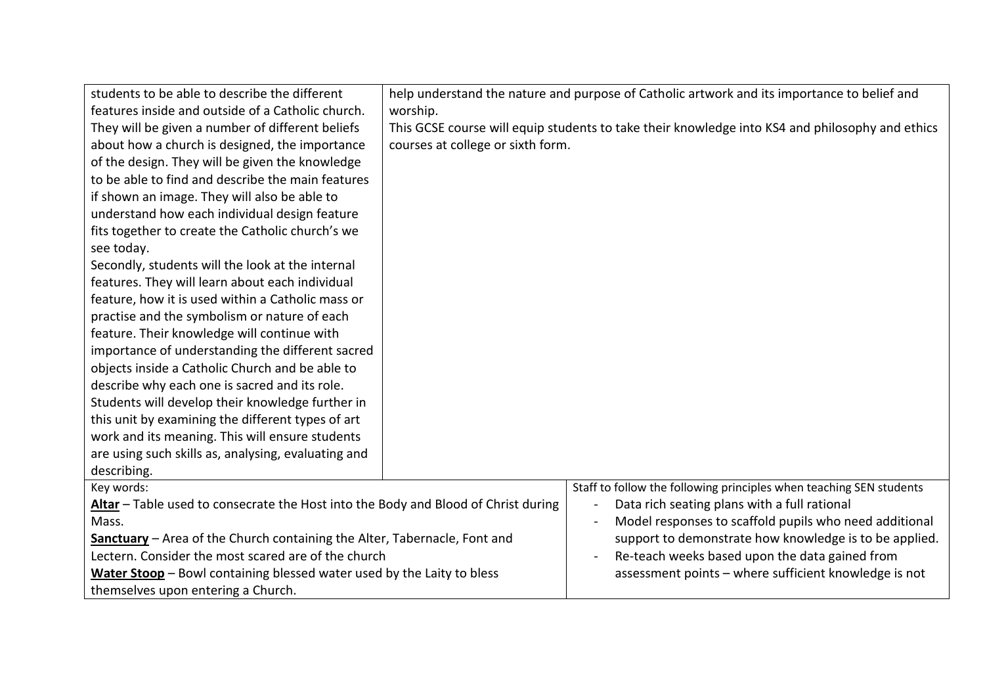| students to be able to describe the different                                      |                                                                                                 | help understand the nature and purpose of Catholic artwork and its importance to belief and |  |
|------------------------------------------------------------------------------------|-------------------------------------------------------------------------------------------------|---------------------------------------------------------------------------------------------|--|
| features inside and outside of a Catholic church.                                  | worship.                                                                                        |                                                                                             |  |
| They will be given a number of different beliefs                                   | This GCSE course will equip students to take their knowledge into KS4 and philosophy and ethics |                                                                                             |  |
| about how a church is designed, the importance                                     | courses at college or sixth form.                                                               |                                                                                             |  |
| of the design. They will be given the knowledge                                    |                                                                                                 |                                                                                             |  |
| to be able to find and describe the main features                                  |                                                                                                 |                                                                                             |  |
| if shown an image. They will also be able to                                       |                                                                                                 |                                                                                             |  |
| understand how each individual design feature                                      |                                                                                                 |                                                                                             |  |
| fits together to create the Catholic church's we                                   |                                                                                                 |                                                                                             |  |
| see today.                                                                         |                                                                                                 |                                                                                             |  |
| Secondly, students will the look at the internal                                   |                                                                                                 |                                                                                             |  |
| features. They will learn about each individual                                    |                                                                                                 |                                                                                             |  |
| feature, how it is used within a Catholic mass or                                  |                                                                                                 |                                                                                             |  |
| practise and the symbolism or nature of each                                       |                                                                                                 |                                                                                             |  |
| feature. Their knowledge will continue with                                        |                                                                                                 |                                                                                             |  |
| importance of understanding the different sacred                                   |                                                                                                 |                                                                                             |  |
| objects inside a Catholic Church and be able to                                    |                                                                                                 |                                                                                             |  |
| describe why each one is sacred and its role.                                      |                                                                                                 |                                                                                             |  |
| Students will develop their knowledge further in                                   |                                                                                                 |                                                                                             |  |
| this unit by examining the different types of art                                  |                                                                                                 |                                                                                             |  |
| work and its meaning. This will ensure students                                    |                                                                                                 |                                                                                             |  |
| are using such skills as, analysing, evaluating and                                |                                                                                                 |                                                                                             |  |
| describing.                                                                        |                                                                                                 |                                                                                             |  |
| Key words:                                                                         |                                                                                                 | Staff to follow the following principles when teaching SEN students                         |  |
| Altar - Table used to consecrate the Host into the Body and Blood of Christ during |                                                                                                 | Data rich seating plans with a full rational<br>$\blacksquare$                              |  |
| Mass.                                                                              |                                                                                                 | Model responses to scaffold pupils who need additional                                      |  |
| Sanctuary - Area of the Church containing the Alter, Tabernacle, Font and          |                                                                                                 | support to demonstrate how knowledge is to be applied.                                      |  |
| Lectern. Consider the most scared are of the church                                |                                                                                                 | Re-teach weeks based upon the data gained from                                              |  |
| Water Stoop - Bowl containing blessed water used by the Laity to bless             |                                                                                                 | assessment points - where sufficient knowledge is not                                       |  |
| themselves upon entering a Church.                                                 |                                                                                                 |                                                                                             |  |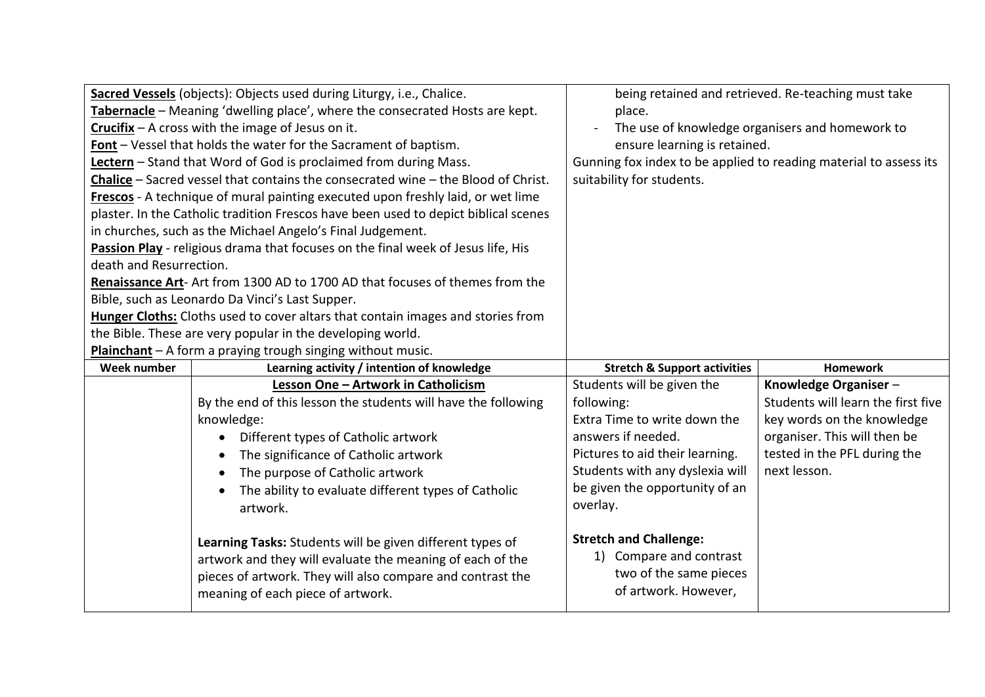|                                                                              | Sacred Vessels (objects): Objects used during Liturgy, i.e., Chalice.               |                                                                   | being retained and retrieved. Re-teaching must take |
|------------------------------------------------------------------------------|-------------------------------------------------------------------------------------|-------------------------------------------------------------------|-----------------------------------------------------|
| Tabernacle - Meaning 'dwelling place', where the consecrated Hosts are kept. |                                                                                     | place.                                                            |                                                     |
| Crucifix - A cross with the image of Jesus on it.                            |                                                                                     | The use of knowledge organisers and homework to                   |                                                     |
| Font - Vessel that holds the water for the Sacrament of baptism.             |                                                                                     | ensure learning is retained.                                      |                                                     |
|                                                                              | Lectern - Stand that Word of God is proclaimed from during Mass.                    | Gunning fox index to be applied to reading material to assess its |                                                     |
|                                                                              | Chalice - Sacred vessel that contains the consecrated wine - the Blood of Christ.   | suitability for students.                                         |                                                     |
|                                                                              | Frescos - A technique of mural painting executed upon freshly laid, or wet lime     |                                                                   |                                                     |
|                                                                              | plaster. In the Catholic tradition Frescos have been used to depict biblical scenes |                                                                   |                                                     |
|                                                                              | in churches, such as the Michael Angelo's Final Judgement.                          |                                                                   |                                                     |
|                                                                              | Passion Play - religious drama that focuses on the final week of Jesus life, His    |                                                                   |                                                     |
| death and Resurrection.                                                      |                                                                                     |                                                                   |                                                     |
|                                                                              | Renaissance Art- Art from 1300 AD to 1700 AD that focuses of themes from the        |                                                                   |                                                     |
|                                                                              | Bible, such as Leonardo Da Vinci's Last Supper.                                     |                                                                   |                                                     |
|                                                                              | Hunger Cloths: Cloths used to cover altars that contain images and stories from     |                                                                   |                                                     |
|                                                                              | the Bible. These are very popular in the developing world.                          |                                                                   |                                                     |
|                                                                              | Plainchant - A form a praying trough singing without music.                         |                                                                   |                                                     |
| Week number                                                                  | Learning activity / intention of knowledge                                          | <b>Stretch &amp; Support activities</b>                           | <b>Homework</b>                                     |
|                                                                              | Lesson One - Artwork in Catholicism                                                 | Students will be given the                                        | Knowledge Organiser-                                |
|                                                                              |                                                                                     |                                                                   |                                                     |
|                                                                              | By the end of this lesson the students will have the following                      | following:                                                        | Students will learn the first five                  |
|                                                                              | knowledge:                                                                          | Extra Time to write down the                                      | key words on the knowledge                          |
|                                                                              | Different types of Catholic artwork                                                 | answers if needed.                                                | organiser. This will then be                        |
|                                                                              | The significance of Catholic artwork                                                | Pictures to aid their learning.                                   | tested in the PFL during the                        |
|                                                                              | The purpose of Catholic artwork                                                     | Students with any dyslexia will                                   | next lesson.                                        |
|                                                                              | The ability to evaluate different types of Catholic                                 | be given the opportunity of an                                    |                                                     |
|                                                                              | artwork.                                                                            | overlay.                                                          |                                                     |
|                                                                              |                                                                                     |                                                                   |                                                     |
|                                                                              | Learning Tasks: Students will be given different types of                           | <b>Stretch and Challenge:</b>                                     |                                                     |
|                                                                              | artwork and they will evaluate the meaning of each of the                           | 1) Compare and contrast                                           |                                                     |
|                                                                              | pieces of artwork. They will also compare and contrast the                          | two of the same pieces                                            |                                                     |
|                                                                              | meaning of each piece of artwork.                                                   | of artwork. However,                                              |                                                     |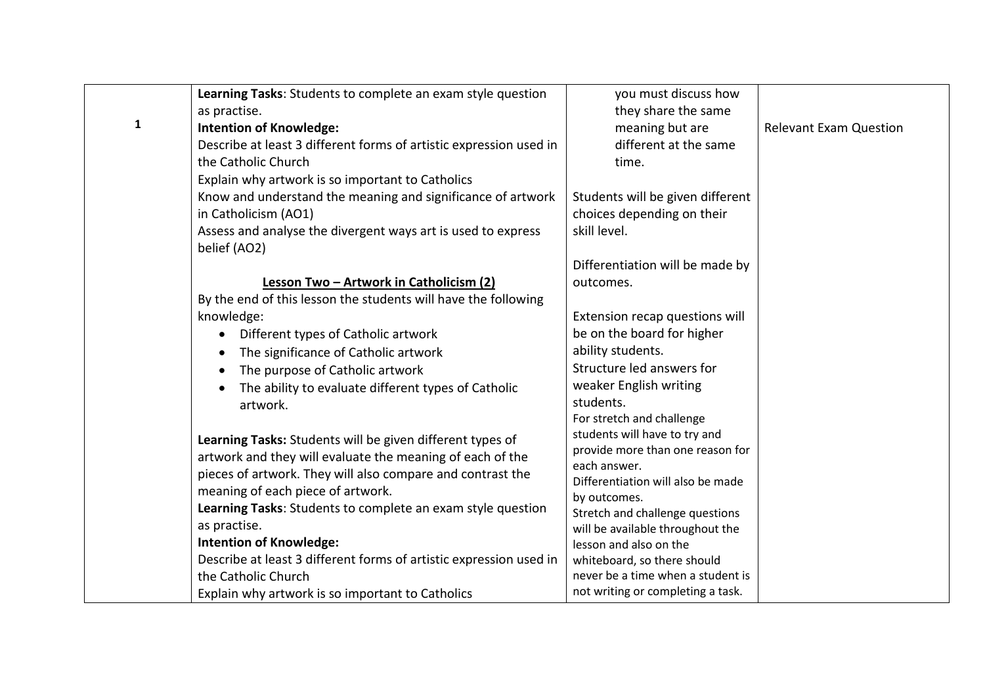|              | Learning Tasks: Students to complete an exam style question        | you must discuss how                              |                               |
|--------------|--------------------------------------------------------------------|---------------------------------------------------|-------------------------------|
|              | as practise.                                                       | they share the same                               |                               |
| $\mathbf{1}$ | <b>Intention of Knowledge:</b>                                     | meaning but are                                   | <b>Relevant Exam Question</b> |
|              | Describe at least 3 different forms of artistic expression used in | different at the same                             |                               |
|              | the Catholic Church                                                | time.                                             |                               |
|              | Explain why artwork is so important to Catholics                   |                                                   |                               |
|              | Know and understand the meaning and significance of artwork        | Students will be given different                  |                               |
|              | in Catholicism (AO1)                                               | choices depending on their                        |                               |
|              | Assess and analyse the divergent ways art is used to express       | skill level.                                      |                               |
|              | belief (AO2)                                                       |                                                   |                               |
|              |                                                                    | Differentiation will be made by                   |                               |
|              | Lesson Two - Artwork in Catholicism (2)                            | outcomes.                                         |                               |
|              | By the end of this lesson the students will have the following     |                                                   |                               |
|              | knowledge:                                                         | Extension recap questions will                    |                               |
|              | Different types of Catholic artwork                                | be on the board for higher                        |                               |
|              | The significance of Catholic artwork<br>$\bullet$                  | ability students.                                 |                               |
|              | The purpose of Catholic artwork                                    | Structure led answers for                         |                               |
|              | The ability to evaluate different types of Catholic                | weaker English writing                            |                               |
|              | artwork.                                                           | students.                                         |                               |
|              |                                                                    | For stretch and challenge                         |                               |
|              | Learning Tasks: Students will be given different types of          | students will have to try and                     |                               |
|              | artwork and they will evaluate the meaning of each of the          | provide more than one reason for                  |                               |
|              | pieces of artwork. They will also compare and contrast the         | each answer.<br>Differentiation will also be made |                               |
|              | meaning of each piece of artwork.                                  | by outcomes.                                      |                               |
|              | Learning Tasks: Students to complete an exam style question        | Stretch and challenge questions                   |                               |
|              | as practise.                                                       | will be available throughout the                  |                               |
|              | <b>Intention of Knowledge:</b>                                     | lesson and also on the                            |                               |
|              | Describe at least 3 different forms of artistic expression used in | whiteboard, so there should                       |                               |
|              | the Catholic Church                                                | never be a time when a student is                 |                               |
|              | Explain why artwork is so important to Catholics                   | not writing or completing a task.                 |                               |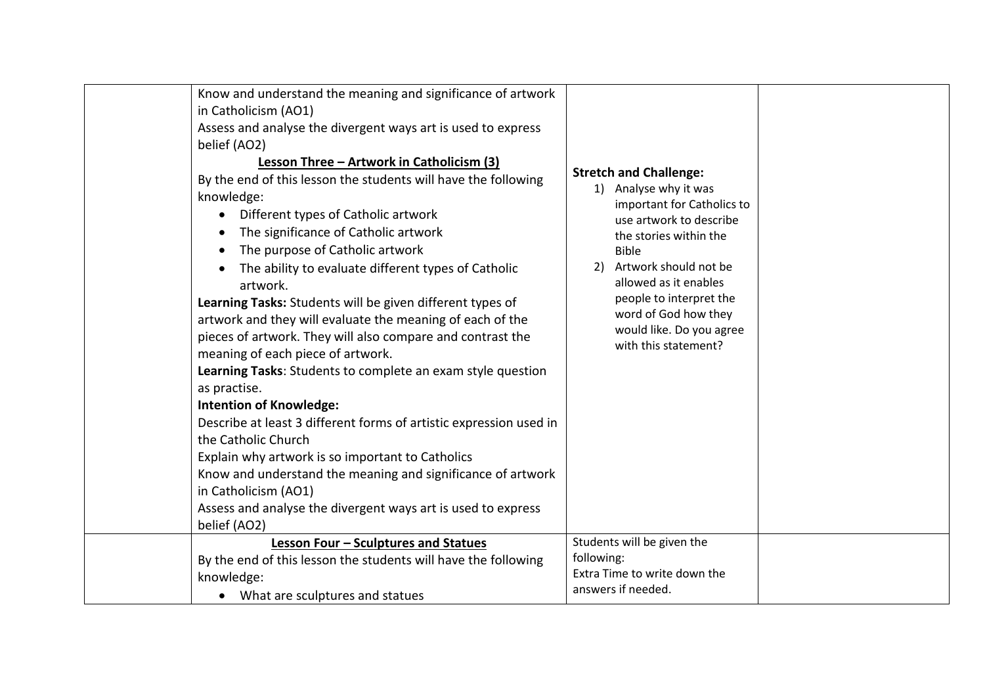| Know and understand the meaning and significance of artwork<br>in Catholicism (AO1)<br>Assess and analyse the divergent ways art is used to express<br>belief (AO2)<br>Lesson Three - Artwork in Catholicism (3)<br>By the end of this lesson the students will have the following<br>knowledge:<br>Different types of Catholic artwork<br>The significance of Catholic artwork<br>The purpose of Catholic artwork<br>$\bullet$<br>The ability to evaluate different types of Catholic<br>artwork.<br>Learning Tasks: Students will be given different types of<br>artwork and they will evaluate the meaning of each of the<br>pieces of artwork. They will also compare and contrast the<br>meaning of each piece of artwork.<br>Learning Tasks: Students to complete an exam style question<br>as practise.<br><b>Intention of Knowledge:</b><br>Describe at least 3 different forms of artistic expression used in<br>the Catholic Church<br>Explain why artwork is so important to Catholics<br>Know and understand the meaning and significance of artwork<br>in Catholicism (AO1)<br>Assess and analyse the divergent ways art is used to express<br>belief (AO2) | <b>Stretch and Challenge:</b><br>1) Analyse why it was<br>important for Catholics to<br>use artwork to describe<br>the stories within the<br><b>Bible</b><br>Artwork should not be<br>2)<br>allowed as it enables<br>people to interpret the<br>word of God how they<br>would like. Do you agree<br>with this statement? |
|--------------------------------------------------------------------------------------------------------------------------------------------------------------------------------------------------------------------------------------------------------------------------------------------------------------------------------------------------------------------------------------------------------------------------------------------------------------------------------------------------------------------------------------------------------------------------------------------------------------------------------------------------------------------------------------------------------------------------------------------------------------------------------------------------------------------------------------------------------------------------------------------------------------------------------------------------------------------------------------------------------------------------------------------------------------------------------------------------------------------------------------------------------------------------|--------------------------------------------------------------------------------------------------------------------------------------------------------------------------------------------------------------------------------------------------------------------------------------------------------------------------|
| Lesson Four - Sculptures and Statues<br>By the end of this lesson the students will have the following<br>knowledge:<br>• What are sculptures and statues                                                                                                                                                                                                                                                                                                                                                                                                                                                                                                                                                                                                                                                                                                                                                                                                                                                                                                                                                                                                                | Students will be given the<br>following:<br>Extra Time to write down the<br>answers if needed.                                                                                                                                                                                                                           |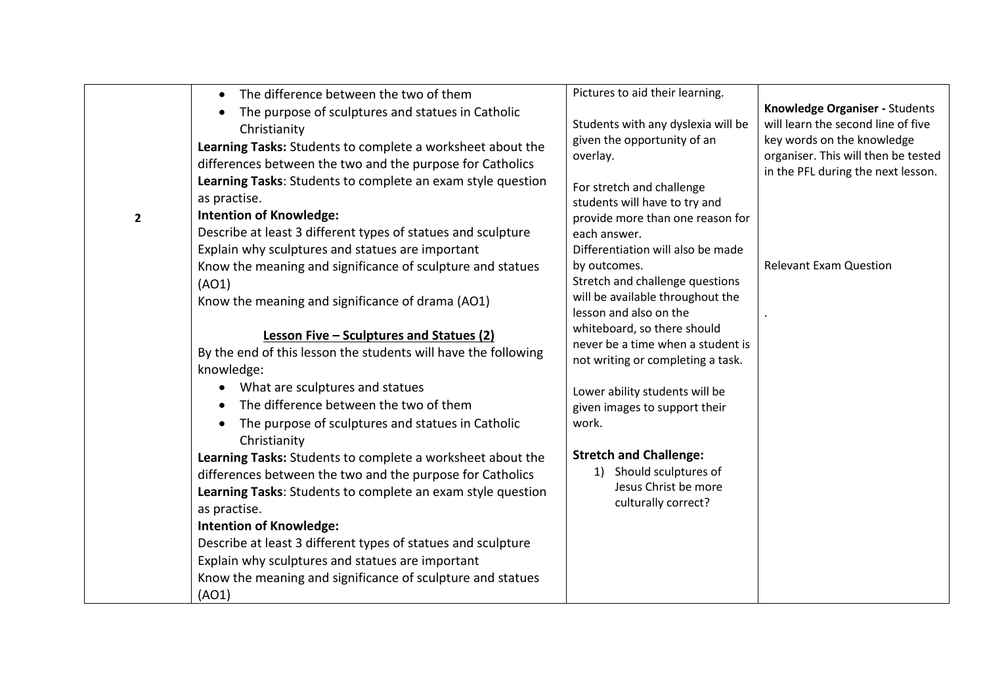|              | The difference between the two of them<br>$\bullet$            | Pictures to aid their learning.                                  |                                                                           |
|--------------|----------------------------------------------------------------|------------------------------------------------------------------|---------------------------------------------------------------------------|
|              | The purpose of sculptures and statues in Catholic<br>$\bullet$ |                                                                  | Knowledge Organiser - Students                                            |
|              | Christianity                                                   | Students with any dyslexia will be                               | will learn the second line of five                                        |
|              | Learning Tasks: Students to complete a worksheet about the     | given the opportunity of an                                      | key words on the knowledge                                                |
|              | differences between the two and the purpose for Catholics      | overlay.                                                         | organiser. This will then be tested<br>in the PFL during the next lesson. |
|              | Learning Tasks: Students to complete an exam style question    | For stretch and challenge                                        |                                                                           |
|              | as practise.                                                   | students will have to try and                                    |                                                                           |
| $\mathbf{2}$ | <b>Intention of Knowledge:</b>                                 | provide more than one reason for                                 |                                                                           |
|              | Describe at least 3 different types of statues and sculpture   | each answer.                                                     |                                                                           |
|              | Explain why sculptures and statues are important               | Differentiation will also be made                                |                                                                           |
|              | Know the meaning and significance of sculpture and statues     | by outcomes.                                                     | <b>Relevant Exam Question</b>                                             |
|              | (AO1)                                                          | Stretch and challenge questions                                  |                                                                           |
|              | Know the meaning and significance of drama (AO1)               | will be available throughout the                                 |                                                                           |
|              |                                                                | lesson and also on the                                           |                                                                           |
|              | Lesson Five - Sculptures and Statues (2)                       | whiteboard, so there should<br>never be a time when a student is |                                                                           |
|              | By the end of this lesson the students will have the following | not writing or completing a task.                                |                                                                           |
|              | knowledge:                                                     |                                                                  |                                                                           |
|              | What are sculptures and statues<br>$\bullet$                   | Lower ability students will be                                   |                                                                           |
|              | The difference between the two of them<br>$\bullet$            | given images to support their                                    |                                                                           |
|              | The purpose of sculptures and statues in Catholic<br>$\bullet$ | work.                                                            |                                                                           |
|              | Christianity                                                   |                                                                  |                                                                           |
|              | Learning Tasks: Students to complete a worksheet about the     | <b>Stretch and Challenge:</b>                                    |                                                                           |
|              | differences between the two and the purpose for Catholics      | 1) Should sculptures of                                          |                                                                           |
|              | Learning Tasks: Students to complete an exam style question    | Jesus Christ be more<br>culturally correct?                      |                                                                           |
|              | as practise.                                                   |                                                                  |                                                                           |
|              | <b>Intention of Knowledge:</b>                                 |                                                                  |                                                                           |
|              | Describe at least 3 different types of statues and sculpture   |                                                                  |                                                                           |
|              | Explain why sculptures and statues are important               |                                                                  |                                                                           |
|              | Know the meaning and significance of sculpture and statues     |                                                                  |                                                                           |
|              | (AO1)                                                          |                                                                  |                                                                           |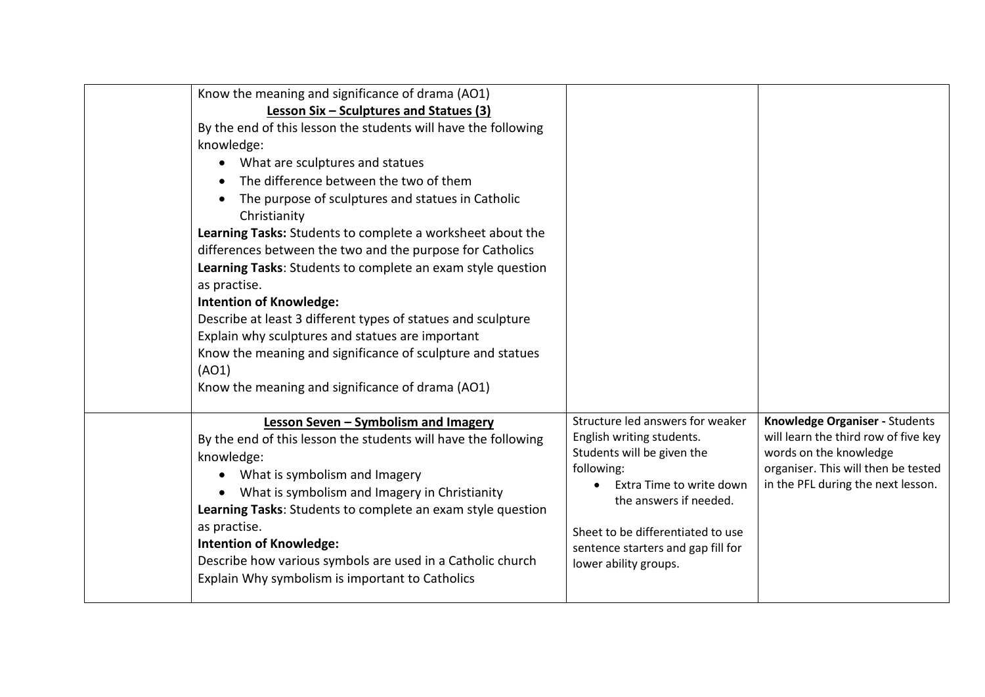| Know the meaning and significance of drama (AO1)<br>Lesson Six - Sculptures and Statues (3)<br>By the end of this lesson the students will have the following<br>knowledge:<br>What are sculptures and statues<br>$\bullet$<br>The difference between the two of them<br>The purpose of sculptures and statues in Catholic<br>Christianity<br>Learning Tasks: Students to complete a worksheet about the<br>differences between the two and the purpose for Catholics<br>Learning Tasks: Students to complete an exam style question<br>as practise.<br><b>Intention of Knowledge:</b><br>Describe at least 3 different types of statues and sculpture<br>Explain why sculptures and statues are important<br>Know the meaning and significance of sculpture and statues<br>(AO1)<br>Know the meaning and significance of drama (AO1) |                                                                                                                                                                                                                                                                     |                                                                                                                                                                               |
|---------------------------------------------------------------------------------------------------------------------------------------------------------------------------------------------------------------------------------------------------------------------------------------------------------------------------------------------------------------------------------------------------------------------------------------------------------------------------------------------------------------------------------------------------------------------------------------------------------------------------------------------------------------------------------------------------------------------------------------------------------------------------------------------------------------------------------------|---------------------------------------------------------------------------------------------------------------------------------------------------------------------------------------------------------------------------------------------------------------------|-------------------------------------------------------------------------------------------------------------------------------------------------------------------------------|
| Lesson Seven - Symbolism and Imagery<br>By the end of this lesson the students will have the following<br>knowledge:<br>What is symbolism and Imagery<br>$\bullet$<br>What is symbolism and Imagery in Christianity<br>Learning Tasks: Students to complete an exam style question<br>as practise.<br><b>Intention of Knowledge:</b><br>Describe how various symbols are used in a Catholic church<br>Explain Why symbolism is important to Catholics                                                                                                                                                                                                                                                                                                                                                                                 | Structure led answers for weaker<br>English writing students.<br>Students will be given the<br>following:<br>Extra Time to write down<br>the answers if needed.<br>Sheet to be differentiated to use<br>sentence starters and gap fill for<br>lower ability groups. | Knowledge Organiser - Students<br>will learn the third row of five key<br>words on the knowledge<br>organiser. This will then be tested<br>in the PFL during the next lesson. |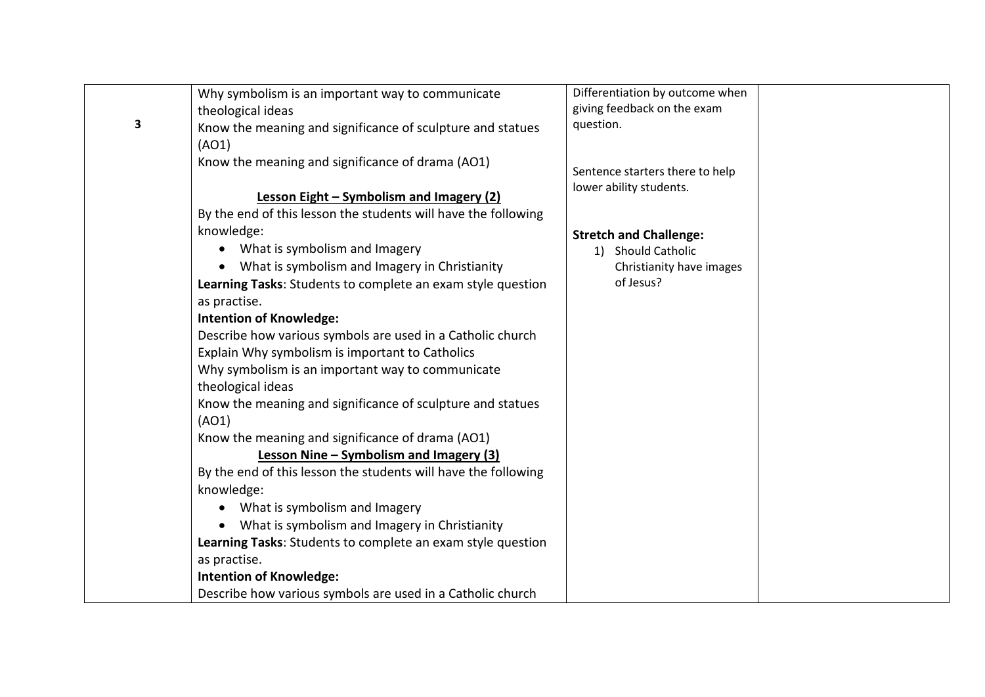|   | Why symbolism is an important way to communicate               | Differentiation by outcome when |  |
|---|----------------------------------------------------------------|---------------------------------|--|
|   | theological ideas                                              | giving feedback on the exam     |  |
| 3 | Know the meaning and significance of sculpture and statues     | question.                       |  |
|   | (AO1)                                                          |                                 |  |
|   | Know the meaning and significance of drama (AO1)               |                                 |  |
|   |                                                                | Sentence starters there to help |  |
|   | Lesson Eight - Symbolism and Imagery (2)                       | lower ability students.         |  |
|   | By the end of this lesson the students will have the following |                                 |  |
|   | knowledge:                                                     | <b>Stretch and Challenge:</b>   |  |
|   | What is symbolism and Imagery<br>$\bullet$                     | 1) Should Catholic              |  |
|   | What is symbolism and Imagery in Christianity<br>$\bullet$     | Christianity have images        |  |
|   | Learning Tasks: Students to complete an exam style question    | of Jesus?                       |  |
|   | as practise.                                                   |                                 |  |
|   | <b>Intention of Knowledge:</b>                                 |                                 |  |
|   | Describe how various symbols are used in a Catholic church     |                                 |  |
|   | Explain Why symbolism is important to Catholics                |                                 |  |
|   | Why symbolism is an important way to communicate               |                                 |  |
|   | theological ideas                                              |                                 |  |
|   | Know the meaning and significance of sculpture and statues     |                                 |  |
|   | (AO1)                                                          |                                 |  |
|   | Know the meaning and significance of drama (AO1)               |                                 |  |
|   | Lesson Nine - Symbolism and Imagery (3)                        |                                 |  |
|   | By the end of this lesson the students will have the following |                                 |  |
|   | knowledge:                                                     |                                 |  |
|   | What is symbolism and Imagery<br>$\bullet$                     |                                 |  |
|   | What is symbolism and Imagery in Christianity<br>$\bullet$     |                                 |  |
|   | Learning Tasks: Students to complete an exam style question    |                                 |  |
|   | as practise.                                                   |                                 |  |
|   | <b>Intention of Knowledge:</b>                                 |                                 |  |
|   | Describe how various symbols are used in a Catholic church     |                                 |  |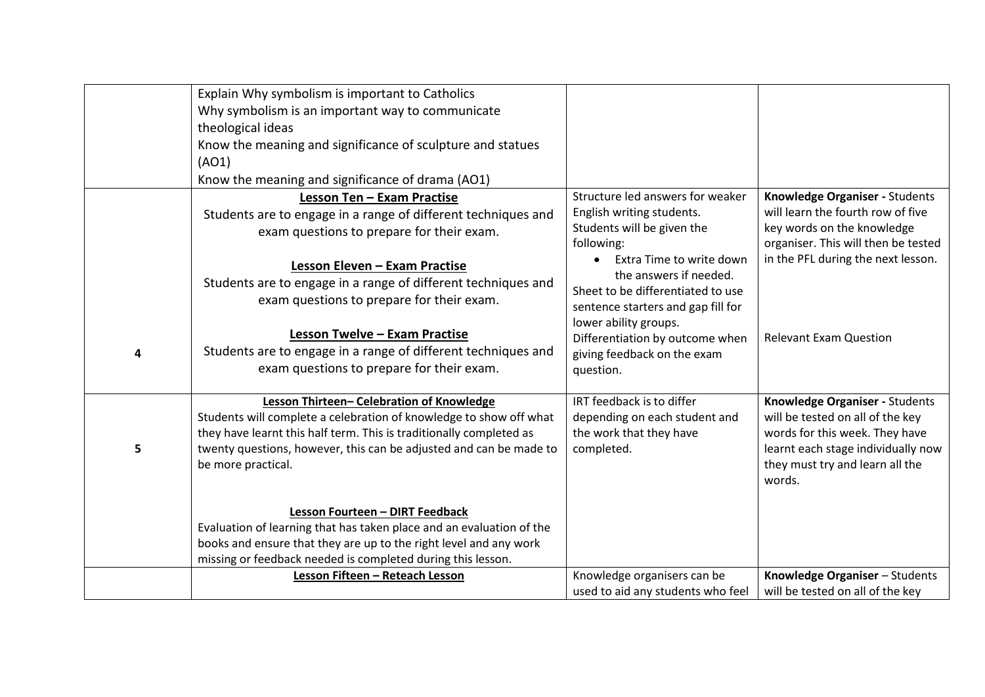|   | Explain Why symbolism is important to Catholics<br>Why symbolism is an important way to communicate |                                          |                                                                   |
|---|-----------------------------------------------------------------------------------------------------|------------------------------------------|-------------------------------------------------------------------|
|   | theological ideas                                                                                   |                                          |                                                                   |
|   | Know the meaning and significance of sculpture and statues                                          |                                          |                                                                   |
|   | (AO1)                                                                                               |                                          |                                                                   |
|   | Know the meaning and significance of drama (AO1)                                                    |                                          |                                                                   |
|   | Lesson Ten - Exam Practise                                                                          | Structure led answers for weaker         | Knowledge Organiser - Students                                    |
|   | Students are to engage in a range of different techniques and                                       | English writing students.                | will learn the fourth row of five                                 |
|   | exam questions to prepare for their exam.                                                           | Students will be given the<br>following: | key words on the knowledge<br>organiser. This will then be tested |
|   |                                                                                                     | Extra Time to write down<br>$\bullet$    | in the PFL during the next lesson.                                |
|   | Lesson Eleven - Exam Practise                                                                       | the answers if needed.                   |                                                                   |
|   | Students are to engage in a range of different techniques and                                       | Sheet to be differentiated to use        |                                                                   |
|   | exam questions to prepare for their exam.                                                           | sentence starters and gap fill for       |                                                                   |
|   |                                                                                                     | lower ability groups.                    |                                                                   |
|   | Lesson Twelve - Exam Practise<br>Students are to engage in a range of different techniques and      | Differentiation by outcome when          | <b>Relevant Exam Question</b>                                     |
| 4 | exam questions to prepare for their exam.                                                           | giving feedback on the exam<br>question. |                                                                   |
|   |                                                                                                     |                                          |                                                                   |
|   | Lesson Thirteen- Celebration of Knowledge                                                           | IRT feedback is to differ                | Knowledge Organiser - Students                                    |
|   | Students will complete a celebration of knowledge to show off what                                  | depending on each student and            | will be tested on all of the key                                  |
|   | they have learnt this half term. This is traditionally completed as                                 | the work that they have                  | words for this week. They have                                    |
| 5 | twenty questions, however, this can be adjusted and can be made to                                  | completed.                               | learnt each stage individually now                                |
|   | be more practical.                                                                                  |                                          | they must try and learn all the<br>words.                         |
|   |                                                                                                     |                                          |                                                                   |
|   | Lesson Fourteen - DIRT Feedback                                                                     |                                          |                                                                   |
|   | Evaluation of learning that has taken place and an evaluation of the                                |                                          |                                                                   |
|   | books and ensure that they are up to the right level and any work                                   |                                          |                                                                   |
|   | missing or feedback needed is completed during this lesson.                                         |                                          |                                                                   |
|   | Lesson Fifteen - Reteach Lesson                                                                     | Knowledge organisers can be              | Knowledge Organiser - Students                                    |
|   |                                                                                                     | used to aid any students who feel        | will be tested on all of the key                                  |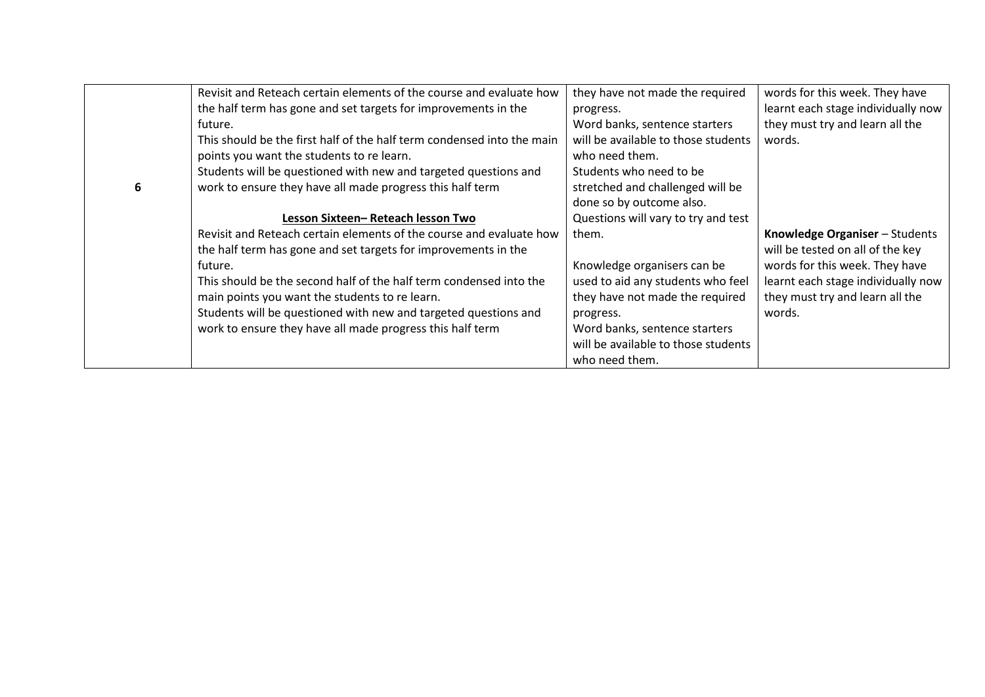|   | Revisit and Reteach certain elements of the course and evaluate how    | they have not made the required     | words for this week. They have     |
|---|------------------------------------------------------------------------|-------------------------------------|------------------------------------|
|   | the half term has gone and set targets for improvements in the         | progress.                           | learnt each stage individually now |
|   | future.                                                                | Word banks, sentence starters       | they must try and learn all the    |
|   | This should be the first half of the half term condensed into the main | will be available to those students | words.                             |
|   | points you want the students to re learn.                              | who need them.                      |                                    |
|   | Students will be questioned with new and targeted questions and        | Students who need to be             |                                    |
| 6 | work to ensure they have all made progress this half term              | stretched and challenged will be    |                                    |
|   |                                                                        | done so by outcome also.            |                                    |
|   | Lesson Sixteen-Reteach lesson Two                                      | Questions will vary to try and test |                                    |
|   | Revisit and Reteach certain elements of the course and evaluate how    | them.                               | Knowledge Organiser - Students     |
|   | the half term has gone and set targets for improvements in the         |                                     | will be tested on all of the key   |
|   | future.                                                                | Knowledge organisers can be         | words for this week. They have     |
|   | This should be the second half of the half term condensed into the     | used to aid any students who feel   | learnt each stage individually now |
|   | main points you want the students to re learn.                         | they have not made the required     | they must try and learn all the    |
|   | Students will be questioned with new and targeted questions and        | progress.                           | words.                             |
|   | work to ensure they have all made progress this half term              | Word banks, sentence starters       |                                    |
|   |                                                                        | will be available to those students |                                    |
|   |                                                                        | who need them.                      |                                    |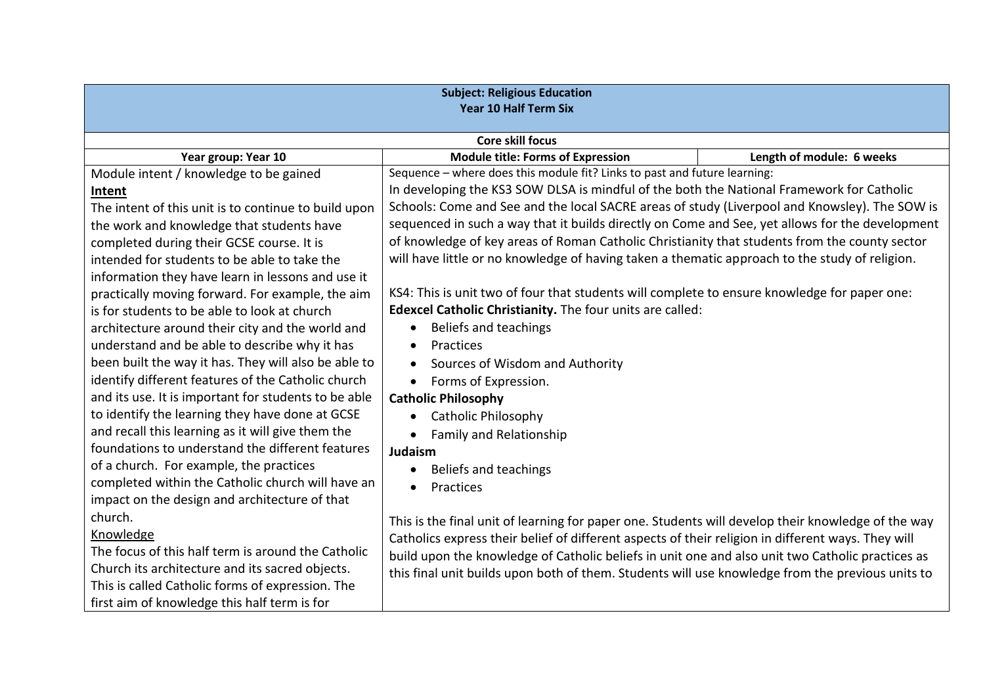| <b>Subject: Religious Education</b><br><b>Year 10 Half Term Six</b> |                                                                                                    |                           |  |
|---------------------------------------------------------------------|----------------------------------------------------------------------------------------------------|---------------------------|--|
|                                                                     | Core skill focus                                                                                   |                           |  |
| Year group: Year 10                                                 | <b>Module title: Forms of Expression</b>                                                           | Length of module: 6 weeks |  |
| Module intent / knowledge to be gained                              | Sequence - where does this module fit? Links to past and future learning:                          |                           |  |
| Intent                                                              | In developing the KS3 SOW DLSA is mindful of the both the National Framework for Catholic          |                           |  |
| The intent of this unit is to continue to build upon                | Schools: Come and See and the local SACRE areas of study (Liverpool and Knowsley). The SOW is      |                           |  |
| the work and knowledge that students have                           | sequenced in such a way that it builds directly on Come and See, yet allows for the development    |                           |  |
| completed during their GCSE course. It is                           | of knowledge of key areas of Roman Catholic Christianity that students from the county sector      |                           |  |
| intended for students to be able to take the                        | will have little or no knowledge of having taken a thematic approach to the study of religion.     |                           |  |
| information they have learn in lessons and use it                   |                                                                                                    |                           |  |
| practically moving forward. For example, the aim                    | KS4: This is unit two of four that students will complete to ensure knowledge for paper one:       |                           |  |
| is for students to be able to look at church                        | Edexcel Catholic Christianity. The four units are called:                                          |                           |  |
| architecture around their city and the world and                    | Beliefs and teachings                                                                              |                           |  |
| understand and be able to describe why it has                       | <b>Practices</b>                                                                                   |                           |  |
| been built the way it has. They will also be able to                | Sources of Wisdom and Authority                                                                    |                           |  |
| identify different features of the Catholic church                  | Forms of Expression.<br>$\bullet$                                                                  |                           |  |
| and its use. It is important for students to be able                | <b>Catholic Philosophy</b>                                                                         |                           |  |
| to identify the learning they have done at GCSE                     | <b>Catholic Philosophy</b>                                                                         |                           |  |
| and recall this learning as it will give them the                   | <b>Family and Relationship</b>                                                                     |                           |  |
| foundations to understand the different features                    | Judaism                                                                                            |                           |  |
| of a church. For example, the practices                             | Beliefs and teachings                                                                              |                           |  |
| completed within the Catholic church will have an                   | Practices<br>$\bullet$                                                                             |                           |  |
| impact on the design and architecture of that                       |                                                                                                    |                           |  |
| church.                                                             | This is the final unit of learning for paper one. Students will develop their knowledge of the way |                           |  |
| Knowledge                                                           | Catholics express their belief of different aspects of their religion in different ways. They will |                           |  |
| The focus of this half term is around the Catholic                  | build upon the knowledge of Catholic beliefs in unit one and also unit two Catholic practices as   |                           |  |
| Church its architecture and its sacred objects.                     | this final unit builds upon both of them. Students will use knowledge from the previous units to   |                           |  |
| This is called Catholic forms of expression. The                    |                                                                                                    |                           |  |
| first aim of knowledge this half term is for                        |                                                                                                    |                           |  |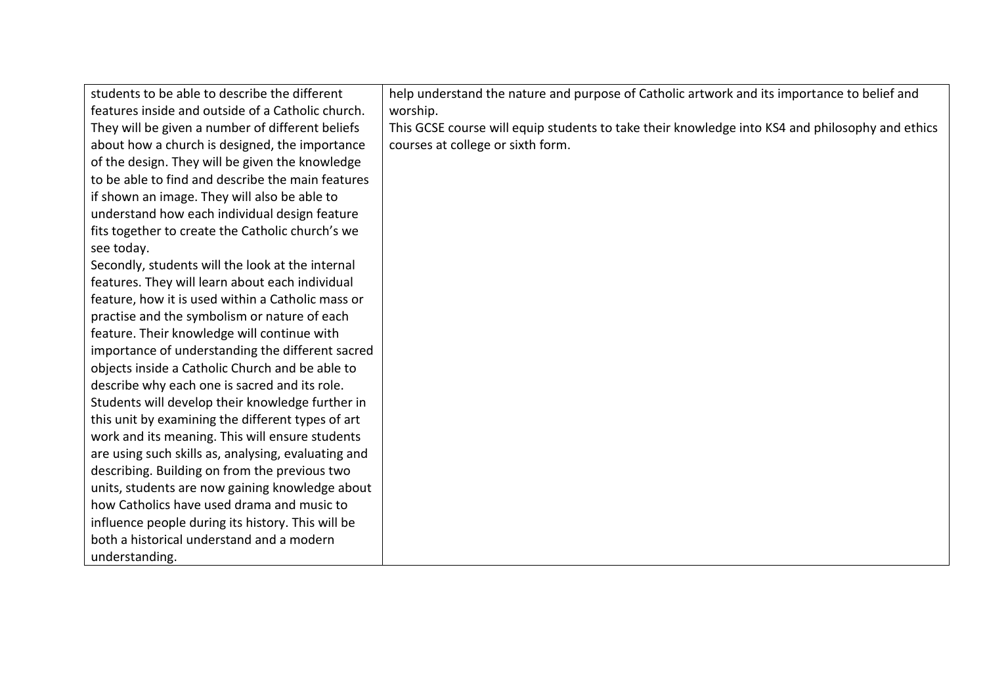| students to be able to describe the different       | help understand the nature and purpose of Catholic artwork and its importance to belief and     |
|-----------------------------------------------------|-------------------------------------------------------------------------------------------------|
| features inside and outside of a Catholic church.   | worship.                                                                                        |
| They will be given a number of different beliefs    | This GCSE course will equip students to take their knowledge into KS4 and philosophy and ethics |
| about how a church is designed, the importance      | courses at college or sixth form.                                                               |
| of the design. They will be given the knowledge     |                                                                                                 |
| to be able to find and describe the main features   |                                                                                                 |
| if shown an image. They will also be able to        |                                                                                                 |
| understand how each individual design feature       |                                                                                                 |
| fits together to create the Catholic church's we    |                                                                                                 |
| see today.                                          |                                                                                                 |
| Secondly, students will the look at the internal    |                                                                                                 |
| features. They will learn about each individual     |                                                                                                 |
| feature, how it is used within a Catholic mass or   |                                                                                                 |
| practise and the symbolism or nature of each        |                                                                                                 |
| feature. Their knowledge will continue with         |                                                                                                 |
| importance of understanding the different sacred    |                                                                                                 |
| objects inside a Catholic Church and be able to     |                                                                                                 |
| describe why each one is sacred and its role.       |                                                                                                 |
| Students will develop their knowledge further in    |                                                                                                 |
| this unit by examining the different types of art   |                                                                                                 |
| work and its meaning. This will ensure students     |                                                                                                 |
| are using such skills as, analysing, evaluating and |                                                                                                 |
| describing. Building on from the previous two       |                                                                                                 |
| units, students are now gaining knowledge about     |                                                                                                 |
| how Catholics have used drama and music to          |                                                                                                 |
| influence people during its history. This will be   |                                                                                                 |
| both a historical understand and a modern           |                                                                                                 |
| understanding.                                      |                                                                                                 |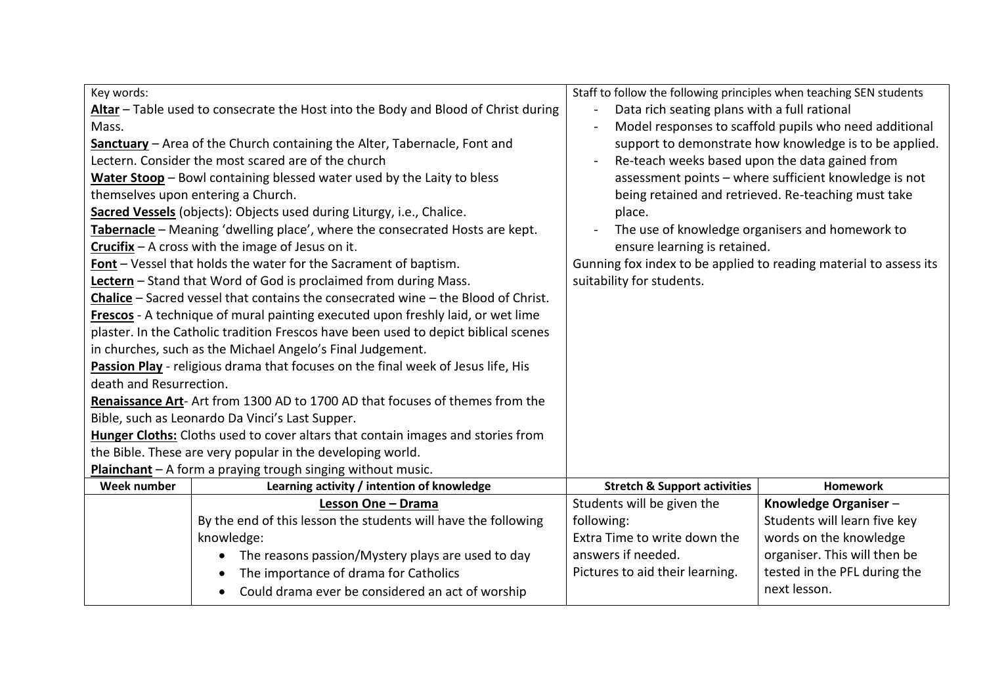| Key words:                                                                                                                         | Staff to follow the following principles when teaching SEN students |                                                        |
|------------------------------------------------------------------------------------------------------------------------------------|---------------------------------------------------------------------|--------------------------------------------------------|
| Altar - Table used to consecrate the Host into the Body and Blood of Christ during<br>Data rich seating plans with a full rational |                                                                     |                                                        |
| Mass.                                                                                                                              |                                                                     | Model responses to scaffold pupils who need additional |
| Sanctuary - Area of the Church containing the Alter, Tabernacle, Font and                                                          |                                                                     | support to demonstrate how knowledge is to be applied. |
| Lectern. Consider the most scared are of the church                                                                                | Re-teach weeks based upon the data gained from                      |                                                        |
| Water Stoop - Bowl containing blessed water used by the Laity to bless                                                             |                                                                     | assessment points - where sufficient knowledge is not  |
| themselves upon entering a Church.                                                                                                 |                                                                     | being retained and retrieved. Re-teaching must take    |
| Sacred Vessels (objects): Objects used during Liturgy, i.e., Chalice.                                                              | place.                                                              |                                                        |
| Tabernacle - Meaning 'dwelling place', where the consecrated Hosts are kept.                                                       |                                                                     | The use of knowledge organisers and homework to        |
| Crucifix $-$ A cross with the image of Jesus on it.                                                                                | ensure learning is retained.                                        |                                                        |
| Font - Vessel that holds the water for the Sacrament of baptism.                                                                   | Gunning fox index to be applied to reading material to assess its   |                                                        |
| Lectern - Stand that Word of God is proclaimed from during Mass.                                                                   | suitability for students.                                           |                                                        |
| Chalice - Sacred vessel that contains the consecrated wine - the Blood of Christ.                                                  |                                                                     |                                                        |
| Frescos - A technique of mural painting executed upon freshly laid, or wet lime                                                    |                                                                     |                                                        |
| plaster. In the Catholic tradition Frescos have been used to depict biblical scenes                                                |                                                                     |                                                        |
| in churches, such as the Michael Angelo's Final Judgement.                                                                         |                                                                     |                                                        |
| Passion Play - religious drama that focuses on the final week of Jesus life, His                                                   |                                                                     |                                                        |
| death and Resurrection.                                                                                                            |                                                                     |                                                        |
| Renaissance Art- Art from 1300 AD to 1700 AD that focuses of themes from the                                                       |                                                                     |                                                        |
| Bible, such as Leonardo Da Vinci's Last Supper.                                                                                    |                                                                     |                                                        |
| Hunger Cloths: Cloths used to cover altars that contain images and stories from                                                    |                                                                     |                                                        |
| the Bible. These are very popular in the developing world.                                                                         |                                                                     |                                                        |
| Plainchant - A form a praying trough singing without music.                                                                        |                                                                     |                                                        |
| <b>Week number</b><br>Learning activity / intention of knowledge                                                                   | <b>Stretch &amp; Support activities</b>                             | <b>Homework</b>                                        |
| Lesson One - Drama                                                                                                                 | Students will be given the                                          | Knowledge Organiser-                                   |
| By the end of this lesson the students will have the following                                                                     | following:                                                          | Students will learn five key                           |
| knowledge:                                                                                                                         | Extra Time to write down the                                        | words on the knowledge                                 |
| The reasons passion/Mystery plays are used to day                                                                                  | answers if needed.                                                  | organiser. This will then be                           |
| The importance of drama for Catholics                                                                                              | Pictures to aid their learning.                                     | tested in the PFL during the                           |
| Could drama ever be considered an act of worship                                                                                   |                                                                     | next lesson.                                           |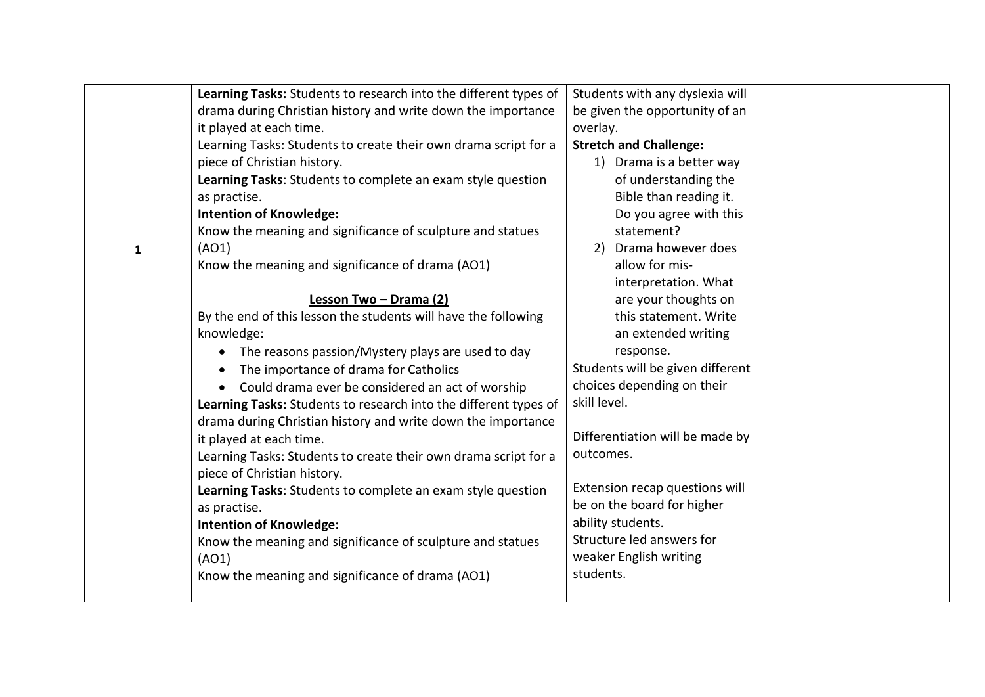|              | Learning Tasks: Students to research into the different types of | Students with any dyslexia will  |  |
|--------------|------------------------------------------------------------------|----------------------------------|--|
|              | drama during Christian history and write down the importance     | be given the opportunity of an   |  |
|              | it played at each time.                                          | overlay.                         |  |
|              | Learning Tasks: Students to create their own drama script for a  | <b>Stretch and Challenge:</b>    |  |
|              | piece of Christian history.                                      | 1) Drama is a better way         |  |
|              | Learning Tasks: Students to complete an exam style question      | of understanding the             |  |
|              | as practise.                                                     | Bible than reading it.           |  |
|              | <b>Intention of Knowledge:</b>                                   | Do you agree with this           |  |
|              | Know the meaning and significance of sculpture and statues       | statement?                       |  |
| $\mathbf{1}$ | (AO1)                                                            | 2) Drama however does            |  |
|              | Know the meaning and significance of drama (AO1)                 | allow for mis-                   |  |
|              |                                                                  | interpretation. What             |  |
|              | Lesson Two - Drama (2)                                           | are your thoughts on             |  |
|              | By the end of this lesson the students will have the following   | this statement. Write            |  |
|              | knowledge:                                                       | an extended writing              |  |
|              | The reasons passion/Mystery plays are used to day                | response.                        |  |
|              | The importance of drama for Catholics<br>$\bullet$               | Students will be given different |  |
|              | Could drama ever be considered an act of worship<br>$\bullet$    | choices depending on their       |  |
|              | Learning Tasks: Students to research into the different types of | skill level.                     |  |
|              | drama during Christian history and write down the importance     |                                  |  |
|              | it played at each time.                                          | Differentiation will be made by  |  |
|              | Learning Tasks: Students to create their own drama script for a  | outcomes.                        |  |
|              | piece of Christian history.                                      |                                  |  |
|              | Learning Tasks: Students to complete an exam style question      | Extension recap questions will   |  |
|              | as practise.                                                     | be on the board for higher       |  |
|              | <b>Intention of Knowledge:</b>                                   | ability students.                |  |
|              | Know the meaning and significance of sculpture and statues       | Structure led answers for        |  |
|              | (AO1)                                                            | weaker English writing           |  |
|              | Know the meaning and significance of drama (AO1)                 | students.                        |  |
|              |                                                                  |                                  |  |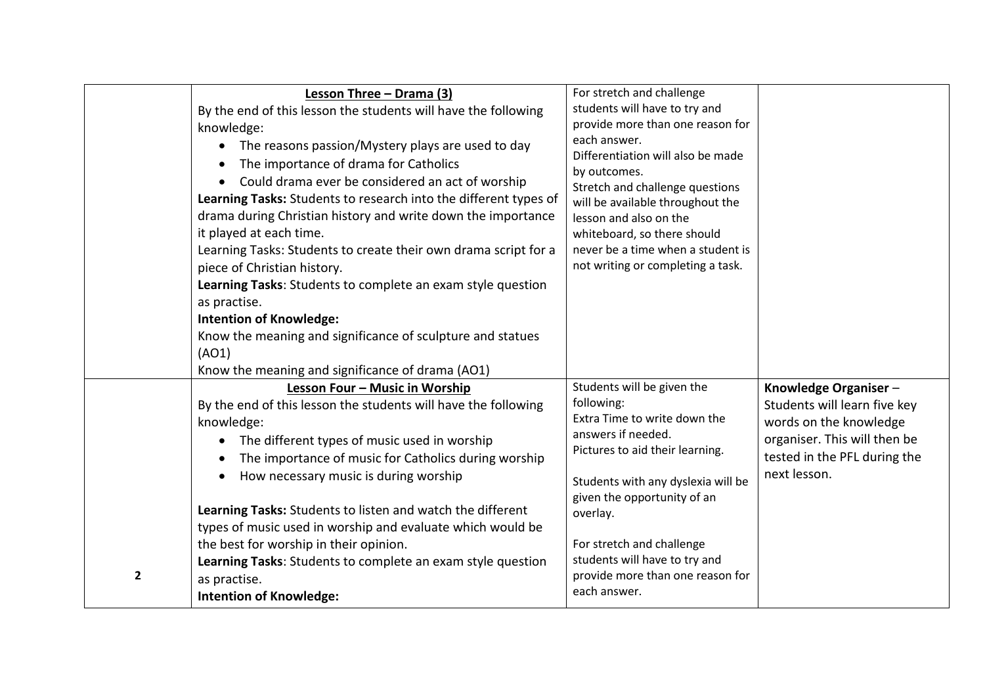|                | Lesson Three - Drama (3)<br>By the end of this lesson the students will have the following<br>knowledge:<br>The reasons passion/Mystery plays are used to day<br>The importance of drama for Catholics<br>Could drama ever be considered an act of worship<br>Learning Tasks: Students to research into the different types of<br>drama during Christian history and write down the importance<br>it played at each time.<br>Learning Tasks: Students to create their own drama script for a<br>piece of Christian history.<br>Learning Tasks: Students to complete an exam style question<br>as practise.<br><b>Intention of Knowledge:</b> | For stretch and challenge<br>students will have to try and<br>provide more than one reason for<br>each answer.<br>Differentiation will also be made<br>by outcomes.<br>Stretch and challenge questions<br>will be available throughout the<br>lesson and also on the<br>whiteboard, so there should<br>never be a time when a student is<br>not writing or completing a task. |                                                                                                                                                                |
|----------------|----------------------------------------------------------------------------------------------------------------------------------------------------------------------------------------------------------------------------------------------------------------------------------------------------------------------------------------------------------------------------------------------------------------------------------------------------------------------------------------------------------------------------------------------------------------------------------------------------------------------------------------------|-------------------------------------------------------------------------------------------------------------------------------------------------------------------------------------------------------------------------------------------------------------------------------------------------------------------------------------------------------------------------------|----------------------------------------------------------------------------------------------------------------------------------------------------------------|
|                | Know the meaning and significance of sculpture and statues<br>(AO1)<br>Know the meaning and significance of drama (AO1)                                                                                                                                                                                                                                                                                                                                                                                                                                                                                                                      |                                                                                                                                                                                                                                                                                                                                                                               |                                                                                                                                                                |
|                | Lesson Four - Music in Worship<br>By the end of this lesson the students will have the following<br>knowledge:<br>The different types of music used in worship<br>The importance of music for Catholics during worship<br>How necessary music is during worship<br>Learning Tasks: Students to listen and watch the different                                                                                                                                                                                                                                                                                                                | Students will be given the<br>following:<br>Extra Time to write down the<br>answers if needed.<br>Pictures to aid their learning.<br>Students with any dyslexia will be<br>given the opportunity of an<br>overlay.                                                                                                                                                            | Knowledge Organiser-<br>Students will learn five key<br>words on the knowledge<br>organiser. This will then be<br>tested in the PFL during the<br>next lesson. |
| $\overline{2}$ | types of music used in worship and evaluate which would be<br>the best for worship in their opinion.<br>Learning Tasks: Students to complete an exam style question<br>as practise.<br><b>Intention of Knowledge:</b>                                                                                                                                                                                                                                                                                                                                                                                                                        | For stretch and challenge<br>students will have to try and<br>provide more than one reason for<br>each answer.                                                                                                                                                                                                                                                                |                                                                                                                                                                |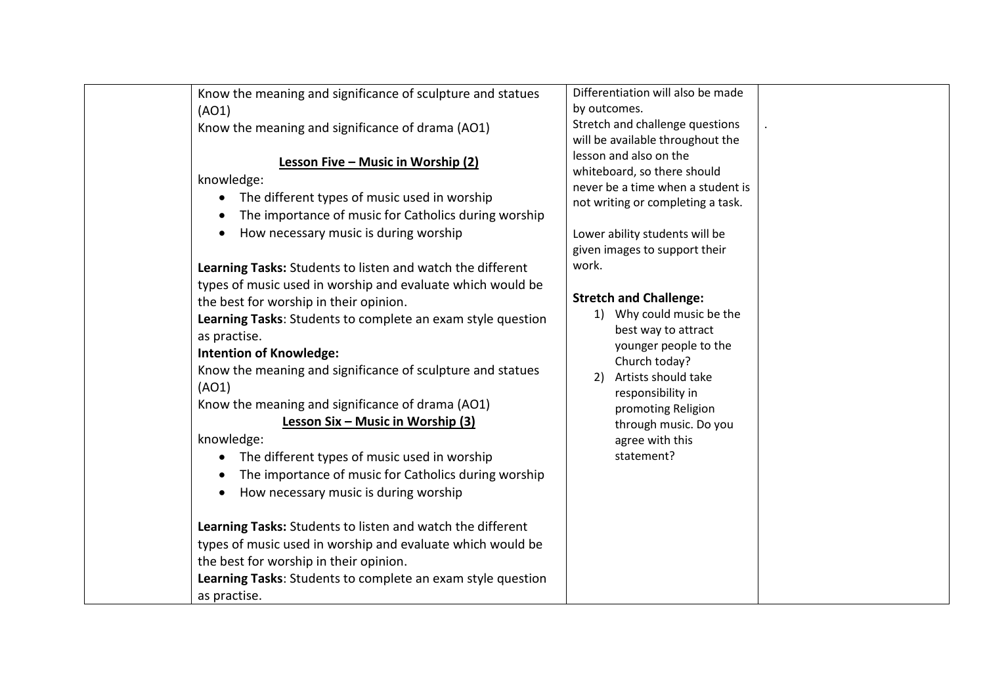| Know the meaning and significance of sculpture and statues        | Differentiation will also be made      |
|-------------------------------------------------------------------|----------------------------------------|
| (AO1)                                                             | by outcomes.                           |
| Know the meaning and significance of drama (AO1)                  | Stretch and challenge questions        |
|                                                                   | will be available throughout the       |
| Lesson Five - Music in Worship (2)                                | lesson and also on the                 |
| knowledge:                                                        | whiteboard, so there should            |
| The different types of music used in worship                      | never be a time when a student is      |
| The importance of music for Catholics during worship<br>$\bullet$ | not writing or completing a task.      |
|                                                                   |                                        |
| How necessary music is during worship<br>$\bullet$                | Lower ability students will be         |
|                                                                   | given images to support their<br>work. |
| Learning Tasks: Students to listen and watch the different        |                                        |
| types of music used in worship and evaluate which would be        | <b>Stretch and Challenge:</b>          |
| the best for worship in their opinion.                            | 1) Why could music be the              |
| Learning Tasks: Students to complete an exam style question       | best way to attract                    |
| as practise.                                                      | younger people to the                  |
| <b>Intention of Knowledge:</b>                                    | Church today?                          |
| Know the meaning and significance of sculpture and statues        | 2) Artists should take                 |
| (AO1)                                                             | responsibility in                      |
| Know the meaning and significance of drama (AO1)                  | promoting Religion                     |
| Lesson Six - Music in Worship (3)                                 | through music. Do you                  |
| knowledge:                                                        | agree with this                        |
| The different types of music used in worship                      | statement?                             |
| The importance of music for Catholics during worship<br>$\bullet$ |                                        |
| How necessary music is during worship<br>$\bullet$                |                                        |
|                                                                   |                                        |
| Learning Tasks: Students to listen and watch the different        |                                        |
| types of music used in worship and evaluate which would be        |                                        |
| the best for worship in their opinion.                            |                                        |
| Learning Tasks: Students to complete an exam style question       |                                        |
| as practise.                                                      |                                        |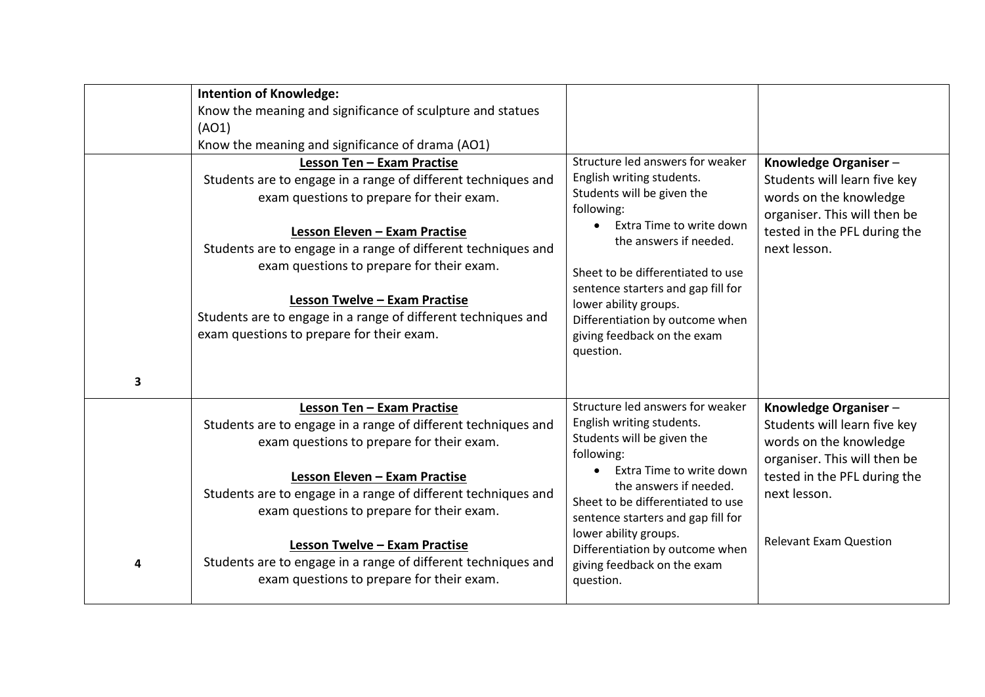| 3 | <b>Intention of Knowledge:</b><br>Know the meaning and significance of sculpture and statues<br>(AO1)<br>Know the meaning and significance of drama (AO1)<br>Lesson Ten - Exam Practise<br>Students are to engage in a range of different techniques and<br>exam questions to prepare for their exam.<br>Lesson Eleven - Exam Practise<br>Students are to engage in a range of different techniques and<br>exam questions to prepare for their exam.<br>Lesson Twelve - Exam Practise<br>Students are to engage in a range of different techniques and<br>exam questions to prepare for their exam. | Structure led answers for weaker<br>English writing students.<br>Students will be given the<br>following:<br>Extra Time to write down<br>the answers if needed.<br>Sheet to be differentiated to use<br>sentence starters and gap fill for<br>lower ability groups.<br>Differentiation by outcome when<br>giving feedback on the exam<br>question.              | Knowledge Organiser-<br>Students will learn five key<br>words on the knowledge<br>organiser. This will then be<br>tested in the PFL during the<br>next lesson.                                  |
|---|-----------------------------------------------------------------------------------------------------------------------------------------------------------------------------------------------------------------------------------------------------------------------------------------------------------------------------------------------------------------------------------------------------------------------------------------------------------------------------------------------------------------------------------------------------------------------------------------------------|-----------------------------------------------------------------------------------------------------------------------------------------------------------------------------------------------------------------------------------------------------------------------------------------------------------------------------------------------------------------|-------------------------------------------------------------------------------------------------------------------------------------------------------------------------------------------------|
| 4 | Lesson Ten - Exam Practise<br>Students are to engage in a range of different techniques and<br>exam questions to prepare for their exam.<br>Lesson Eleven - Exam Practise<br>Students are to engage in a range of different techniques and<br>exam questions to prepare for their exam.<br><b>Lesson Twelve - Exam Practise</b><br>Students are to engage in a range of different techniques and<br>exam questions to prepare for their exam.                                                                                                                                                       | Structure led answers for weaker<br>English writing students.<br>Students will be given the<br>following:<br>Extra Time to write down<br>$\bullet$<br>the answers if needed.<br>Sheet to be differentiated to use<br>sentence starters and gap fill for<br>lower ability groups.<br>Differentiation by outcome when<br>giving feedback on the exam<br>question. | Knowledge Organiser-<br>Students will learn five key<br>words on the knowledge<br>organiser. This will then be<br>tested in the PFL during the<br>next lesson.<br><b>Relevant Exam Question</b> |